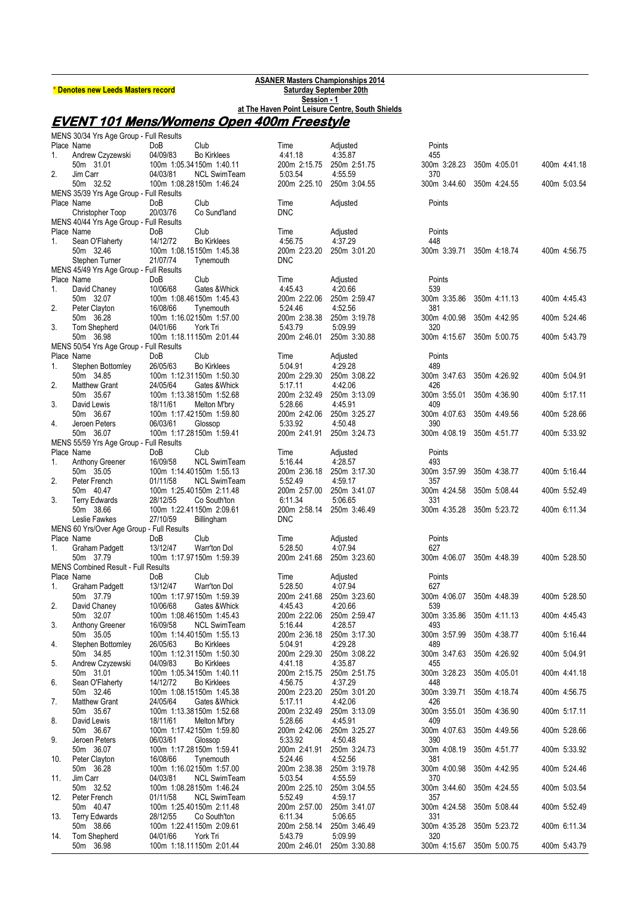| * Denotes new Leeds Masters record |  |
|------------------------------------|--|
|------------------------------------|--|

**ASANER Masters Championships 2014 \* Denotes new Leeds Masters record Saturday September 20th Session - 1 at The Haven Point Leisure Centre, South Shields**

## **EVENT 101 Mens/Womens Open 400m Freestyle**

|     | MENS 30/34 Yrs Age Group - Full Results    |            |                          |              |              |                           |                           |              |
|-----|--------------------------------------------|------------|--------------------------|--------------|--------------|---------------------------|---------------------------|--------------|
|     | Place Name                                 | <b>DoB</b> | Club                     | Time         | Adjusted     | Points                    |                           |              |
| 1.  | Andrew Czyzewski                           | 04/09/83   | <b>Bo Kirklees</b>       | 44118        | 4:35.87      | 455                       |                           |              |
|     | 50m 31.01                                  |            | 100m 1:05.34150m 1:40.11 | 200m 2:15.75 | 250m 2:51.75 | 300m 3:28.23              | 350m 4:05.01              | 400m 4:41.18 |
| 2.  | Jim Carr                                   | 04/03/81   | <b>NCL SwimTeam</b>      | 5:03.54      | 4:55.59      | 370                       |                           |              |
|     | 50m 32.52                                  |            | 100m 1:08.28150m 1:46.24 | 200m 2:25.10 | 250m 3:04.55 | 300m 3:44.60              | 350m 4:24.55              | 400m 5:03.54 |
|     | MENS 35/39 Yrs Age Group - Full Results    |            |                          |              |              |                           |                           |              |
|     | Place Name                                 | DoB        | Club                     | Time         | Adjusted     | Points                    |                           |              |
|     | Christopher Toop                           | 20/03/76   | Co Sund'land             | <b>DNC</b>   |              |                           |                           |              |
|     | MENS 40/44 Yrs Age Group - Full Results    |            |                          |              |              |                           |                           |              |
|     | Place Name                                 | DoB        | Club                     | Time         | Adjusted     | Points                    |                           |              |
| 1.  | Sean O'Flaherty                            | 14/12/72   | <b>Bo Kirklees</b>       | 4:56.75      | 4:37.29      | 448                       |                           |              |
|     | 50m 32.46                                  |            | 100m 1:08.15150m 1:45.38 | 200m 2:23.20 | 250m 3:01.20 | 300m 3:39.71              | 350m 4:18.74              | 400m 4:56.75 |
|     | Stephen Turner                             | 21/07/74   | Tynemouth                | <b>DNC</b>   |              |                           |                           |              |
|     | MENS 45/49 Yrs Age Group - Full Results    |            |                          |              |              |                           |                           |              |
|     | Place Name                                 | DoB        | Club                     | Time         | Adjusted     | Points                    |                           |              |
| 1.  | David Chaney                               | 10/06/68   | Gates & Whick            | 4 4 5 4 3    | 4:20.66      | 539                       |                           |              |
|     | 50m 32.07                                  |            | 100m 1:08.46150m 1:45.43 | 200m 2:22.06 | 250m 2:59.47 | 300m 3:35.86              | 350m 4:11.13              | 400m 4:45.43 |
| 2.  | Peter Clayton                              | 16/08/66   | Tynemouth                | 5:24.46      | 4:52.56      | 381                       |                           |              |
|     | 50m 36.28                                  |            | 100m 1:16.02150m 1:57.00 | 200m 2:38.38 | 250m 3:19.78 | 300m 4:00.98              | 350m 4:42.95              | 400m 5:24.46 |
| 3.  | Tom Shepherd                               | 04/01/66   | York Tri                 | 5:43.79      | 5:09.99      | 320                       |                           |              |
|     | 50m 36.98                                  |            | 100m 1:18.11150m 2:01.44 | 200m 2:46.01 | 250m 3:30.88 | 300m 4:15.67              | 350m 5:00.75              | 400m 5:43.79 |
|     | MENS 50/54 Yrs Age Group - Full Results    |            |                          |              |              |                           |                           |              |
|     | Place Name                                 | DoB        | Club                     | Time         | Adjusted     | Points                    |                           |              |
| 1.  | Stephen Bottomley                          | 26/05/63   | <b>Bo Kirklees</b>       | 5:04.91      | 4:29.28      | 489                       |                           |              |
|     | 50m 34.85                                  |            | 100m 1:12.31150m 1:50.30 | 200m 2:29.30 | 250m 3:08.22 | 300m 3:47.63              | 350m 4:26.92              | 400m 5:04.91 |
| 2.  | <b>Matthew Grant</b>                       | 24/05/64   | Gates & Whick            | 5:17.11      | 4.42.06      | 426                       |                           |              |
|     | 50m 35.67                                  |            | 100m 1:13.38150m 1:52.68 | 200m 2:32.49 | 250m 3:13.09 | 300m 3:55.01              | 350m 4:36.90              | 400m 5:17.11 |
| 3.  | David Lewis                                | 18/11/61   | Melton M'bry             | 5:28.66      | 4:45.91      | 409                       |                           |              |
|     | 50m 36.67                                  |            | 100m 1:17.42150m 1:59.80 | 200m 2:42.06 | 250m 3:25.27 | 300m 4:07.63              | 350m 4:49.56              | 400m 5:28.66 |
| 4.  | Jeroen Peters                              | 06/03/61   | Glossop                  | 5:33.92      | 4:50.48      | 390                       |                           |              |
|     | 50m 36.07                                  |            | 100m 1:17.28150m 1:59.41 | 200m 2:41.91 | 250m 3:24.73 | 300m 4:08.19              | 350m 4:51.77              | 400m 5:33.92 |
|     | MENS 55/59 Yrs Age Group - Full Results    |            |                          |              |              |                           |                           |              |
|     | Place Name                                 | DoB        | Club                     | Time         | Adjusted     | Points                    |                           |              |
| 1.  | Anthony Greener                            | 16/09/58   | <b>NCL SwimTeam</b>      | 5:16.44      | 4.28.57      | 493                       |                           |              |
|     | 50m 35.05                                  |            | 100m 1:14.40150m 1:55.13 | 200m 2:36.18 | 250m 3:17.30 | 300m 3.57.99              | 350m 4:38.77              | 400m 5:16.44 |
| 2.  | Peter French                               | 01/11/58   | <b>NCL SwimTeam</b>      | 5:52.49      | 4:59.17      | 357                       |                           |              |
|     | 50m 40.47                                  |            | 100m 1:25.40150m 2:11.48 | 200m 2:57.00 | 250m 3:41.07 | 300m 4:24.58              | 350m 5:08.44              | 400m 5:52.49 |
| 3.  | <b>Terry Edwards</b>                       | 28/12/55   | Co South'ton             | 6:11.34      | 5:06.65      | 331                       |                           |              |
|     | 50m 38.66                                  |            | 100m 1:22.41150m 2:09.61 | 200m 2:58.14 | 250m 3:46.49 | 300m 4:35.28              | 350m 5:23.72              | 400m 6:11.34 |
|     | Leslie Fawkes                              | 27/10/59   | Billingham               | <b>DNC</b>   |              |                           |                           |              |
|     | MENS 60 Yrs/Over Age Group - Full Results  |            |                          |              |              |                           |                           |              |
|     | Place Name                                 | DoB        | Club                     | Time         | Adjusted     | Points                    |                           |              |
| 1.  | Graham Padgett                             | 13/12/47   | Warr'ton Dol             | 5:28.50      | 4:07.94      | 627                       |                           |              |
|     | 50m 37.79                                  |            | 100m 1:17.97150m 1:59.39 | 200m 2:41.68 | 250m 3:23.60 | 300m 4:06.07              | 350m 4:48.39              | 400m 5:28.50 |
|     | <b>MENS Combined Result - Full Results</b> |            |                          |              |              |                           |                           |              |
|     | Place Name                                 | DoB        | Club                     | Time         | Adjusted     | Points                    |                           |              |
| 1.  | Graham Padgett                             | 13/12/47   | Warr'ton Dol             | 5:28.50      | 4:07.94      | 627                       |                           |              |
|     | 50m 37.79                                  |            | 100m 1:17.97150m 1:59.39 | 200m 2:41.68 | 250m 3:23.60 |                           | 300m 4:06.07 350m 4:48.39 | 400m 5:28.50 |
| 2.  | David Chaney                               | 10/06/68   | Gates & Whick            | 4:45.43      | 4:20.66      | 539                       |                           |              |
|     | 50m 32.07                                  |            | 100m 1:08.46150m 1:45.43 | 200m 2:22.06 | 250m 2:59.47 |                           | 300m 3:35.86 350m 4:11.13 | 400m 4:45.43 |
| 3.  | Anthony Greener                            | 16/09/58   | <b>NCL SwimTeam</b>      | 5.16.44      | 4.28.57      | 493                       |                           |              |
|     | 50m 35.05                                  |            | 100m 1:14.40150m 1:55.13 | 200m 2:36.18 | 250m 3:17.30 | 300m 3:57.99 350m 4:38.77 |                           | 400m 5:16.44 |
| 4.  | Stephen Bottomley                          | 26/05/63   | <b>Bo Kirklees</b>       | 5:04.91      | 4:29.28      | 489                       |                           |              |
|     | 50m 34.85                                  |            | 100m 1:12.31150m 1:50.30 | 200m 2:29.30 | 250m 3:08.22 |                           | 300m 3.47.63 350m 4:26.92 | 400m 5:04.91 |
| 5.  | Andrew Czyzewski                           | 04/09/83   | <b>Bo Kirklees</b>       | 441.18       | 4.35.87      | 455                       |                           |              |
|     | 50m 31.01                                  |            | 100m 1:05.34150m 1:40.11 | 200m 2:15.75 | 250m 2:51.75 | 300m 3:28.23 350m 4:05.01 |                           | 400m 4:41.18 |
| 6.  | Sean O'Flaherty                            | 14/12/72   | <b>Bo Kirklees</b>       | 4.56.75      | 4:37.29      | 448                       |                           |              |
|     | 50m 32.46                                  |            | 100m 1:08.15150m 1:45.38 | 200m 2:23.20 | 250m 3:01.20 | 300m 3:39.71              | 350m 4:18.74              | 400m 4:56.75 |
| 7.  | <b>Matthew Grant</b>                       | 24/05/64   | Gates & Whick            | 5:17.11      | 4.42.06      | 426                       |                           |              |
|     | 50m 35.67                                  |            | 100m 1:13.38150m 1:52.68 | 200m 2:32.49 | 250m 3:13.09 | 300m 3:55.01              | 350m 4:36.90              | 400m 5:17.11 |
| 8.  | David Lewis                                | 18/11/61   | Melton M'bry             | 5.28.66      | 4:45.91      | 409                       |                           |              |
|     | 50m 36.67                                  |            | 100m 1:17.42150m 1:59.80 | 200m 2:42.06 | 250m 3:25.27 |                           | 300m 4:07.63 350m 4:49.56 | 400m 5:28.66 |
| 9.  | Jeroen Peters                              | 06/03/61   | Glossop                  | 5.33.92      | 4:50.48      | 390                       |                           |              |
|     | 50m 36.07                                  |            | 100m 1:17.28150m 1:59.41 | 200m 2:41.91 | 250m 3:24.73 | 300m 4:08.19 350m 4:51.77 |                           | 400m 5:33.92 |
| 10. | Peter Clayton                              | 16/08/66   | Tynemouth                | 5.24.46      | 4.52.56      | 381                       |                           |              |
|     | 50m 36.28                                  |            | 100m 1:16.02150m 1:57.00 | 200m 2:38.38 | 250m 3:19.78 |                           | 300m 4:00.98 350m 4:42.95 | 400m 5:24.46 |
| 11. | Jim Carr                                   | 04/03/81   | <b>NCL SwimTeam</b>      | 5:03.54      | 4.55.59      | 370                       |                           |              |
|     | 50m 32.52                                  |            | 100m 1:08.28150m 1:46.24 | 200m 2:25.10 | 250m 3:04.55 | 300m 3:44.60              | 350m 4:24.55              | 400m 5:03.54 |
| 12. | Peter French                               | 01/11/58   | <b>NCL SwimTeam</b>      | 5.52.49      | 4.59.17      | 357                       |                           |              |
|     | 50m 40.47                                  |            | 100m 1:25.40150m 2:11.48 | 200m 2:57.00 | 250m 3:41.07 | 300m 4:24.58 350m 5:08.44 |                           | 400m 5:52.49 |
| 13. | <b>Terry Edwards</b>                       | 28/12/55   | Co South'ton             | 6:11.34      | 5:06.65      | 331                       |                           |              |
|     | 50m 38.66                                  |            | 100m 1:22.41150m 2:09.61 | 200m 2:58.14 | 250m 3:46.49 |                           | 300m 4:35.28 350m 5:23.72 | 400m 6:11.34 |
| 14. | Tom Shepherd                               | 04/01/66   | York Tri                 | 5.43.79      | 5.09.99      | 320                       |                           |              |
|     | 50m 36.98                                  |            | 100m 1:18.11150m 2.01.44 | 200m 2:46.01 | 250m 3:30.88 |                           | 300m 4:15.67 350m 5:00.75 | 400m 5:43.79 |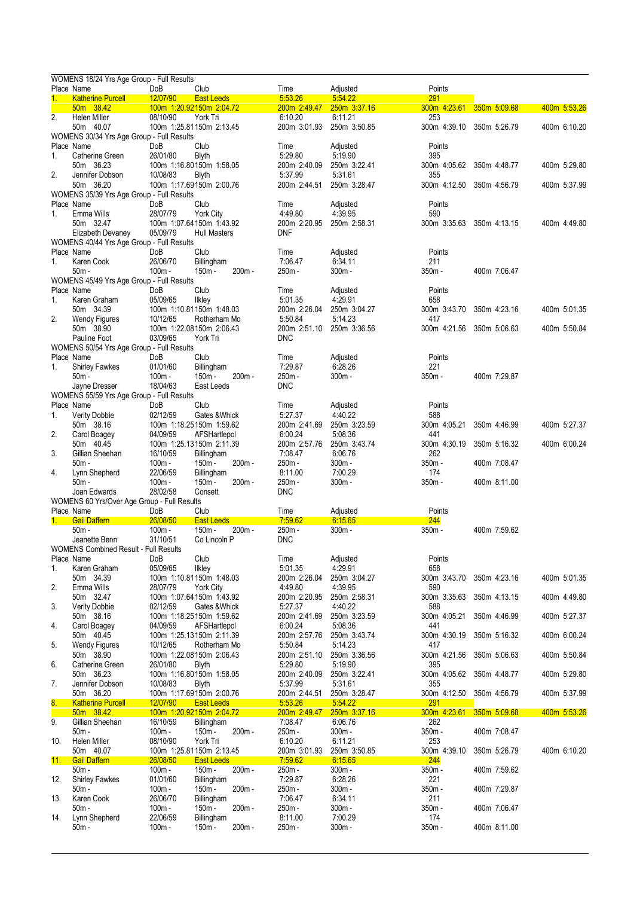|     | WOMENS 18/24 Yrs Age Group - Full Results                      |                      |                                          |                         |                         |                           |              |              |
|-----|----------------------------------------------------------------|----------------------|------------------------------------------|-------------------------|-------------------------|---------------------------|--------------|--------------|
| 1.  | Place Name<br><b>Katherine Purcell</b>                         | DoB<br>12/07/90      | Club<br><b>East Leeds</b>                | Time<br>5.53.26         | Adjusted<br>5 54 22     | Points<br>291             |              |              |
|     | 50m 38.42                                                      |                      | 100m 1:20.92150m 2:04.72                 | 200m 2:49.47            | 250m 3:37.16            | 300m 4:23.61              | 350m 5:09.68 | 400m 5:53.26 |
| 2.  | Helen Miller                                                   | 08/10/90             | York Tri                                 | 6:10.20                 | 6:11.21                 | 253                       |              |              |
|     | 50m 40.07                                                      |                      | 100m 1:25.81150m 2:13.45                 | 200m 3:01.93            | 250m 3:50.85            | 300m 4:39.10 350m 5:26.79 |              | 400m 6:10.20 |
|     | WOMENS 30/34 Yrs Age Group - Full Results<br>Place Name        | DoB                  | Club                                     | Time                    |                         | Points                    |              |              |
| 1.  | Catherine Green                                                | 26/01/80             | <b>Blyth</b>                             | 5.29.80                 | Adjusted<br>5:19.90     | 395                       |              |              |
|     | 50m 36.23                                                      |                      | 100m 1:16.80150m 1:58.05                 | 200m 2:40.09            | 250m 3:22.41            | 300m 4:05.62 350m 4:48.77 |              | 400m 5:29.80 |
| 2.  | Jennifer Dobson                                                | 10/08/83             | <b>Blyth</b>                             | 5.37.99                 | 5:31.61                 | 355                       |              |              |
|     | 50m 36.20<br>WOMENS 35/39 Yrs Age Group - Full Results         |                      | 100m 1:17.69150m 2:00.76                 | 200m 2:44.51            | 250m 3:28.47            | 300m 4:12.50 350m 4:56.79 |              | 400m 5:37.99 |
|     | Place Name                                                     | DoB                  | Club                                     | Time                    | Adjusted                | Points                    |              |              |
| 1.  | Emma Wills                                                     | 28/07/79             | York City                                | 449.80                  | 4:39.95                 | 590                       |              |              |
|     | 50m 32.47                                                      |                      | 100m 1:07.64150m 1:43.92                 | 200m 2:20.95            | 250m 2:58.31            | 300m 3:35.63              | 350m 4:13.15 | 400m 4:49.80 |
|     | Elizabeth Devaney<br>WOMENS 40/44 Yrs Age Group - Full Results | 05/09/79             | <b>Hull Masters</b>                      | <b>DNF</b>              |                         |                           |              |              |
|     | Place Name                                                     | DoB                  | Club                                     | Time                    | Adjusted                | Points                    |              |              |
| 1.  | Karen Cook                                                     | 26/06/70             | Billingham                               | 7:06.47                 | 6:34.11                 | 211                       |              |              |
|     | $50m -$                                                        | $100m -$             | 150m -<br>200m -                         | 250m -                  | 300m-                   | 350m-                     | 400m 7:06.47 |              |
|     | WOMENS 45/49 Yrs Age Group - Full Results<br>Place Name        | DoB                  | Club                                     | Time                    | Adjusted                | Points                    |              |              |
| 1.  | Karen Graham                                                   | 05/09/65             | Ilkley                                   | 5:01.35                 | 4:29.91                 | 658                       |              |              |
|     | 50m 34.39                                                      |                      | 100m 1:10.81150m 1:48.03                 | 200m 2:26.04            | 250m 3:04.27            | 300m 3:43.70              | 350m 4:23.16 | 400m 5:01.35 |
| 2.  | <b>Wendy Figures</b>                                           | 10/12/65             | Rotherham Mo                             | 5:50.84                 | 5:14.23                 | 417                       |              |              |
|     | 50m 38.90                                                      | 03/09/65             | 100m 1:22.08150m 2:06.43                 | 200m 2:51.10            | 250m 3:36.56            | 300m 4:21.56 350m 5:06.63 |              | 400m 5:50.84 |
|     | Pauline Foot<br>WOMENS 50/54 Yrs Age Group - Full Results      |                      | York Tri                                 | <b>DNC</b>              |                         |                           |              |              |
|     | Place Name                                                     | DoB                  | Club                                     | Time                    | Adjusted                | Points                    |              |              |
| 1.  | <b>Shirley Fawkes</b>                                          | 01/01/60             | Billingham                               | 7:29.87                 | 6:28.26                 | 221                       |              |              |
|     | $50m -$                                                        | $100m -$<br>18/04/63 | 150m -<br>200m -<br>East Leeds           | 250m -<br><b>DNC</b>    | 300m-                   | 350m-                     | 400m 7:29.87 |              |
|     | Jayne Dresser<br>WOMENS 55/59 Yrs Age Group - Full Results     |                      |                                          |                         |                         |                           |              |              |
|     | Place Name                                                     | DoB                  | Club                                     | Time                    | Adjusted                | Points                    |              |              |
| 1.  | Verity Dobbie                                                  | 02/12/59             | Gates & Whick                            | 5.27.37                 | 4:40.22                 | 588                       |              |              |
| 2.  | 50m 38.16                                                      | 04/09/59             | 100m 1:18.25150m 1:59.62                 | 200m 2:41.69<br>6:00.24 | 250m 3:23.59<br>5:08.36 | 300m 4:05.21              | 350m 4:46.99 | 400m 5:27.37 |
|     | Carol Boagey<br>50m 40.45                                      |                      | AFSHartlepol<br>100m 1:25.13150m 2:11.39 | 200m 2:57.76            | 250m 3:43.74            | 441<br>300m 4:30.19       | 350m 5:16.32 | 400m 6:00.24 |
| 3.  | Gillian Sheehan                                                | 16/10/59             | Billingham                               | 7:08.47                 | 6:06.76                 | 262                       |              |              |
|     | $50m -$                                                        | 100m-                | 150m-<br>200m -                          | 250m -                  | 300m-                   | 350m-                     | 400m 7:08.47 |              |
| 4.  | Lynn Shepherd<br>$50m -$                                       | 22/06/59             | Billingham<br>150m -<br>200m -           | 8:11.00<br>250m -       | 7:00.29<br>$300m -$     | 174<br>350m-              |              |              |
|     | Joan Edwards                                                   | 100m -<br>28/02/58   | Consett                                  | <b>DNC</b>              |                         |                           | 400m 8:11.00 |              |
|     | WOMENS 60 Yrs/Over Age Group - Full Results                    |                      |                                          |                         |                         |                           |              |              |
|     | Place Name                                                     | DoB                  | Club                                     | Time                    | Adjusted                | Points                    |              |              |
| 1.  | <b>Gail Daffern</b><br>$50m -$                                 | 26/08/50             | <b>East Leeds</b><br>150m -<br>200m-     | 7:59.62<br>250m -       | 6.15.65<br>300m-        | 244<br>350m -             | 400m 7:59.62 |              |
|     | Jeanette Benn                                                  | 100m -<br>31/10/51   | Co Lincoln P                             | <b>DNC</b>              |                         |                           |              |              |
|     | <b>WOMENS Combined Result - Full Results</b>                   |                      |                                          |                         |                         |                           |              |              |
|     | Place Name                                                     | DoB                  | Club                                     | Time                    | Adjusted                | Points                    |              |              |
| 1.  | Karen Graham<br>50m 34.39                                      | 05/09/65             | Ilkley<br>100m 1:10.81150m 1:48.03       | 5.01.35<br>200m 2:26.04 | 4.29.91<br>250m 3:04.27 | 658<br>300m 3:43.70       | 350m 4:23.16 | 400m 5:01.35 |
| 2.  | Emma Wills                                                     | 28/07/79             | <b>York City</b>                         | 4:49.80                 | 4.39.95                 | 590                       |              |              |
|     | 50m 32.47                                                      |                      | 100m 1:07.64150m 1:43.92                 | 200m 2:20.95            | 250m 2:58.31            | 300m 3:35.63              | 350m 4:13.15 | 400m 4:49.80 |
| 3.  | <b>Verity Dobbie</b>                                           | 02/12/59             | Gates & Whick                            | 5.27.37                 | 4:40.22                 | 588                       |              |              |
|     | 50m 38.16                                                      |                      | 100m 1:18.25150m 1:59.62                 | 200m 2:41.69<br>6:00.24 | 250m 3:23.59<br>5:08.36 | 300m 4:05.21              | 350m 4:46.99 | 400m 5:27.37 |
| 4.  | Carol Boagey<br>50m 40.45                                      | 04/09/59             | AFSHartlepol<br>100m 1:25.13150m 2:11.39 | 200m 2:57.76            | 250m 3:43.74            | 441<br>300m 4:30.19       | 350m 5:16.32 | 400m 6:00.24 |
| 5.  | <b>Wendy Figures</b>                                           | 10/12/65             | Rotherham Mo                             | 5.50.84                 | 5.14.23                 | 417                       |              |              |
|     | 50m 38.90                                                      |                      | 100m 1:22.08150m 2:06.43                 | 200m 2:51.10            | 250m 3:36.56            | 300m 4:21.56              | 350m 5:06.63 | 400m 5:50.84 |
| 6.  | Catherine Green<br>50m 36.23                                   | 26/01/80             | <b>Blyth</b><br>100m 1:16.80150m 1:58.05 | 5.29.80<br>200m 2:40.09 | 5.19.90<br>250m 3:22.41 | 395<br>300m 4:05.62       | 350m 4:48.77 | 400m 5:29.80 |
| 7.  | Jennifer Dobson                                                | 10/08/83             | <b>Blyth</b>                             | 5.37.99                 | 5.31.61                 | 355                       |              |              |
|     | 50m 36.20                                                      |                      | 100m 1:17.69150m 2:00.76                 | 200m 2:44.51            | 250m 3:28.47            | 300m 4:12.50              | 350m 4:56.79 | 400m 5:37.99 |
| 8.  | <b>Katherine Purcell</b>                                       | 12/07/90             | <b>East Leeds</b>                        | 5.53.26                 | 5 54 22                 | 291                       |              |              |
| 9.  | 50m 38.42<br>Gillian Sheehan                                   | 16/10/59             | 100m 1:20.92150m 2:04.72                 | 200m 2:49.47<br>7:08.47 | 250m 3:37.16            | 300m 4:23.61<br>262       | 350m 5:09.68 | 400m 5:53.26 |
|     | $50m -$                                                        | $100m -$             | <b>Billingham</b><br>150m -<br>200m-     | 250m -                  | 6.06.76<br>300m-        | 350m -                    | 400m 7:08.47 |              |
| 10. | Helen Miller                                                   | 08/10/90             | York Tri                                 | 6:10.20                 | 6:11.21                 | 253                       |              |              |
|     | 50m 40.07                                                      |                      | 100m 1:25.81150m 2:13.45                 | 200m 3:01.93            | 250m 3:50.85            | 300m 4:39.10              | 350m 5:26.79 | 400m 6:10.20 |
| 11. | <b>Gail Daffern</b><br>$50m -$                                 | 26/08/50<br>$100m -$ | <b>East Leeds</b><br>150m-<br>200m-      | 759.62<br>250m -        | 6.15.65<br>300m-        | 244<br>350m-              | 400m 7:59.62 |              |
| 12. | <b>Shirley Fawkes</b>                                          | 01/01/60             | Billingham                               | 7:29.87                 | 6:28.26                 | 221                       |              |              |
|     | $50m -$                                                        | $100m -$             | 150m-<br>200m -                          | 250m -                  | 300m-                   | 350m-                     | 400m 7:29.87 |              |
| 13. | Karen Cook                                                     | 26/06/70             | Billingham                               | 7:06.47                 | 6.34.11                 | 211                       |              |              |
| 14. | $50m -$<br>Lynn Shepherd                                       | $100m -$<br>22/06/59 | 150m-<br>200m-<br>Billingham             | 250m -<br>8:11.00       | 300m-<br>7:00.29        | 350m -<br>174             | 400m 7:06.47 |              |
|     | $50m -$                                                        | $100m -$             | 150m -<br>200m-                          | 250m -                  | 300m-                   | 350m-                     | 400m 8:11.00 |              |
|     |                                                                |                      |                                          |                         |                         |                           |              |              |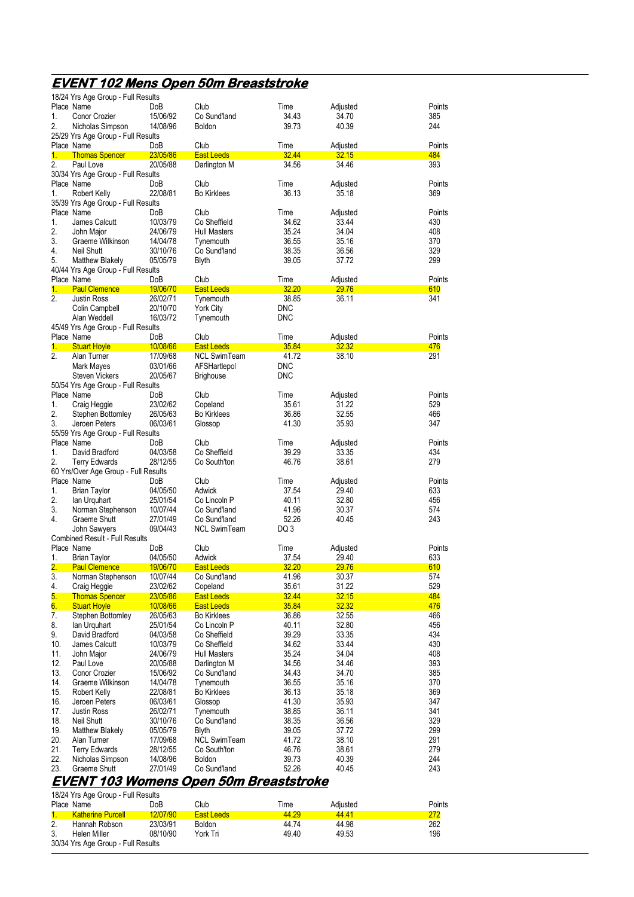## **EVENT 102 Mens Open 50m Breaststroke**

|                  | 18/24 Yrs Age Group - Full Results             |                 |                                        |               |                   |               |
|------------------|------------------------------------------------|-----------------|----------------------------------------|---------------|-------------------|---------------|
|                  | Place Name                                     | DoB             | Club                                   | Time          | Adjusted          | Points        |
| 1.               | <b>Conor Crozier</b>                           | 15/06/92        | Co Sund'land                           | 34.43         | 34.70             | 385           |
| 2.               | Nicholas Simpson                               | 14/08/96        | <b>Boldon</b>                          | 39.73         | 40.39             | 244           |
|                  | 25/29 Yrs Age Group - Full Results             |                 |                                        |               |                   |               |
| 1.               | Place Name<br><b>Thomas Spencer</b>            | DoB<br>23/05/86 | Club<br>East Leeds                     | Time<br>32.44 | Adjusted<br>32.15 | Points<br>484 |
| 2.               | Paul Love                                      | 20/05/88        | Darlington M                           | 34.56         | 34.46             | 393           |
|                  | 30/34 Yrs Age Group - Full Results             |                 |                                        |               |                   |               |
|                  | Place Name                                     | DoB             | Club                                   | Time          | Adjusted          | Points        |
| 1.               | Robert Kelly                                   | 22/08/81        | <b>Bo Kirklees</b>                     | 36.13         | 35.18             | 369           |
|                  | 35/39 Yrs Age Group - Full Results             |                 |                                        |               |                   |               |
|                  | Place Name                                     | DoB             | Club                                   | Time          | Adjusted          | Points        |
| 1.               | James Calcutt                                  | 10/03/79        | Co Sheffield                           | 34.62         | 33.44             | 430           |
| 2.               | John Major                                     | 24/06/79        | <b>Hull Masters</b>                    | 35.24         | 34.04             | 408           |
| 3.               | Graeme Wilkinson                               | 14/04/78        | Tynemouth                              | 36.55         | 35.16             | 370           |
| 4.               | <b>Neil Shutt</b>                              | 30/10/76        | Co Sund'land                           | 38.35         | 36.56             | 329           |
| 5.               | <b>Matthew Blakely</b>                         | 05/05/79        | <b>Blyth</b>                           | 39.05         | 37.72             | 299           |
|                  | 40/44 Yrs Age Group - Full Results             |                 |                                        |               |                   |               |
|                  | Place Name                                     | DoB             | Club                                   | Time          | Adjusted          | Points        |
| 1.               | <b>Paul Clemence</b>                           | 19/06/70        | <b>East Leeds</b>                      | 32.20         | 29.76             | 610           |
| 2.               | <b>Justin Ross</b>                             | 26/02/71        | Tynemouth                              | 38.85         | 36.11             | 341           |
|                  | Colin Campbell                                 | 20/10/70        | <b>York City</b>                       | DNC           |                   |               |
|                  | Alan Weddell                                   | 16/03/72        | Tynemouth                              | DNC           |                   |               |
|                  | 45/49 Yrs Age Group - Full Results             |                 |                                        |               |                   |               |
|                  | Place Name                                     | DoB             | Club                                   | Time          | Adjusted          | Points        |
| 1.               | <b>Stuart Hoyle</b>                            | 10/08/66        | <b>East Leeds</b>                      | 35.84         | 32.32             | 476           |
| 2.               | Alan Turner                                    | 17/09/68        | <b>NCL SwimTeam</b>                    | 41.72         | 38.10             | 291           |
|                  | Mark Mayes                                     | 03/01/66        | AFSHartlepol                           | DNC           |                   |               |
|                  | <b>Steven Vickers</b>                          | 20/05/67        | <b>Brighouse</b>                       | DNC           |                   |               |
|                  | 50/54 Yrs Age Group - Full Results             |                 |                                        |               |                   |               |
|                  | Place Name                                     | DoB             | Club                                   | Time          | Adjusted          | Points        |
| 1.               | Craig Heggie                                   | 23/02/62        | Copeland                               | 35.61         | 31.22             | 529           |
| 2.               | Stephen Bottomley                              | 26/05/63        | <b>Bo Kirklees</b>                     | 36.86         | 32.55             | 466           |
| 3.               | Jeroen Peters                                  | 06/03/61        | Glossop                                | 41.30         | 35.93             | 347           |
|                  | 55/59 Yrs Age Group - Full Results             |                 |                                        |               |                   |               |
|                  | Place Name                                     | DoB             | Club                                   | Time          | Adjusted          | Points        |
| 1.               | David Bradford                                 | 04/03/58        | Co Sheffield                           | 39.29         | 33.35             | 434           |
| 2.               | <b>Terry Edwards</b>                           | 28/12/55        | Co South'ton                           | 46.76         | 38.61             | 279           |
|                  | 60 Yrs/Over Age Group - Full Results           |                 |                                        |               |                   |               |
|                  | Place Name                                     | DoB             | Club                                   | Time          | Adjusted          | Points        |
| 1.               | <b>Brian Taylor</b>                            | 04/05/50        | Adwick                                 | 37.54         | 29.40             | 633           |
| 2.               | lan Urquhart                                   | 25/01/54        | Co Lincoln P                           | 40.11         | 32.80             | 456           |
| 3.               | Norman Stephenson                              | 10/07/44        | Co Sund'land                           | 41.96         | 30.37             | 574           |
| 4.               | Graeme Shutt                                   | 27/01/49        | Co Sund'land<br><b>NCL SwimTeam</b>    | 52.26<br>DQ 3 | 40.45             | 243           |
|                  | John Sawyers<br>Combined Result - Full Results | 09/04/43        |                                        |               |                   |               |
|                  | Place Name                                     | DoB             | Club                                   | Time          | Adjusted          | Points        |
| 1.               | <b>Brian Taylor</b>                            | 04/05/50        | Adwick                                 | 37.54         | 29.40             | 633           |
|                  | <b>Paul Clemence</b>                           | 19/06/70        | East Leeds                             | 32.20         | <u>29.76</u>      | 610           |
| $\overline{3}$ . | Norman Stephenson                              | 10/07/44        | Co Sund'land                           | 41.96         | 30.37             | 574           |
| 4.               | Craig Heggie                                   | 23/02/62        | Copeland                               | 35.61         | 31.22             | 529           |
| 5.               | <b>Thomas Spencer</b>                          | <u>23/05/86</u> | <b>East Leeds</b>                      | 32.44         | 32.15             | 484           |
| 6.               | <b>Stuart Hoyle</b>                            | 10/08/66        | <b>East Leeds</b>                      | 35.84         | <u>32.32</u>      | 476           |
| 7.               | Stephen Bottomley                              | 26/05/63        | <b>Bo Kirklees</b>                     | 36.86         | 32.55             | 466           |
| 8.               | lan Urquhart                                   | 25/01/54        | Co Lincoln P                           | 40.11         | 32.80             | 456           |
| 9.               | David Bradford                                 | 04/03/58        | Co Sheffield                           | 39.29         | 33.35             | 434           |
| 10.              | James Calcutt                                  | 10/03/79        | Co Sheffield                           | 34.62         | 33.44             | 430           |
| 11.              | John Major                                     | 24/06/79        | <b>Hull Masters</b>                    | 35.24         | 34.04             | 408           |
| 12.              | Paul Love                                      | 20/05/88        | Darlington M                           | 34.56         | 34.46             | 393           |
| 13.              | <b>Conor Crozier</b>                           | 15/06/92        | Co Sund'land                           | 34.43         | 34.70             | 385           |
| 14.              | Graeme Wilkinson                               | 14/04/78        | Tynemouth                              | 36.55         | 35.16             | 370           |
| 15.              | Robert Kelly                                   | 22/08/81        | <b>Bo Kirklees</b>                     | 36.13         | 35.18             | 369           |
| 16.              | Jeroen Peters                                  | 06/03/61        | Glossop                                | 41.30         | 35.93             | 347           |
| 17.              | <b>Justin Ross</b>                             | 26/02/71        | Tynemouth                              | 38.85         | 36.11             | 341           |
| 18.              | Neil Shutt                                     | 30/10/76        | Co Sund'land                           | 38.35         | 36.56             | 329           |
| 19.              | <b>Matthew Blakely</b>                         | 05/05/79        | <b>Blyth</b>                           | 39.05         | 37.72             | 299           |
| 20.              | Alan Turner                                    | 17/09/68        | <b>NCL SwimTeam</b>                    | 41.72         | 38.10             | 291           |
| 21.              | <b>Terry Edwards</b>                           | 28/12/55        | Co South'ton                           | 46.76         | 38.61             | 279           |
| 22.              | Nicholas Simpson                               | 14/08/96        | <b>Boldon</b>                          | 39.73         | 40.39             | 244           |
| 23.              | Graeme Shutt                                   | 27/01/49        | Co Sund'land                           | 52.26         | 40.45             | 243           |
|                  |                                                |                 | EVENT 103 Womens Open 50m Breaststroke |               |                   |               |
|                  |                                                |                 |                                        |               |                   |               |

18/24 Yrs Age Group - Full Results

|    | Place Name                         | DoB      | Club          | Time  | Adiusted | Points |
|----|------------------------------------|----------|---------------|-------|----------|--------|
|    | <b>Katherine Purcell</b>           | 12/07/90 | East Leeds    | 44.29 | 44.41    | 272    |
| 2. | Hannah Robson                      | 23/03/91 | <b>Boldon</b> | 44.74 | 44.98    | 262    |
|    | Helen Miller                       | 08/10/90 | York Tri      | 49.40 | 49.53    | 196    |
|    | 30/34 Yrs Age Group - Full Results |          |               |       |          |        |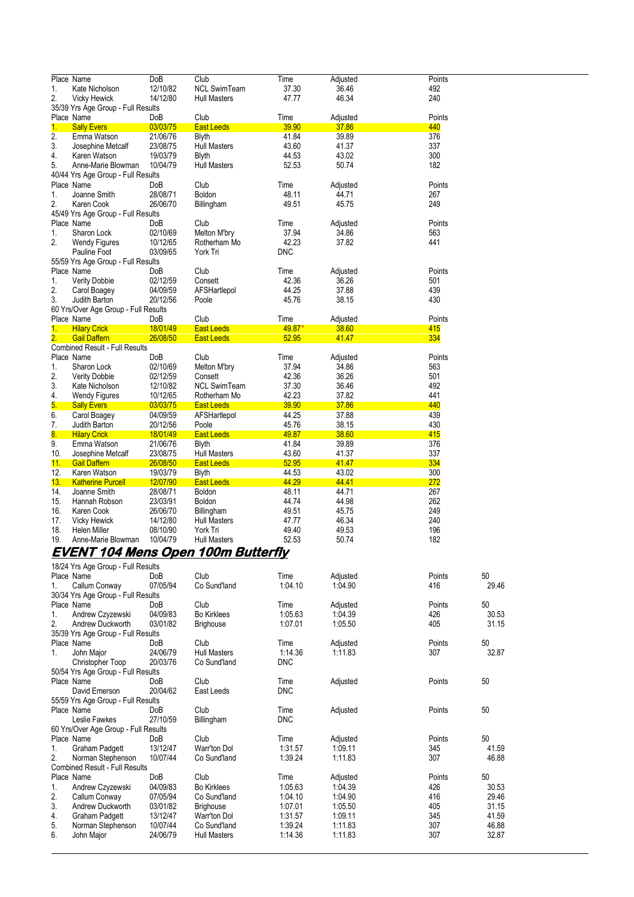|                  | Place Name                            | DoB        | Club                | Time       | Adjusted | Points |
|------------------|---------------------------------------|------------|---------------------|------------|----------|--------|
| 1.               | Kate Nicholson                        | 12/10/82   | <b>NCL SwimTeam</b> | 37.30      | 36.46    | 492    |
| 2.               | <b>Vicky Hewick</b>                   | 14/12/80   | <b>Hull Masters</b> | 47.77      | 46.34    | 240    |
|                  | 35/39 Yrs Age Group - Full Results    |            |                     |            |          |        |
|                  | Place Name                            | DoB        | Club                | Time       | Adjusted | Points |
| 1 <sub>1</sub>   | <b>Sally Evers</b>                    | 03/03/75   | <b>East Leeds</b>   | 39.90      | 37.86    | 440    |
| $\overline{2}$ . | Emma Watson                           | 21/06/76   | Blyth               | 41.84      | 39.89    | 376    |
| 3.               | Josephine Metcalf                     | 23/08/75   | <b>Hull Masters</b> | 43.60      | 41.37    | 337    |
| 4.               | Karen Watson                          | 19/03/79   | <b>Blyth</b>        | 44.53      | 43.02    | 300    |
| 5.               | Anne-Marie Blowman                    | 10/04/79   | <b>Hull Masters</b> | 52.53      | 50.74    | 182    |
|                  | 40/44 Yrs Age Group - Full Results    |            |                     |            |          |        |
|                  | Place Name                            | DoB        | Club                | Time       | Adjusted | Points |
| 1.               | Joanne Smith                          | 28/08/71   | Boldon              | 48.11      | 44.71    | 267    |
| $\overline{2}$ . | Karen Cook                            | 26/06/70   | Billingham          | 49.51      | 45.75    | 249    |
|                  | 45/49 Yrs Age Group - Full Results    |            |                     |            |          |        |
|                  | Place Name                            | <b>DoB</b> | Club                | Time       | Adjusted | Points |
| 1.               | Sharon Lock                           | 02/10/69   | Melton M'bry        | 37.94      | 34.86    | 563    |
| 2.               | <b>Wendy Figures</b>                  | 10/12/65   | Rotherham Mo        | 42.23      | 37.82    | 441    |
|                  | Pauline Foot                          | 03/09/65   | York Tri            | <b>DNC</b> |          |        |
|                  | 55/59 Yrs Age Group - Full Results    |            |                     |            |          |        |
|                  | Place Name                            | DoB        | Club                | Time       | Adjusted | Points |
| 1.               | <b>Verity Dobbie</b>                  | 02/12/59   | Consett             | 42.36      | 36.26    | 501    |
| 2.               | Carol Boagey                          | 04/09/59   | AFSHartlepol        | 44.25      | 37.88    | 439    |
| 3.               | Judith Barton                         | 20/12/56   | Poole               | 45.76      | 38.15    | 430    |
|                  | 60 Yrs/Over Age Group - Full Results  |            |                     |            |          |        |
|                  | Place Name                            | DoB        | Club                | Time       | Adjusted | Points |
| 1 <sub>1</sub>   | <b>Hilary Crick</b>                   | 18/01/49   | <b>East Leeds</b>   | 49.87*     | 38.60    | 415    |
| 2.               | <b>Gail Daffern</b>                   | 26/08/50   | <b>East Leeds</b>   | 52.95      | 41.47    | 334    |
|                  | <b>Combined Result - Full Results</b> |            |                     |            |          |        |
|                  | Place Name                            | DoB        | Club                | Time       | Adjusted | Points |
| 1.               | Sharon Lock                           | 02/10/69   | Melton M'bry        | 37.94      | 34.86    | 563    |
| $\overline{2}$ . | <b>Verity Dobbie</b>                  | 02/12/59   | Consett             | 42.36      | 36.26    | 501    |
| 3.               | Kate Nicholson                        | 12/10/82   | <b>NCL SwimTeam</b> | 37.30      | 36.46    | 492    |
| 4.               | <b>Wendy Figures</b>                  | 10/12/65   | Rotherham Mo        | 42.23      | 37.82    | 441    |
| 5.               | <b>Sally Evers</b>                    | 03/03/75   | <b>East Leeds</b>   | 39.90      | 37.86    | 440    |
| 6.               | Carol Boagey                          | 04/09/59   | AFSHartlepol        | 44.25      | 37.88    | 439    |
| 7.               | Judith Barton                         | 20/12/56   | Poole               | 45.76      | 38.15    | 430    |
| 8.               | <b>Hilary Crick</b>                   | 18/01/49   | <b>East Leeds</b>   | 49.87      | 38.60    | 415    |
| 9.               | Emma Watson                           | 21/06/76   | <b>Blyth</b>        | 41.84      | 39.89    | 376    |
| 10.              | Josephine Metcalf                     | 23/08/75   | <b>Hull Masters</b> | 43.60      | 41.37    | 337    |
| 11.              | <b>Gail Daffern</b>                   | 26/08/50   | <b>East Leeds</b>   | 52.95      | 41.47    | 334    |
| 12.              | Karen Watson                          | 19/03/79   | <b>Blyth</b>        | 44.53      | 43.02    | 300    |
| 13.              | <b>Katherine Purcell</b>              | 12/07/90   | <b>East Leeds</b>   | 44.29      | 44.41    | 272    |
| 14.              | Joanne Smith                          | 28/08/71   | <b>Boldon</b>       | 48.11      | 44.71    | 267    |
| 15.              | Hannah Robson                         | 23/03/91   | Boldon              | 44.74      | 44.98    | 262    |
| 16.              | Karen Cook                            | 26/06/70   | Billingham          | 49.51      | 45.75    | 249    |
| 17.              | <b>Vicky Hewick</b>                   | 14/12/80   | <b>Hull Masters</b> | 47.77      | 46.34    | 240    |
| 18.              | Helen Miller                          | 08/10/90   | York Tri            | 49.40      | 49.53    | 196    |
| 19.              | Anne-Marie Blowman                    | 10/04/79   | Hull Masters        | 52.53      | 50.74    | 182    |

### **EVENT 104 Mens Open 100m Butterfly**

|             | 18/24 Yrs Age Group - Full Results    |                 |                     |            |          |        |       |  |  |  |
|-------------|---------------------------------------|-----------------|---------------------|------------|----------|--------|-------|--|--|--|
|             | Place Name                            | Do <sub>B</sub> | Club                | Time       | Adjusted | Points | 50    |  |  |  |
| 1.          | Callum Conway                         | 07/05/94        | Co Sund'land        | 1:04.10    | 1:04.90  | 416    | 29.46 |  |  |  |
|             | 30/34 Yrs Age Group - Full Results    |                 |                     |            |          |        |       |  |  |  |
|             | Place Name                            | DoB             | Club                | Time       | Adjusted | Points | 50    |  |  |  |
| 1.          | Andrew Czyzewski                      | 04/09/83        | <b>Bo Kirklees</b>  | 1.05.63    | 1.04.39  | 426    | 30.53 |  |  |  |
| 2.          | Andrew Duckworth                      | 03/01/82        | <b>Brighouse</b>    | 1:07.01    | 1.05.50  | 405    | 31.15 |  |  |  |
|             | 35/39 Yrs Age Group - Full Results    |                 |                     |            |          |        |       |  |  |  |
|             | Place Name                            | DoB             | Club                | Time       | Adjusted | Points | 50    |  |  |  |
| $1_{\cdot}$ | John Major                            | 24/06/79        | <b>Hull Masters</b> | 1:14.36    | 1:11.83  | 307    | 32.87 |  |  |  |
|             | Christopher Toop                      | 20/03/76        | Co Sund'land        | <b>DNC</b> |          |        |       |  |  |  |
|             | 50/54 Yrs Age Group - Full Results    |                 |                     |            |          |        |       |  |  |  |
|             | Place Name                            | DoB             | Club                | Time       | Adjusted | Points | 50    |  |  |  |
|             | David Emerson                         | 20/04/62        | East Leeds          | <b>DNC</b> |          |        |       |  |  |  |
|             | 55/59 Yrs Age Group - Full Results    |                 |                     |            |          |        |       |  |  |  |
|             | Place Name                            | DoB             | Club                | Time       | Adjusted | Points | 50    |  |  |  |
|             | Leslie Fawkes                         | 27/10/59        | Billingham          | <b>DNC</b> |          |        |       |  |  |  |
|             | 60 Yrs/Over Age Group - Full Results  |                 |                     |            |          |        |       |  |  |  |
|             | Place Name                            | <b>DoB</b>      | Club                | Time       | Adjusted | Points | 50    |  |  |  |
| 1.          | <b>Graham Padgett</b>                 | 13/12/47        | Warr'ton Dol        | 1:31.57    | 1:09.11  | 345    | 41.59 |  |  |  |
| 2.          | Norman Stephenson                     | 10/07/44        | Co Sund'land        | 1:39.24    | 1:11.83  | 307    | 46.88 |  |  |  |
|             | <b>Combined Result - Full Results</b> |                 |                     |            |          |        |       |  |  |  |
|             | Place Name                            | <b>DoB</b>      | Club                | Time       | Adjusted | Points | 50    |  |  |  |
| 1.          | Andrew Czyzewski                      | 04/09/83        | <b>Bo Kirklees</b>  | 1:05.63    | 1.04.39  | 426    | 30.53 |  |  |  |
| 2.          | Callum Conway                         | 07/05/94        | Co Sund'land        | 1:04.10    | 1.04.90  | 416    | 29.46 |  |  |  |
| 3.          | Andrew Duckworth                      | 03/01/82        | <b>Brighouse</b>    | 1:07.01    | 1.05.50  | 405    | 31.15 |  |  |  |
| 4.          | Graham Padgett                        | 13/12/47        | Warr'ton Dol        | 1:31.57    | 1:09.11  | 345    | 41.59 |  |  |  |
| 5.          | Norman Stephenson                     | 10/07/44        | Co Sund'land        | 1.39.24    | 1:11.83  | 307    | 46.88 |  |  |  |
| 6.          | John Major                            | 24/06/79        | <b>Hull Masters</b> | 1:14.36    | 1:11.83  | 307    | 32.87 |  |  |  |
|             |                                       |                 |                     |            |          |        |       |  |  |  |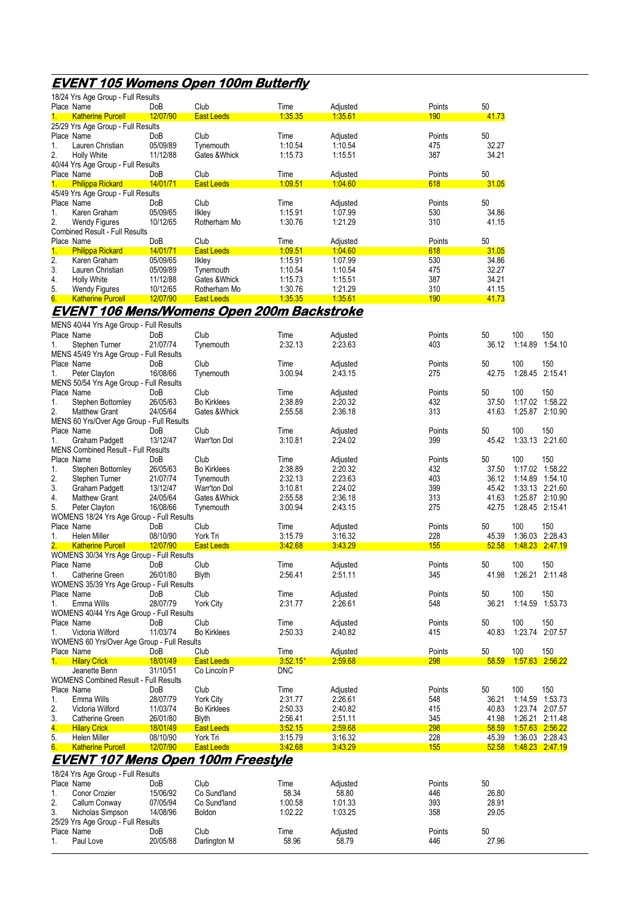# **EVENT 105 Womens Open 100m Butterfly**

|            | 18/24 Yrs Age Group - Full Results          |          |                                                   |            |          |            |       |                        |         |
|------------|---------------------------------------------|----------|---------------------------------------------------|------------|----------|------------|-------|------------------------|---------|
|            | Place Name                                  | DoB      | Club                                              | Time       | Adjusted | Points     | 50    |                        |         |
| $1_{-}$    | <b>Katherine Purcell</b>                    | 12/07/90 | <b>East Leeds</b>                                 | 1:35.35    | 1.35.61  | 190        | 41.73 |                        |         |
|            | 25/29 Yrs Age Group - Full Results          |          |                                                   |            |          |            |       |                        |         |
|            | Place Name                                  | DoB      | Club                                              | Time       | Adjusted | Points     | 50    |                        |         |
| 1.         | Lauren Christian                            | 05/09/89 | Tynemouth                                         | 1:10.54    | 1:10.54  | 475        | 32.27 |                        |         |
| 2.         | <b>Holly White</b>                          | 11/12/88 | Gates & Whick                                     | 1:15.73    | 1:15.51  | 387        | 34.21 |                        |         |
|            | 40/44 Yrs Age Group - Full Results          |          |                                                   |            |          |            |       |                        |         |
| Place Name |                                             | DoB      | Club                                              | Time       | Adjusted | Points     | 50    |                        |         |
| $1 -$      | <b>Philippa Rickard</b>                     | 14/01/71 | <b>East Leeds</b>                                 | 1.09.51    | 1.04.60  | 618        | 31.05 |                        |         |
|            | 45/49 Yrs Age Group - Full Results          |          |                                                   |            |          |            |       |                        |         |
|            | Place Name                                  | DoB      | Club                                              | Time       | Adjusted | Points     | 50    |                        |         |
| 1.         | Karen Graham                                | 05/09/65 | <b>Ilkley</b>                                     | 1:15.91    | 1.07.99  | 530        | 34.86 |                        |         |
| 2.         |                                             | 10/12/65 | Rotherham Mo                                      | 1:30.76    | 1.21.29  | 310        | 41.15 |                        |         |
|            | <b>Wendy Figures</b>                        |          |                                                   |            |          |            |       |                        |         |
|            | Combined Result - Full Results              |          |                                                   |            |          |            |       |                        |         |
| Place Name |                                             | DoB      | Club                                              | Time       | Adjusted | Points     | 50    |                        |         |
| 1.         | <b>Philippa Rickard</b>                     | 14/01/71 | <b>East Leeds</b>                                 | 1.09.51    | 1.04.60  | 618        | 31.05 |                        |         |
| 2.         | Karen Graham                                | 05/09/65 | <b>Ilkley</b>                                     | 1:15.91    | 1.07.99  | 530        | 34.86 |                        |         |
| 3.         | Lauren Christian                            | 05/09/89 | Tynemouth                                         | 1:10.54    | 1:10.54  | 475        | 32.27 |                        |         |
| 4.         | <b>Holly White</b>                          | 11/12/88 | Gates & Whick                                     | 1:15.73    | 1:15.51  | 387        | 34.21 |                        |         |
| 5.         | <b>Wendy Figures</b>                        | 10/12/65 | Rotherham Mo                                      | 1:30.76    | 1.21.29  | 310        | 41.15 |                        |         |
| 6.         | <b>Katherine Purcell</b>                    | 12/07/90 | <b>East Leeds</b>                                 | 1.35.35    | 1.35.61  | <b>190</b> | 41.73 |                        |         |
|            |                                             |          | <u>EVENT 106 Mens/Womens Open 200m Backstroke</u> |            |          |            |       |                        |         |
|            |                                             |          |                                                   |            |          |            |       |                        |         |
|            | MENS 40/44 Yrs Age Group - Full Results     |          |                                                   |            |          |            |       |                        |         |
|            | Place Name                                  | DoB      | Club                                              | Time       | Adjusted | Points     | 50    | 100                    | 150     |
| 1.         | Stephen Turner                              | 21/07/74 | Tynemouth                                         | 2:32.13    | 2:23.63  | 403        | 36.12 | 1:14.89                | 1.54.10 |
|            | MENS 45/49 Yrs Age Group - Full Results     |          |                                                   |            |          |            |       |                        |         |
| Place Name |                                             | DoB      | Club                                              | Time       | Adjusted | Points     | 50    | 100                    | 150     |
| 1.         | Peter Clayton                               | 16/08/66 | Tynemouth                                         | 3:00.94    | 2:43.15  | 275        | 42.75 | 1:28.45                | 2:15.41 |
|            | MENS 50/54 Yrs Age Group - Full Results     |          |                                                   |            |          |            |       |                        |         |
| Place Name |                                             | DoB      | Club                                              | Time       | Adjusted | Points     | 50    | 100                    | 150     |
| 1.         | Stephen Bottomley                           | 26/05/63 | <b>Bo Kirklees</b>                                | 2:38.89    | 2:20.32  | 432        | 37.50 | 1:17.02                | 1:58.22 |
| 2.         | <b>Matthew Grant</b>                        | 24/05/64 | Gates & Whick                                     | 2:55.58    | 2.36.18  | 313        | 41.63 | 1:25.87                | 2:10.90 |
|            | MENS 60 Yrs/Over Age Group - Full Results   |          |                                                   |            |          |            |       |                        |         |
|            | Place Name                                  | DoB      | Club                                              | Time       | Adjusted | Points     | 50    | 100                    | 150     |
| 1.         | <b>Graham Padgett</b>                       | 13/12/47 | Warr'ton Dol                                      | 3:10.81    | 2:24.02  | 399        | 45.42 | 1:33.13                | 2:21.60 |
|            |                                             |          |                                                   |            |          |            |       |                        |         |
|            | <b>MENS Combined Result - Full Results</b>  |          |                                                   |            |          |            |       |                        |         |
| Place Name |                                             | DoB      | Club                                              | Time       | Adjusted | Points     | 50    | 100                    | 150     |
| 1.         | Stephen Bottomley                           | 26/05/63 | <b>Bo Kirklees</b>                                | 2:38.89    | 2:20.32  | 432        | 37.50 | 1:17.02                | 1:58.22 |
| 2.         | Stephen Turner                              | 21/07/74 | Tynemouth                                         | 2:32.13    | 2.23.63  | 403        | 36.12 |                        |         |
| 3.         | Graham Padgett                              | 13/12/47 | Warr'ton Dol                                      | 3:10.81    | 2.24.02  | 399        | 45.42 | 1:33.13                | 2:21.60 |
| 4.         | <b>Matthew Grant</b>                        | 24/05/64 | Gates & Whick                                     | 2:55.58    | 2:36.18  | 313        | 41.63 | 1:25.87 2:10.90        |         |
| 5.         | Peter Clayton                               | 16/08/66 | Tynemouth                                         | 3.00.94    | 2:43.15  | 275        | 42.75 | 1:28.45 2:15.41        |         |
|            | WOMENS 18/24 Yrs Age Group - Full Results   |          |                                                   |            |          |            |       |                        |         |
|            | Place Name                                  | DoB      | Club                                              | Time       | Adjusted | Points     | 50    | 100                    | 150     |
| 1.         | Helen Miller                                | 08/10/90 | York Tri                                          | 3:15.79    | 3:16.32  | 228        | 45.39 | 1:36.03                | 2:28.43 |
|            | <b>Katherine Purcell</b>                    | 12/07/90 | <b>East Leeds</b>                                 | 3:42.68    | 343.29   | 155        | 52.58 | <u>1.48.23</u>         | 2.47.19 |
|            | WOMENS 30/34 Yrs Age Group - Full Results   |          |                                                   |            |          |            |       |                        |         |
|            | Place Name                                  | DoB      | Club                                              | Time       | Adjusted | Points     | 50    | 100                    | 150     |
| 1.         | Catherine Green                             | 26/01/80 | Blyth                                             | 2:56.41    | 2.51.11  | 345        | 41.98 | 1:26.21 2:11.48        |         |
|            | WOMENS 35/39 Yrs Age Group - Full Results   |          |                                                   |            |          |            |       |                        |         |
|            | Place Name                                  | DoB      | Club                                              | Time       | Adjusted | Points     | 50    | 100                    | 150     |
| 1.         | Emma Wills                                  | 28/07/79 | <b>York City</b>                                  | 2:31.77    | 2:26.61  | 548        | 36.21 | 1:14.59 1:53.73        |         |
|            | WOMENS 40/44 Yrs Age Group - Full Results   |          |                                                   |            |          |            |       |                        |         |
|            | Place Name                                  | DoB      | Club                                              | Time       | Adjusted | Points     | 50    | 100                    | 150     |
| 1.         | Victoria Wilford                            | 11/03/74 | <b>Bo Kirklees</b>                                | 2:50.33    | 2:40.82  | 415        | 40.83 | 1:23.74                | 2:07.57 |
|            | WOMENS 60 Yrs/Over Age Group - Full Results |          |                                                   |            |          |            |       |                        |         |
|            | Place Name                                  | DoB      | Club                                              | Time       | Adjusted | Points     | 50    | 100                    | 150     |
| 1.         | <b>Hilary Crick</b>                         | 18/01/49 |                                                   | $3.52.15*$ | 2:59.68  | 298        | 58.59 |                        |         |
|            | Jeanette Benn                               |          | <b>East Leeds</b>                                 |            |          |            |       | <u> 1.57.63</u>        | 2:56.22 |
|            |                                             | 31/10/51 | Co Lincoln P                                      | <b>DNC</b> |          |            |       |                        |         |
|            | WOMENS Combined Result - Full Results       |          |                                                   |            |          |            |       |                        |         |
| Place Name |                                             | DoB      | Club                                              | Time       | Adjusted | Points     | 50    | 100                    | 150     |
| 1.         | Emma Wills                                  | 28/07/79 | <b>York City</b>                                  | 2:31.77    | 2:26.61  | 548        | 36.21 | 1:14.59                | 1:53.73 |
| 2.         | Victoria Wilford                            | 11/03/74 | <b>Bo Kirklees</b>                                | 2:50.33    | 2:40.82  | 415        | 40.83 | 1:23.74                | 2:07.57 |
| 3.         | Catherine Green                             | 26/01/80 | <b>Blyth</b>                                      | 2:56.41    | 2:51.11  | 345        | 41.98 | 1:26.21                | 2:11.48 |
| 4.         | <b>Hilary Crick</b>                         | 18/01/49 | <b>East Leeds</b>                                 | 3:52.15    | 2:59.68  | <b>298</b> | 58.59 | <u> 1:57.63 </u>       | 2:56.22 |
| 5.         | Helen Miller                                | 08/10/90 | York Tri                                          | 3:15.79    | 3:16.32  | 228        | 45.39 | 1:36.03 2:28.43        |         |
| 6.         | <b>Katherine Purcell</b>                    | 12/07/90 | <b>East Leeds</b>                                 | 3:42.68    | 3.43.29  | 155        | 52.58 | <u>1.48.23 2.47.19</u> |         |
|            |                                             |          | <u>EVENT 107 Mens Open 100m Freestyle</u>         |            |          |            |       |                        |         |
|            |                                             |          |                                                   |            |          |            |       |                        |         |
|            | 18/24 Yrs Age Group - Full Results          |          |                                                   |            |          |            |       |                        |         |
|            | Place Name                                  | DoB      | Club                                              | Time       | Adjusted | Points     | 50    |                        |         |
| 1.         | Conor Crozier                               | 15/06/92 | Co Sund'land                                      | 58.34      | 58.80    | 446        | 26.80 |                        |         |
| 2.         | Callum Conway                               | 07/05/94 | Co Sund'land                                      | 1:00.58    | 1.01.33  | 393        | 28.91 |                        |         |
| 3.         | Nicholas Simpson                            | 14/08/96 | <b>Boldon</b>                                     | 1:02.22    | 1:03.25  | 358        | 29.05 |                        |         |
|            | 25/29 Yrs Age Group - Full Results          |          |                                                   |            |          |            |       |                        |         |
| Place Name |                                             | DoB      | Club                                              | Time       | Adjusted | Points     | 50    |                        |         |

1. Paul Love 20/05/88 Darlington M 58.96 58.79 446 27.96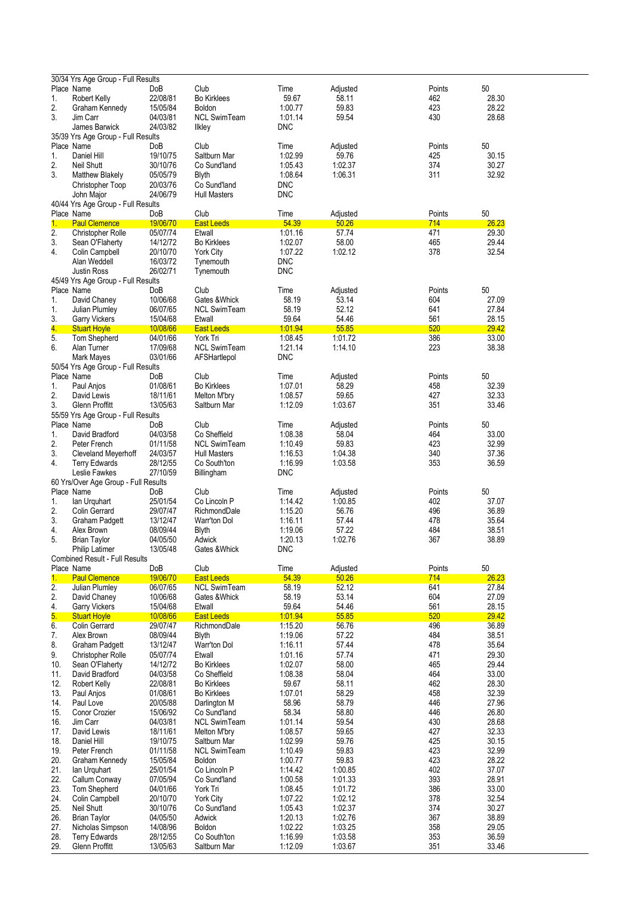|     | 30/34 Yrs Age Group - Full Results    |          |                     |            |          |        |       |
|-----|---------------------------------------|----------|---------------------|------------|----------|--------|-------|
|     | Place Name                            | DoB      | Club                | Time       | Adjusted | Points | 50    |
| 1.  | Robert Kelly                          | 22/08/81 | <b>Bo Kirklees</b>  | 59.67      | 58.11    | 462    | 28.30 |
| 2.  | Graham Kennedy                        | 15/05/84 | Boldon              | 1.00.77    | 59.83    | 423    | 28.22 |
|     |                                       |          |                     |            |          |        |       |
| 3.  | Jim Carr                              | 04/03/81 | <b>NCL SwimTeam</b> | 1.01.14    | 59.54    | 430    | 28.68 |
|     | James Barwick                         | 24/03/82 | <b>Ilkley</b>       | <b>DNC</b> |          |        |       |
|     | 35/39 Yrs Age Group - Full Results    |          |                     |            |          |        |       |
|     | Place Name                            | DoB      | Club                | Time       | Adjusted | Points | 50    |
| 1.  | Daniel Hill                           | 19/10/75 | Saltburn Mar        | 1:02.99    | 59.76    | 425    | 30.15 |
| 2.  | <b>Neil Shutt</b>                     | 30/10/76 | Co Sund'land        | 1.05.43    | 1:02.37  | 374    | 30.27 |
| 3.  | <b>Matthew Blakely</b>                | 05/05/79 | <b>Blyth</b>        | 1.08.64    | 1:06.31  | 311    | 32.92 |
|     | Christopher Toop                      | 20/03/76 | Co Sund'land        | <b>DNC</b> |          |        |       |
|     | John Major                            | 24/06/79 | <b>Hull Masters</b> | <b>DNC</b> |          |        |       |
|     |                                       |          |                     |            |          |        |       |
|     | 40/44 Yrs Age Group - Full Results    |          |                     |            |          |        |       |
|     | Place Name                            | DoB      | Club                | Time       | Adjusted | Points | 50    |
| 1.  | <b>Paul Clemence</b>                  | 19/06/70 | <b>East Leeds</b>   | 54.39      | 50.26    | 714    | 26.23 |
| 2.  | Christopher Rolle                     | 05/07/74 | Etwall              | 1:01.16    | 57.74    | 471    | 29.30 |
| 3.  | Sean O'Flaherty                       | 14/12/72 | <b>Bo Kirklees</b>  | 1:02.07    | 58.00    | 465    | 29.44 |
| 4.  | Colin Campbell                        | 20/10/70 | <b>York City</b>    | 1.07.22    | 1:02.12  | 378    | 32.54 |
|     | Alan Weddell                          | 16/03/72 | Tynemouth           | <b>DNC</b> |          |        |       |
|     |                                       |          |                     |            |          |        |       |
|     | <b>Justin Ross</b>                    | 26/02/71 | Tynemouth           | <b>DNC</b> |          |        |       |
|     | 45/49 Yrs Age Group - Full Results    |          |                     |            |          |        |       |
|     | Place Name                            | DoB      | Club                | Time       | Adjusted | Points | 50    |
| 1.  | David Chaney                          | 10/06/68 | Gates & Whick       | 58.19      | 53.14    | 604    | 27.09 |
| 1.  | Julian Plumley                        | 06/07/65 | <b>NCL SwimTeam</b> | 58.19      | 52.12    | 641    | 27.84 |
| 3.  | <b>Garry Vickers</b>                  | 15/04/68 | Etwall              | 59.64      | 54.46    | 561    | 28.15 |
| 4.  | <b>Stuart Hoyle</b>                   | 10/08/66 | <b>East Leeds</b>   | 1.01.94    | 55.85    | 520    | 29.42 |
| 5.  | Tom Shepherd                          | 04/01/66 | York Tri            | 1:08.45    | 1.01.72  | 386    | 33.00 |
|     |                                       |          |                     |            |          |        |       |
| 6.  | Alan Turner                           | 17/09/68 | <b>NCL SwimTeam</b> | 1.21.14    | 1:14.10  | 223    | 38.38 |
|     | Mark Mayes                            | 03/01/66 | AFSHartlepol        | <b>DNC</b> |          |        |       |
|     | 50/54 Yrs Age Group - Full Results    |          |                     |            |          |        |       |
|     | Place Name                            | DoB      | Club                | Time       | Adjusted | Points | 50    |
| 1.  | Paul Anjos                            | 01/08/61 | <b>Bo Kirklees</b>  | 1:07.01    | 58.29    | 458    | 32.39 |
| 2.  | David Lewis                           | 18/11/61 | Melton M'bry        | 1:08.57    | 59.65    | 427    | 32.33 |
| 3.  | Glenn Proffitt                        | 13/05/63 |                     | 1:12.09    | 1:03.67  | 351    | 33.46 |
|     |                                       |          | Saltburn Mar        |            |          |        |       |
|     | 55/59 Yrs Age Group - Full Results    |          |                     |            |          |        |       |
|     | Place Name                            | DoB      | Club                | Time       | Adjusted | Points | 50    |
| 1.  | David Bradford                        | 04/03/58 | Co Sheffield        | 1:08.38    | 58.04    | 464    | 33.00 |
| 2.  | Peter French                          | 01/11/58 | <b>NCL SwimTeam</b> | 1:10.49    | 59.83    | 423    | 32.99 |
| 3.  | Cleveland Meyerhoff                   | 24/03/57 | <b>Hull Masters</b> | 1:16.53    | 1:04.38  | 340    | 37.36 |
| 4.  | <b>Terry Edwards</b>                  | 28/12/55 | Co South'ton        | 1:16.99    | 1:03.58  | 353    | 36.59 |
|     | Leslie Fawkes                         | 27/10/59 |                     | <b>DNC</b> |          |        |       |
|     |                                       |          | Billingham          |            |          |        |       |
|     | 60 Yrs/Over Age Group - Full Results  |          |                     |            |          |        |       |
|     | Place Name                            | DoB      | Club                | Time       | Adjusted | Points | 50    |
| 1.  | lan Urquhart                          | 25/01/54 | Co Lincoln P        | 1:14.42    | 1:00.85  | 402    | 37.07 |
| 2.  | Colin Gerrard                         | 29/07/47 | RichmondDale        | 1:15.20    | 56.76    | 496    | 36.89 |
| 3.  | Graham Padgett                        | 13/12/47 | Warr'ton Dol        | 1:16.11    | 57.44    | 478    | 35.64 |
| 4.  | Alex Brown                            | 08/09/44 | <b>Blyth</b>        | 1:19.06    | 57.22    | 484    | 38.51 |
| 5.  |                                       | 04/05/50 |                     | 1:20.13    | 1:02.76  | 367    | 38.89 |
|     | <b>Brian Taylor</b>                   |          | Adwick              |            |          |        |       |
|     | Philip Latimer                        | 13/05/48 | Gates & Whick       | DNC.       |          |        |       |
|     | <b>Combined Result - Full Results</b> |          |                     |            |          |        |       |
|     | Place Name                            | DoB      | Club                | Time       | Adjusted | Points | 50    |
| 1.  | <b>Paul Clemence</b>                  | 19/06/70 | <b>East Leeds</b>   | 54.39      | 50.26    | 714    | 26.23 |
| 2.  | <b>Julian Plumley</b>                 | 06/07/65 | <b>NCL SwimTeam</b> | 58.19      | 52.12    | 641    | 27.84 |
| 2.  | David Chaney                          | 10/06/68 | Gates & Whick       | 58.19      | 53.14    | 604    | 27.09 |
|     |                                       |          |                     | 59.64      |          | 561    |       |
| 4.  | <b>Garry Vickers</b>                  | 15/04/68 | Etwall              |            | 54.46    |        | 28.15 |
| 5.  | <b>Stuart Hoyle</b>                   | 10/08/66 | <b>East Leeds</b>   | 1.01.94    | 55.85    | 520    | 29.42 |
| 6.  | Colin Gerrard                         | 29/07/47 | RichmondDale        | 1:15.20    | 56.76    | 496    | 36.89 |
| 7.  | Alex Brown                            | 08/09/44 | <b>Blyth</b>        | 1:19.06    | 57.22    | 484    | 38.51 |
| 8.  | <b>Graham Padgett</b>                 | 13/12/47 | Warr'ton Dol        | 1:16.11    | 57.44    | 478    | 35.64 |
| 9.  | <b>Christopher Rolle</b>              | 05/07/74 | Etwall              | 1:01.16    | 57.74    | 471    | 29.30 |
| 10. | Sean O'Flaherty                       | 14/12/72 | <b>Bo Kirklees</b>  | 1:02.07    | 58.00    | 465    | 29.44 |
| 11. | David Bradford                        | 04/03/58 | Co Sheffield        | 1:08.38    | 58.04    | 464    | 33.00 |
|     |                                       |          |                     |            |          | 462    |       |
| 12. | Robert Kelly                          | 22/08/81 | <b>Bo Kirklees</b>  | 59.67      | 58.11    |        | 28.30 |
| 13. | Paul Anjos                            | 01/08/61 | <b>Bo Kirklees</b>  | 1:07.01    | 58.29    | 458    | 32.39 |
| 14. | Paul Love                             | 20/05/88 | Darlington M        | 58.96      | 58.79    | 446    | 27.96 |
| 15. | Conor Crozier                         | 15/06/92 | Co Sund'land        | 58.34      | 58.80    | 446    | 26.80 |
| 16. | Jim Carr                              | 04/03/81 | <b>NCL SwimTeam</b> | 1.01.14    | 59.54    | 430    | 28.68 |
| 17. | David Lewis                           | 18/11/61 | Melton M'bry        | 1:08.57    | 59.65    | 427    | 32.33 |
| 18. | Daniel Hill                           | 19/10/75 | Saltburn Mar        | 1:02.99    | 59.76    | 425    | 30.15 |
| 19. | Peter French                          | 01/11/58 | <b>NCL SwimTeam</b> | 1:10.49    | 59.83    | 423    | 32.99 |
|     |                                       |          |                     |            |          |        |       |
| 20. | Graham Kennedy                        | 15/05/84 | Boldon              | 1.00.77    | 59.83    | 423    | 28.22 |
| 21. | lan Urguhart                          | 25/01/54 | Co Lincoln P        | 1:14.42    | 1:00.85  | 402    | 37.07 |
| 22. | Callum Conway                         | 07/05/94 | Co Sund'land        | 1:00.58    | 1.01.33  | 393    | 28.91 |
| 23. | Tom Shepherd                          | 04/01/66 | York Tri            | 1:08.45    | 1:01.72  | 386    | 33.00 |
| 24. | Colin Campbell                        | 20/10/70 | <b>York City</b>    | 1:07.22    | 1:02.12  | 378    | 32.54 |
| 25. | <b>Neil Shutt</b>                     | 30/10/76 | Co Sund'land        | 1:05.43    | 1:02.37  | 374    | 30.27 |
| 26. | <b>Brian Taylor</b>                   | 04/05/50 | Adwick              | 1:20.13    | 1:02.76  | 367    | 38.89 |
|     |                                       |          |                     |            |          |        |       |
| 27. | Nicholas Simpson                      | 14/08/96 | Boldon              | 1:02.22    | 1:03.25  | 358    | 29.05 |
| 28. | <b>Terry Edwards</b>                  | 28/12/55 | Co South'ton        | 1:16.99    | 1:03.58  | 353    | 36.59 |
| 29. | Glenn Proffitt                        | 13/05/63 | Saltburn Mar        | 1:12.09    | 1:03.67  | 351    | 33.46 |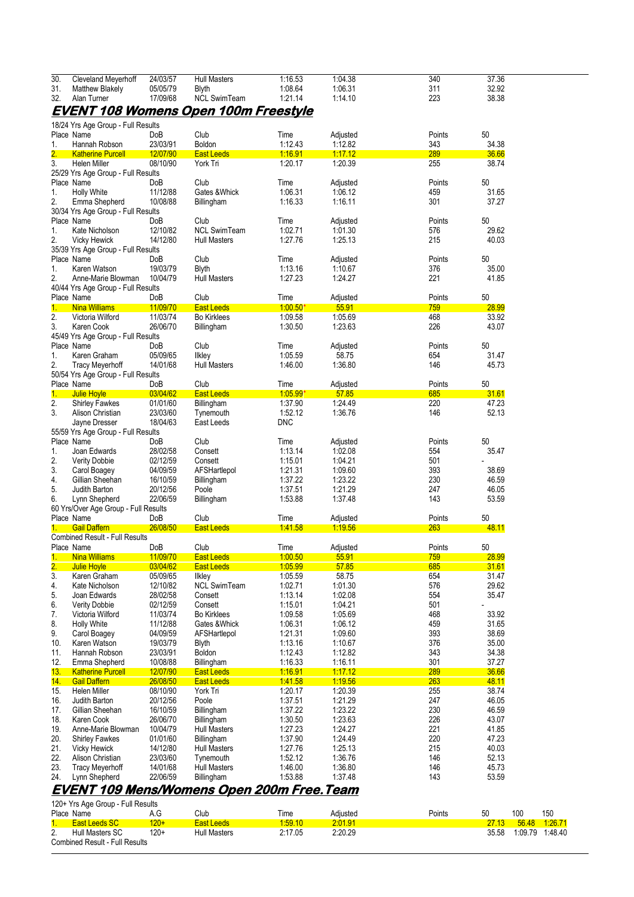| Cleveland Meyerhoff<br><b>Matthew Blakely</b><br>Alan Turner | 24/03/57                                                                                                                                                                                                                                                                                                                                        | <b>Hull Masters</b>                                                                                                                                                                                                                                                                                                                                                                                                                                                                                                        |                                                                                                                                                                                                                                                                                                                                                                |                                                                                                                                                                                                                                                                      |                                                                                                                                                                                                                                                                                 |                                                                                                                                                                                               |                                                                                                                                                                                           |
|--------------------------------------------------------------|-------------------------------------------------------------------------------------------------------------------------------------------------------------------------------------------------------------------------------------------------------------------------------------------------------------------------------------------------|----------------------------------------------------------------------------------------------------------------------------------------------------------------------------------------------------------------------------------------------------------------------------------------------------------------------------------------------------------------------------------------------------------------------------------------------------------------------------------------------------------------------------|----------------------------------------------------------------------------------------------------------------------------------------------------------------------------------------------------------------------------------------------------------------------------------------------------------------------------------------------------------------|----------------------------------------------------------------------------------------------------------------------------------------------------------------------------------------------------------------------------------------------------------------------|---------------------------------------------------------------------------------------------------------------------------------------------------------------------------------------------------------------------------------------------------------------------------------|-----------------------------------------------------------------------------------------------------------------------------------------------------------------------------------------------|-------------------------------------------------------------------------------------------------------------------------------------------------------------------------------------------|
|                                                              |                                                                                                                                                                                                                                                                                                                                                 |                                                                                                                                                                                                                                                                                                                                                                                                                                                                                                                            | 1:16.53                                                                                                                                                                                                                                                                                                                                                        | 1:04.38                                                                                                                                                                                                                                                              | 340                                                                                                                                                                                                                                                                             | 37.36                                                                                                                                                                                         |                                                                                                                                                                                           |
|                                                              | 05/05/79                                                                                                                                                                                                                                                                                                                                        | <b>Blyth</b>                                                                                                                                                                                                                                                                                                                                                                                                                                                                                                               | 1:08.64                                                                                                                                                                                                                                                                                                                                                        | 1:06.31                                                                                                                                                                                                                                                              | 311                                                                                                                                                                                                                                                                             | 32.92                                                                                                                                                                                         |                                                                                                                                                                                           |
|                                                              | 17/09/68                                                                                                                                                                                                                                                                                                                                        | <b>NCL SwimTeam</b>                                                                                                                                                                                                                                                                                                                                                                                                                                                                                                        | 1.21.14                                                                                                                                                                                                                                                                                                                                                        | 1:14.10                                                                                                                                                                                                                                                              | 223                                                                                                                                                                                                                                                                             | 38.38                                                                                                                                                                                         |                                                                                                                                                                                           |
|                                                              |                                                                                                                                                                                                                                                                                                                                                 |                                                                                                                                                                                                                                                                                                                                                                                                                                                                                                                            |                                                                                                                                                                                                                                                                                                                                                                |                                                                                                                                                                                                                                                                      |                                                                                                                                                                                                                                                                                 |                                                                                                                                                                                               |                                                                                                                                                                                           |
|                                                              |                                                                                                                                                                                                                                                                                                                                                 | <u>EVENT 108 Womens Open 100m Freestyle</u>                                                                                                                                                                                                                                                                                                                                                                                                                                                                                |                                                                                                                                                                                                                                                                                                                                                                |                                                                                                                                                                                                                                                                      |                                                                                                                                                                                                                                                                                 |                                                                                                                                                                                               |                                                                                                                                                                                           |
|                                                              |                                                                                                                                                                                                                                                                                                                                                 |                                                                                                                                                                                                                                                                                                                                                                                                                                                                                                                            |                                                                                                                                                                                                                                                                                                                                                                |                                                                                                                                                                                                                                                                      |                                                                                                                                                                                                                                                                                 |                                                                                                                                                                                               |                                                                                                                                                                                           |
| 18/24 Yrs Age Group - Full Results                           |                                                                                                                                                                                                                                                                                                                                                 |                                                                                                                                                                                                                                                                                                                                                                                                                                                                                                                            |                                                                                                                                                                                                                                                                                                                                                                |                                                                                                                                                                                                                                                                      |                                                                                                                                                                                                                                                                                 |                                                                                                                                                                                               |                                                                                                                                                                                           |
| Place Name                                                   | DoB                                                                                                                                                                                                                                                                                                                                             | Club                                                                                                                                                                                                                                                                                                                                                                                                                                                                                                                       | Time                                                                                                                                                                                                                                                                                                                                                           | Adjusted                                                                                                                                                                                                                                                             | Points                                                                                                                                                                                                                                                                          | 50                                                                                                                                                                                            |                                                                                                                                                                                           |
| Hannah Robson                                                | 23/03/91                                                                                                                                                                                                                                                                                                                                        | Boldon                                                                                                                                                                                                                                                                                                                                                                                                                                                                                                                     | 1:12.43                                                                                                                                                                                                                                                                                                                                                        | 1:12.82                                                                                                                                                                                                                                                              | 343                                                                                                                                                                                                                                                                             | 34.38                                                                                                                                                                                         |                                                                                                                                                                                           |
|                                                              |                                                                                                                                                                                                                                                                                                                                                 |                                                                                                                                                                                                                                                                                                                                                                                                                                                                                                                            |                                                                                                                                                                                                                                                                                                                                                                |                                                                                                                                                                                                                                                                      |                                                                                                                                                                                                                                                                                 |                                                                                                                                                                                               |                                                                                                                                                                                           |
| <b>Katherine Purcell</b>                                     | 12/07/90                                                                                                                                                                                                                                                                                                                                        | <b>East Leeds</b>                                                                                                                                                                                                                                                                                                                                                                                                                                                                                                          | 1:16.91                                                                                                                                                                                                                                                                                                                                                        | 1:17.12                                                                                                                                                                                                                                                              | 289                                                                                                                                                                                                                                                                             | 36.66                                                                                                                                                                                         |                                                                                                                                                                                           |
| Helen Miller                                                 | 08/10/90                                                                                                                                                                                                                                                                                                                                        | York Tri                                                                                                                                                                                                                                                                                                                                                                                                                                                                                                                   | 1:20.17                                                                                                                                                                                                                                                                                                                                                        | 1:20.39                                                                                                                                                                                                                                                              | 255                                                                                                                                                                                                                                                                             | 38.74                                                                                                                                                                                         |                                                                                                                                                                                           |
| 25/29 Yrs Age Group - Full Results                           |                                                                                                                                                                                                                                                                                                                                                 |                                                                                                                                                                                                                                                                                                                                                                                                                                                                                                                            |                                                                                                                                                                                                                                                                                                                                                                |                                                                                                                                                                                                                                                                      |                                                                                                                                                                                                                                                                                 |                                                                                                                                                                                               |                                                                                                                                                                                           |
|                                                              |                                                                                                                                                                                                                                                                                                                                                 |                                                                                                                                                                                                                                                                                                                                                                                                                                                                                                                            |                                                                                                                                                                                                                                                                                                                                                                |                                                                                                                                                                                                                                                                      |                                                                                                                                                                                                                                                                                 |                                                                                                                                                                                               |                                                                                                                                                                                           |
| Place Name                                                   | DoB                                                                                                                                                                                                                                                                                                                                             | Club                                                                                                                                                                                                                                                                                                                                                                                                                                                                                                                       | Time                                                                                                                                                                                                                                                                                                                                                           | Adjusted                                                                                                                                                                                                                                                             | Points                                                                                                                                                                                                                                                                          | 50                                                                                                                                                                                            |                                                                                                                                                                                           |
| <b>Holly White</b>                                           |                                                                                                                                                                                                                                                                                                                                                 |                                                                                                                                                                                                                                                                                                                                                                                                                                                                                                                            |                                                                                                                                                                                                                                                                                                                                                                |                                                                                                                                                                                                                                                                      |                                                                                                                                                                                                                                                                                 |                                                                                                                                                                                               |                                                                                                                                                                                           |
|                                                              |                                                                                                                                                                                                                                                                                                                                                 |                                                                                                                                                                                                                                                                                                                                                                                                                                                                                                                            |                                                                                                                                                                                                                                                                                                                                                                |                                                                                                                                                                                                                                                                      |                                                                                                                                                                                                                                                                                 |                                                                                                                                                                                               |                                                                                                                                                                                           |
|                                                              |                                                                                                                                                                                                                                                                                                                                                 |                                                                                                                                                                                                                                                                                                                                                                                                                                                                                                                            |                                                                                                                                                                                                                                                                                                                                                                |                                                                                                                                                                                                                                                                      |                                                                                                                                                                                                                                                                                 |                                                                                                                                                                                               |                                                                                                                                                                                           |
|                                                              |                                                                                                                                                                                                                                                                                                                                                 |                                                                                                                                                                                                                                                                                                                                                                                                                                                                                                                            |                                                                                                                                                                                                                                                                                                                                                                |                                                                                                                                                                                                                                                                      |                                                                                                                                                                                                                                                                                 |                                                                                                                                                                                               |                                                                                                                                                                                           |
| Place Name                                                   |                                                                                                                                                                                                                                                                                                                                                 |                                                                                                                                                                                                                                                                                                                                                                                                                                                                                                                            |                                                                                                                                                                                                                                                                                                                                                                |                                                                                                                                                                                                                                                                      |                                                                                                                                                                                                                                                                                 |                                                                                                                                                                                               |                                                                                                                                                                                           |
|                                                              |                                                                                                                                                                                                                                                                                                                                                 |                                                                                                                                                                                                                                                                                                                                                                                                                                                                                                                            |                                                                                                                                                                                                                                                                                                                                                                |                                                                                                                                                                                                                                                                      |                                                                                                                                                                                                                                                                                 |                                                                                                                                                                                               |                                                                                                                                                                                           |
|                                                              |                                                                                                                                                                                                                                                                                                                                                 |                                                                                                                                                                                                                                                                                                                                                                                                                                                                                                                            |                                                                                                                                                                                                                                                                                                                                                                |                                                                                                                                                                                                                                                                      |                                                                                                                                                                                                                                                                                 |                                                                                                                                                                                               |                                                                                                                                                                                           |
|                                                              |                                                                                                                                                                                                                                                                                                                                                 |                                                                                                                                                                                                                                                                                                                                                                                                                                                                                                                            |                                                                                                                                                                                                                                                                                                                                                                |                                                                                                                                                                                                                                                                      |                                                                                                                                                                                                                                                                                 |                                                                                                                                                                                               |                                                                                                                                                                                           |
|                                                              |                                                                                                                                                                                                                                                                                                                                                 |                                                                                                                                                                                                                                                                                                                                                                                                                                                                                                                            |                                                                                                                                                                                                                                                                                                                                                                |                                                                                                                                                                                                                                                                      |                                                                                                                                                                                                                                                                                 |                                                                                                                                                                                               |                                                                                                                                                                                           |
|                                                              |                                                                                                                                                                                                                                                                                                                                                 |                                                                                                                                                                                                                                                                                                                                                                                                                                                                                                                            |                                                                                                                                                                                                                                                                                                                                                                |                                                                                                                                                                                                                                                                      |                                                                                                                                                                                                                                                                                 |                                                                                                                                                                                               |                                                                                                                                                                                           |
|                                                              |                                                                                                                                                                                                                                                                                                                                                 |                                                                                                                                                                                                                                                                                                                                                                                                                                                                                                                            |                                                                                                                                                                                                                                                                                                                                                                |                                                                                                                                                                                                                                                                      |                                                                                                                                                                                                                                                                                 |                                                                                                                                                                                               |                                                                                                                                                                                           |
|                                                              |                                                                                                                                                                                                                                                                                                                                                 |                                                                                                                                                                                                                                                                                                                                                                                                                                                                                                                            |                                                                                                                                                                                                                                                                                                                                                                |                                                                                                                                                                                                                                                                      |                                                                                                                                                                                                                                                                                 |                                                                                                                                                                                               |                                                                                                                                                                                           |
| Anne-Marie Blowman                                           |                                                                                                                                                                                                                                                                                                                                                 |                                                                                                                                                                                                                                                                                                                                                                                                                                                                                                                            |                                                                                                                                                                                                                                                                                                                                                                |                                                                                                                                                                                                                                                                      |                                                                                                                                                                                                                                                                                 |                                                                                                                                                                                               |                                                                                                                                                                                           |
|                                                              |                                                                                                                                                                                                                                                                                                                                                 |                                                                                                                                                                                                                                                                                                                                                                                                                                                                                                                            |                                                                                                                                                                                                                                                                                                                                                                |                                                                                                                                                                                                                                                                      |                                                                                                                                                                                                                                                                                 |                                                                                                                                                                                               |                                                                                                                                                                                           |
|                                                              |                                                                                                                                                                                                                                                                                                                                                 |                                                                                                                                                                                                                                                                                                                                                                                                                                                                                                                            |                                                                                                                                                                                                                                                                                                                                                                |                                                                                                                                                                                                                                                                      |                                                                                                                                                                                                                                                                                 |                                                                                                                                                                                               |                                                                                                                                                                                           |
|                                                              |                                                                                                                                                                                                                                                                                                                                                 |                                                                                                                                                                                                                                                                                                                                                                                                                                                                                                                            |                                                                                                                                                                                                                                                                                                                                                                |                                                                                                                                                                                                                                                                      |                                                                                                                                                                                                                                                                                 |                                                                                                                                                                                               |                                                                                                                                                                                           |
|                                                              |                                                                                                                                                                                                                                                                                                                                                 | <b>East Leeds</b>                                                                                                                                                                                                                                                                                                                                                                                                                                                                                                          |                                                                                                                                                                                                                                                                                                                                                                |                                                                                                                                                                                                                                                                      |                                                                                                                                                                                                                                                                                 |                                                                                                                                                                                               |                                                                                                                                                                                           |
|                                                              |                                                                                                                                                                                                                                                                                                                                                 |                                                                                                                                                                                                                                                                                                                                                                                                                                                                                                                            |                                                                                                                                                                                                                                                                                                                                                                |                                                                                                                                                                                                                                                                      |                                                                                                                                                                                                                                                                                 |                                                                                                                                                                                               |                                                                                                                                                                                           |
|                                                              |                                                                                                                                                                                                                                                                                                                                                 |                                                                                                                                                                                                                                                                                                                                                                                                                                                                                                                            |                                                                                                                                                                                                                                                                                                                                                                |                                                                                                                                                                                                                                                                      |                                                                                                                                                                                                                                                                                 |                                                                                                                                                                                               |                                                                                                                                                                                           |
|                                                              |                                                                                                                                                                                                                                                                                                                                                 |                                                                                                                                                                                                                                                                                                                                                                                                                                                                                                                            |                                                                                                                                                                                                                                                                                                                                                                |                                                                                                                                                                                                                                                                      |                                                                                                                                                                                                                                                                                 |                                                                                                                                                                                               |                                                                                                                                                                                           |
|                                                              |                                                                                                                                                                                                                                                                                                                                                 |                                                                                                                                                                                                                                                                                                                                                                                                                                                                                                                            |                                                                                                                                                                                                                                                                                                                                                                |                                                                                                                                                                                                                                                                      |                                                                                                                                                                                                                                                                                 |                                                                                                                                                                                               |                                                                                                                                                                                           |
|                                                              |                                                                                                                                                                                                                                                                                                                                                 |                                                                                                                                                                                                                                                                                                                                                                                                                                                                                                                            |                                                                                                                                                                                                                                                                                                                                                                |                                                                                                                                                                                                                                                                      |                                                                                                                                                                                                                                                                                 |                                                                                                                                                                                               |                                                                                                                                                                                           |
|                                                              |                                                                                                                                                                                                                                                                                                                                                 |                                                                                                                                                                                                                                                                                                                                                                                                                                                                                                                            |                                                                                                                                                                                                                                                                                                                                                                |                                                                                                                                                                                                                                                                      |                                                                                                                                                                                                                                                                                 |                                                                                                                                                                                               |                                                                                                                                                                                           |
|                                                              |                                                                                                                                                                                                                                                                                                                                                 |                                                                                                                                                                                                                                                                                                                                                                                                                                                                                                                            |                                                                                                                                                                                                                                                                                                                                                                |                                                                                                                                                                                                                                                                      |                                                                                                                                                                                                                                                                                 |                                                                                                                                                                                               |                                                                                                                                                                                           |
| <b>Tracy Meyerhoff</b>                                       |                                                                                                                                                                                                                                                                                                                                                 | <b>Hull Masters</b>                                                                                                                                                                                                                                                                                                                                                                                                                                                                                                        | 1.46.00                                                                                                                                                                                                                                                                                                                                                        |                                                                                                                                                                                                                                                                      |                                                                                                                                                                                                                                                                                 | 45.73                                                                                                                                                                                         |                                                                                                                                                                                           |
|                                                              |                                                                                                                                                                                                                                                                                                                                                 |                                                                                                                                                                                                                                                                                                                                                                                                                                                                                                                            |                                                                                                                                                                                                                                                                                                                                                                |                                                                                                                                                                                                                                                                      |                                                                                                                                                                                                                                                                                 |                                                                                                                                                                                               |                                                                                                                                                                                           |
|                                                              |                                                                                                                                                                                                                                                                                                                                                 |                                                                                                                                                                                                                                                                                                                                                                                                                                                                                                                            |                                                                                                                                                                                                                                                                                                                                                                |                                                                                                                                                                                                                                                                      |                                                                                                                                                                                                                                                                                 |                                                                                                                                                                                               |                                                                                                                                                                                           |
|                                                              |                                                                                                                                                                                                                                                                                                                                                 |                                                                                                                                                                                                                                                                                                                                                                                                                                                                                                                            |                                                                                                                                                                                                                                                                                                                                                                |                                                                                                                                                                                                                                                                      |                                                                                                                                                                                                                                                                                 |                                                                                                                                                                                               |                                                                                                                                                                                           |
| Julie Hoyle                                                  |                                                                                                                                                                                                                                                                                                                                                 |                                                                                                                                                                                                                                                                                                                                                                                                                                                                                                                            |                                                                                                                                                                                                                                                                                                                                                                |                                                                                                                                                                                                                                                                      |                                                                                                                                                                                                                                                                                 |                                                                                                                                                                                               |                                                                                                                                                                                           |
|                                                              |                                                                                                                                                                                                                                                                                                                                                 |                                                                                                                                                                                                                                                                                                                                                                                                                                                                                                                            |                                                                                                                                                                                                                                                                                                                                                                |                                                                                                                                                                                                                                                                      |                                                                                                                                                                                                                                                                                 |                                                                                                                                                                                               |                                                                                                                                                                                           |
|                                                              |                                                                                                                                                                                                                                                                                                                                                 |                                                                                                                                                                                                                                                                                                                                                                                                                                                                                                                            |                                                                                                                                                                                                                                                                                                                                                                |                                                                                                                                                                                                                                                                      |                                                                                                                                                                                                                                                                                 |                                                                                                                                                                                               |                                                                                                                                                                                           |
|                                                              |                                                                                                                                                                                                                                                                                                                                                 |                                                                                                                                                                                                                                                                                                                                                                                                                                                                                                                            |                                                                                                                                                                                                                                                                                                                                                                |                                                                                                                                                                                                                                                                      |                                                                                                                                                                                                                                                                                 |                                                                                                                                                                                               |                                                                                                                                                                                           |
| Jayne Dresser                                                |                                                                                                                                                                                                                                                                                                                                                 |                                                                                                                                                                                                                                                                                                                                                                                                                                                                                                                            |                                                                                                                                                                                                                                                                                                                                                                |                                                                                                                                                                                                                                                                      |                                                                                                                                                                                                                                                                                 |                                                                                                                                                                                               |                                                                                                                                                                                           |
|                                                              |                                                                                                                                                                                                                                                                                                                                                 |                                                                                                                                                                                                                                                                                                                                                                                                                                                                                                                            |                                                                                                                                                                                                                                                                                                                                                                |                                                                                                                                                                                                                                                                      |                                                                                                                                                                                                                                                                                 |                                                                                                                                                                                               |                                                                                                                                                                                           |
|                                                              |                                                                                                                                                                                                                                                                                                                                                 |                                                                                                                                                                                                                                                                                                                                                                                                                                                                                                                            |                                                                                                                                                                                                                                                                                                                                                                |                                                                                                                                                                                                                                                                      |                                                                                                                                                                                                                                                                                 |                                                                                                                                                                                               |                                                                                                                                                                                           |
|                                                              |                                                                                                                                                                                                                                                                                                                                                 |                                                                                                                                                                                                                                                                                                                                                                                                                                                                                                                            |                                                                                                                                                                                                                                                                                                                                                                |                                                                                                                                                                                                                                                                      |                                                                                                                                                                                                                                                                                 |                                                                                                                                                                                               |                                                                                                                                                                                           |
| Joan Edwards                                                 |                                                                                                                                                                                                                                                                                                                                                 |                                                                                                                                                                                                                                                                                                                                                                                                                                                                                                                            |                                                                                                                                                                                                                                                                                                                                                                |                                                                                                                                                                                                                                                                      |                                                                                                                                                                                                                                                                                 |                                                                                                                                                                                               |                                                                                                                                                                                           |
|                                                              |                                                                                                                                                                                                                                                                                                                                                 |                                                                                                                                                                                                                                                                                                                                                                                                                                                                                                                            |                                                                                                                                                                                                                                                                                                                                                                |                                                                                                                                                                                                                                                                      |                                                                                                                                                                                                                                                                                 |                                                                                                                                                                                               |                                                                                                                                                                                           |
|                                                              |                                                                                                                                                                                                                                                                                                                                                 |                                                                                                                                                                                                                                                                                                                                                                                                                                                                                                                            |                                                                                                                                                                                                                                                                                                                                                                |                                                                                                                                                                                                                                                                      |                                                                                                                                                                                                                                                                                 |                                                                                                                                                                                               |                                                                                                                                                                                           |
|                                                              |                                                                                                                                                                                                                                                                                                                                                 |                                                                                                                                                                                                                                                                                                                                                                                                                                                                                                                            |                                                                                                                                                                                                                                                                                                                                                                |                                                                                                                                                                                                                                                                      |                                                                                                                                                                                                                                                                                 |                                                                                                                                                                                               |                                                                                                                                                                                           |
|                                                              |                                                                                                                                                                                                                                                                                                                                                 |                                                                                                                                                                                                                                                                                                                                                                                                                                                                                                                            |                                                                                                                                                                                                                                                                                                                                                                |                                                                                                                                                                                                                                                                      |                                                                                                                                                                                                                                                                                 |                                                                                                                                                                                               |                                                                                                                                                                                           |
|                                                              |                                                                                                                                                                                                                                                                                                                                                 |                                                                                                                                                                                                                                                                                                                                                                                                                                                                                                                            |                                                                                                                                                                                                                                                                                                                                                                |                                                                                                                                                                                                                                                                      |                                                                                                                                                                                                                                                                                 |                                                                                                                                                                                               |                                                                                                                                                                                           |
|                                                              |                                                                                                                                                                                                                                                                                                                                                 |                                                                                                                                                                                                                                                                                                                                                                                                                                                                                                                            |                                                                                                                                                                                                                                                                                                                                                                |                                                                                                                                                                                                                                                                      |                                                                                                                                                                                                                                                                                 |                                                                                                                                                                                               |                                                                                                                                                                                           |
| Lynn Shepherd                                                | 22/06/59                                                                                                                                                                                                                                                                                                                                        | Billingham                                                                                                                                                                                                                                                                                                                                                                                                                                                                                                                 | 1:53.88                                                                                                                                                                                                                                                                                                                                                        | 1.37.48                                                                                                                                                                                                                                                              | 143                                                                                                                                                                                                                                                                             | 53.59                                                                                                                                                                                         |                                                                                                                                                                                           |
|                                                              |                                                                                                                                                                                                                                                                                                                                                 |                                                                                                                                                                                                                                                                                                                                                                                                                                                                                                                            |                                                                                                                                                                                                                                                                                                                                                                |                                                                                                                                                                                                                                                                      |                                                                                                                                                                                                                                                                                 |                                                                                                                                                                                               |                                                                                                                                                                                           |
|                                                              |                                                                                                                                                                                                                                                                                                                                                 |                                                                                                                                                                                                                                                                                                                                                                                                                                                                                                                            |                                                                                                                                                                                                                                                                                                                                                                |                                                                                                                                                                                                                                                                      |                                                                                                                                                                                                                                                                                 |                                                                                                                                                                                               |                                                                                                                                                                                           |
| 60 Yrs/Over Age Group - Full Results                         |                                                                                                                                                                                                                                                                                                                                                 |                                                                                                                                                                                                                                                                                                                                                                                                                                                                                                                            |                                                                                                                                                                                                                                                                                                                                                                |                                                                                                                                                                                                                                                                      |                                                                                                                                                                                                                                                                                 |                                                                                                                                                                                               |                                                                                                                                                                                           |
| Place Name                                                   | DoB                                                                                                                                                                                                                                                                                                                                             | Club                                                                                                                                                                                                                                                                                                                                                                                                                                                                                                                       | Time                                                                                                                                                                                                                                                                                                                                                           | Adjusted                                                                                                                                                                                                                                                             | Points                                                                                                                                                                                                                                                                          | 50                                                                                                                                                                                            |                                                                                                                                                                                           |
| <b>Gail Daffern</b>                                          | 26/08/50                                                                                                                                                                                                                                                                                                                                        | <b>East Leeds</b>                                                                                                                                                                                                                                                                                                                                                                                                                                                                                                          | 141.58                                                                                                                                                                                                                                                                                                                                                         | 1:19.56                                                                                                                                                                                                                                                              | 263                                                                                                                                                                                                                                                                             | 48.11                                                                                                                                                                                         |                                                                                                                                                                                           |
| <b>Combined Result - Full Results</b>                        |                                                                                                                                                                                                                                                                                                                                                 |                                                                                                                                                                                                                                                                                                                                                                                                                                                                                                                            |                                                                                                                                                                                                                                                                                                                                                                |                                                                                                                                                                                                                                                                      |                                                                                                                                                                                                                                                                                 |                                                                                                                                                                                               |                                                                                                                                                                                           |
|                                                              |                                                                                                                                                                                                                                                                                                                                                 |                                                                                                                                                                                                                                                                                                                                                                                                                                                                                                                            |                                                                                                                                                                                                                                                                                                                                                                |                                                                                                                                                                                                                                                                      |                                                                                                                                                                                                                                                                                 |                                                                                                                                                                                               |                                                                                                                                                                                           |
| Place Name                                                   | DoB                                                                                                                                                                                                                                                                                                                                             | Club                                                                                                                                                                                                                                                                                                                                                                                                                                                                                                                       | Time                                                                                                                                                                                                                                                                                                                                                           | Adjusted                                                                                                                                                                                                                                                             | Points                                                                                                                                                                                                                                                                          | 50                                                                                                                                                                                            |                                                                                                                                                                                           |
| <b>Nina Williams</b>                                         | 11/09/70                                                                                                                                                                                                                                                                                                                                        | <b>East Leeds</b>                                                                                                                                                                                                                                                                                                                                                                                                                                                                                                          | 1:00.50                                                                                                                                                                                                                                                                                                                                                        | 55.91                                                                                                                                                                                                                                                                | 759                                                                                                                                                                                                                                                                             | 28.99                                                                                                                                                                                         |                                                                                                                                                                                           |
| <b>Julie Hoyle</b>                                           | 03/04/62                                                                                                                                                                                                                                                                                                                                        | <b>East Leeds</b>                                                                                                                                                                                                                                                                                                                                                                                                                                                                                                          | 1.05.99                                                                                                                                                                                                                                                                                                                                                        | 57.85                                                                                                                                                                                                                                                                | 685                                                                                                                                                                                                                                                                             | 31.61                                                                                                                                                                                         |                                                                                                                                                                                           |
|                                                              |                                                                                                                                                                                                                                                                                                                                                 |                                                                                                                                                                                                                                                                                                                                                                                                                                                                                                                            |                                                                                                                                                                                                                                                                                                                                                                |                                                                                                                                                                                                                                                                      |                                                                                                                                                                                                                                                                                 |                                                                                                                                                                                               |                                                                                                                                                                                           |
| Karen Graham                                                 | 05/09/65                                                                                                                                                                                                                                                                                                                                        | <b>Ilkley</b>                                                                                                                                                                                                                                                                                                                                                                                                                                                                                                              | 1:05.59                                                                                                                                                                                                                                                                                                                                                        | 58.75                                                                                                                                                                                                                                                                | 654                                                                                                                                                                                                                                                                             | 31.47                                                                                                                                                                                         |                                                                                                                                                                                           |
| Kate Nicholson                                               | 12/10/82                                                                                                                                                                                                                                                                                                                                        | <b>NCL SwimTeam</b>                                                                                                                                                                                                                                                                                                                                                                                                                                                                                                        | 1:02.71                                                                                                                                                                                                                                                                                                                                                        | 1:01.30                                                                                                                                                                                                                                                              | 576                                                                                                                                                                                                                                                                             | 29.62                                                                                                                                                                                         |                                                                                                                                                                                           |
| Joan Edwards                                                 |                                                                                                                                                                                                                                                                                                                                                 | Consett                                                                                                                                                                                                                                                                                                                                                                                                                                                                                                                    |                                                                                                                                                                                                                                                                                                                                                                |                                                                                                                                                                                                                                                                      |                                                                                                                                                                                                                                                                                 | 35.47                                                                                                                                                                                         |                                                                                                                                                                                           |
|                                                              | 28/02/58                                                                                                                                                                                                                                                                                                                                        |                                                                                                                                                                                                                                                                                                                                                                                                                                                                                                                            | 1:13.14                                                                                                                                                                                                                                                                                                                                                        | 1:02.08                                                                                                                                                                                                                                                              | 554                                                                                                                                                                                                                                                                             |                                                                                                                                                                                               |                                                                                                                                                                                           |
| <b>Verity Dobbie</b>                                         | 02/12/59                                                                                                                                                                                                                                                                                                                                        | Consett                                                                                                                                                                                                                                                                                                                                                                                                                                                                                                                    | 1:15.01                                                                                                                                                                                                                                                                                                                                                        | 1:04.21                                                                                                                                                                                                                                                              | 501                                                                                                                                                                                                                                                                             |                                                                                                                                                                                               |                                                                                                                                                                                           |
| Victoria Wilford                                             | 11/03/74                                                                                                                                                                                                                                                                                                                                        | <b>Bo Kirklees</b>                                                                                                                                                                                                                                                                                                                                                                                                                                                                                                         | 1:09.58                                                                                                                                                                                                                                                                                                                                                        | 1:05.69                                                                                                                                                                                                                                                              | 468                                                                                                                                                                                                                                                                             | 33.92                                                                                                                                                                                         |                                                                                                                                                                                           |
| <b>Holly White</b>                                           | 11/12/88                                                                                                                                                                                                                                                                                                                                        | Gates & Whick                                                                                                                                                                                                                                                                                                                                                                                                                                                                                                              | 1:06.31                                                                                                                                                                                                                                                                                                                                                        | 1:06.12                                                                                                                                                                                                                                                              | 459                                                                                                                                                                                                                                                                             | 31.65                                                                                                                                                                                         |                                                                                                                                                                                           |
|                                                              |                                                                                                                                                                                                                                                                                                                                                 |                                                                                                                                                                                                                                                                                                                                                                                                                                                                                                                            |                                                                                                                                                                                                                                                                                                                                                                |                                                                                                                                                                                                                                                                      |                                                                                                                                                                                                                                                                                 |                                                                                                                                                                                               |                                                                                                                                                                                           |
| Carol Boagey                                                 | 04/09/59                                                                                                                                                                                                                                                                                                                                        | AFSHartlepol                                                                                                                                                                                                                                                                                                                                                                                                                                                                                                               | 1:21.31                                                                                                                                                                                                                                                                                                                                                        | 1:09.60                                                                                                                                                                                                                                                              | 393                                                                                                                                                                                                                                                                             | 38.69                                                                                                                                                                                         |                                                                                                                                                                                           |
| Karen Watson                                                 | 19/03/79                                                                                                                                                                                                                                                                                                                                        | <b>Blyth</b>                                                                                                                                                                                                                                                                                                                                                                                                                                                                                                               | 1:13.16                                                                                                                                                                                                                                                                                                                                                        | 1:10.67                                                                                                                                                                                                                                                              | 376                                                                                                                                                                                                                                                                             | 35.00                                                                                                                                                                                         |                                                                                                                                                                                           |
| Hannah Robson                                                | 23/03/91                                                                                                                                                                                                                                                                                                                                        | Boldon                                                                                                                                                                                                                                                                                                                                                                                                                                                                                                                     | 1:12.43                                                                                                                                                                                                                                                                                                                                                        | 1:12.82                                                                                                                                                                                                                                                              | 343                                                                                                                                                                                                                                                                             | 34.38                                                                                                                                                                                         |                                                                                                                                                                                           |
|                                                              |                                                                                                                                                                                                                                                                                                                                                 |                                                                                                                                                                                                                                                                                                                                                                                                                                                                                                                            |                                                                                                                                                                                                                                                                                                                                                                |                                                                                                                                                                                                                                                                      |                                                                                                                                                                                                                                                                                 |                                                                                                                                                                                               |                                                                                                                                                                                           |
| Emma Shepherd                                                | 10/08/88                                                                                                                                                                                                                                                                                                                                        | Billingham                                                                                                                                                                                                                                                                                                                                                                                                                                                                                                                 | 1:16.33                                                                                                                                                                                                                                                                                                                                                        | 1:16.11                                                                                                                                                                                                                                                              | 301                                                                                                                                                                                                                                                                             | 37.27                                                                                                                                                                                         |                                                                                                                                                                                           |
| <b>Katherine Purcell</b>                                     | 12/07/90                                                                                                                                                                                                                                                                                                                                        | <b>East Leeds</b>                                                                                                                                                                                                                                                                                                                                                                                                                                                                                                          | 1.16.91                                                                                                                                                                                                                                                                                                                                                        | 1.17.12                                                                                                                                                                                                                                                              | 289                                                                                                                                                                                                                                                                             | 36.66                                                                                                                                                                                         |                                                                                                                                                                                           |
| <b>Gail Daffern</b>                                          | 26/08/50                                                                                                                                                                                                                                                                                                                                        | <b>East Leeds</b>                                                                                                                                                                                                                                                                                                                                                                                                                                                                                                          | 1.41.58                                                                                                                                                                                                                                                                                                                                                        | 1.19.56                                                                                                                                                                                                                                                              | 263                                                                                                                                                                                                                                                                             | 48.11                                                                                                                                                                                         |                                                                                                                                                                                           |
|                                                              |                                                                                                                                                                                                                                                                                                                                                 |                                                                                                                                                                                                                                                                                                                                                                                                                                                                                                                            |                                                                                                                                                                                                                                                                                                                                                                |                                                                                                                                                                                                                                                                      |                                                                                                                                                                                                                                                                                 |                                                                                                                                                                                               |                                                                                                                                                                                           |
| Helen Miller                                                 | 08/10/90                                                                                                                                                                                                                                                                                                                                        | York Tri                                                                                                                                                                                                                                                                                                                                                                                                                                                                                                                   | 1:20.17                                                                                                                                                                                                                                                                                                                                                        | 1:20.39                                                                                                                                                                                                                                                              | 255                                                                                                                                                                                                                                                                             | 38.74                                                                                                                                                                                         |                                                                                                                                                                                           |
| Judith Barton                                                | 20/12/56                                                                                                                                                                                                                                                                                                                                        | Poole                                                                                                                                                                                                                                                                                                                                                                                                                                                                                                                      | 1:37.51                                                                                                                                                                                                                                                                                                                                                        | 1:21.29                                                                                                                                                                                                                                                              | 247                                                                                                                                                                                                                                                                             | 46.05                                                                                                                                                                                         |                                                                                                                                                                                           |
| Gillian Sheehan                                              | 16/10/59                                                                                                                                                                                                                                                                                                                                        | Billingham                                                                                                                                                                                                                                                                                                                                                                                                                                                                                                                 | 1:37.22                                                                                                                                                                                                                                                                                                                                                        | 1:23.22                                                                                                                                                                                                                                                              | 230                                                                                                                                                                                                                                                                             | 46.59                                                                                                                                                                                         |                                                                                                                                                                                           |
|                                                              |                                                                                                                                                                                                                                                                                                                                                 |                                                                                                                                                                                                                                                                                                                                                                                                                                                                                                                            |                                                                                                                                                                                                                                                                                                                                                                |                                                                                                                                                                                                                                                                      |                                                                                                                                                                                                                                                                                 |                                                                                                                                                                                               |                                                                                                                                                                                           |
| Karen Cook                                                   | 26/06/70                                                                                                                                                                                                                                                                                                                                        | Billingham                                                                                                                                                                                                                                                                                                                                                                                                                                                                                                                 | 1:30.50                                                                                                                                                                                                                                                                                                                                                        | 1:23.63                                                                                                                                                                                                                                                              | 226                                                                                                                                                                                                                                                                             | 43.07                                                                                                                                                                                         |                                                                                                                                                                                           |
| Anne-Marie Blowman                                           | 10/04/79                                                                                                                                                                                                                                                                                                                                        | <b>Hull Masters</b>                                                                                                                                                                                                                                                                                                                                                                                                                                                                                                        | 1:27.23                                                                                                                                                                                                                                                                                                                                                        | 1:24.27                                                                                                                                                                                                                                                              | 221                                                                                                                                                                                                                                                                             | 41.85                                                                                                                                                                                         |                                                                                                                                                                                           |
| <b>Shirley Fawkes</b>                                        |                                                                                                                                                                                                                                                                                                                                                 | Billingham                                                                                                                                                                                                                                                                                                                                                                                                                                                                                                                 |                                                                                                                                                                                                                                                                                                                                                                |                                                                                                                                                                                                                                                                      |                                                                                                                                                                                                                                                                                 |                                                                                                                                                                                               |                                                                                                                                                                                           |
|                                                              | 01/01/60                                                                                                                                                                                                                                                                                                                                        |                                                                                                                                                                                                                                                                                                                                                                                                                                                                                                                            | 1:37.90                                                                                                                                                                                                                                                                                                                                                        | 1:24.49                                                                                                                                                                                                                                                              | 220                                                                                                                                                                                                                                                                             | 47.23                                                                                                                                                                                         |                                                                                                                                                                                           |
| <b>Vicky Hewick</b>                                          | 14/12/80                                                                                                                                                                                                                                                                                                                                        | <b>Hull Masters</b>                                                                                                                                                                                                                                                                                                                                                                                                                                                                                                        | 1:27.76                                                                                                                                                                                                                                                                                                                                                        | 1:25.13                                                                                                                                                                                                                                                              | 215                                                                                                                                                                                                                                                                             | 40.03                                                                                                                                                                                         |                                                                                                                                                                                           |
| Alison Christian                                             | 23/03/60                                                                                                                                                                                                                                                                                                                                        | Tynemouth                                                                                                                                                                                                                                                                                                                                                                                                                                                                                                                  | 1:52.12                                                                                                                                                                                                                                                                                                                                                        | 1:36.76                                                                                                                                                                                                                                                              | 146                                                                                                                                                                                                                                                                             | 52.13                                                                                                                                                                                         |                                                                                                                                                                                           |
|                                                              | 14/01/68                                                                                                                                                                                                                                                                                                                                        | <b>Hull Masters</b>                                                                                                                                                                                                                                                                                                                                                                                                                                                                                                        | 1.46.00                                                                                                                                                                                                                                                                                                                                                        |                                                                                                                                                                                                                                                                      | 146                                                                                                                                                                                                                                                                             |                                                                                                                                                                                               |                                                                                                                                                                                           |
| <b>Tracy Meyerhoff</b>                                       |                                                                                                                                                                                                                                                                                                                                                 |                                                                                                                                                                                                                                                                                                                                                                                                                                                                                                                            |                                                                                                                                                                                                                                                                                                                                                                | 1:36.80                                                                                                                                                                                                                                                              |                                                                                                                                                                                                                                                                                 | 45.73                                                                                                                                                                                         |                                                                                                                                                                                           |
| Lynn Shepherd                                                | 22/06/59                                                                                                                                                                                                                                                                                                                                        | Billingham<br><b>EVENT 109 Mens/Womens Open 200m Free. Team</b>                                                                                                                                                                                                                                                                                                                                                                                                                                                            | 1:53.88                                                                                                                                                                                                                                                                                                                                                        | 1:37.48                                                                                                                                                                                                                                                              | 143                                                                                                                                                                                                                                                                             | 53.59                                                                                                                                                                                         |                                                                                                                                                                                           |
|                                                              | Emma Shepherd<br>Kate Nicholson<br><b>Vicky Hewick</b><br>Place Name<br>Karen Watson<br>Place Name<br><b>Nina Williams</b><br>Victoria Wilford<br>Karen Cook<br>Place Name<br>Karen Graham<br>Place Name<br><b>Shirley Fawkes</b><br>Alison Christian<br>Place Name<br><b>Verity Dobbie</b><br>Carol Boagey<br>Gillian Sheehan<br>Judith Barton | 11/12/88<br>10/08/88<br>30/34 Yrs Age Group - Full Results<br>DoB<br>12/10/82<br>14/12/80<br>35/39 Yrs Age Group - Full Results<br>DoB<br>19/03/79<br>10/04/79<br>40/44 Yrs Age Group - Full Results<br>DoB<br>11/09/70<br>11/03/74<br>26/06/70<br>45/49 Yrs Age Group - Full Results<br>DoB<br>05/09/65<br>14/01/68<br>50/54 Yrs Age Group - Full Results<br>DoB<br>03/04/62<br>01/01/60<br>23/03/60<br>18/04/63<br>55/59 Yrs Age Group - Full Results<br>DoB<br>28/02/58<br>02/12/59<br>04/09/59<br>16/10/59<br>20/12/56 | Gates & Whick<br><b>Billingham</b><br>Club<br><b>NCL SwimTeam</b><br><b>Hull Masters</b><br>Club<br><b>Blyth</b><br><b>Hull Masters</b><br>Club<br><b>Bo Kirklees</b><br><b>Billingham</b><br>Club<br><b>Ilkley</b><br>Club<br><b>East Leeds</b><br>Billingham<br>Tynemouth<br>East Leeds<br>Club<br>Consett<br>Consett<br>AFSHartlepol<br>Billingham<br>Poole | 1:06.31<br>1:16.33<br>Time<br>1:02.71<br>1:27.76<br>Time<br>1:13.16<br>1.27.23<br>Time<br>$1:00.50*$<br>1:09.58<br>1:30.50<br>Time<br>1:05.59<br>Time<br>1.05.99'<br>1:37.90<br>1:52.12<br><b>DNC</b><br>Time<br>1:13.14<br>1:15.01<br>1:21.31<br>1:37.22<br>1:37.51 | 1:06.12<br>1:16.11<br>Adjusted<br>1:01.30<br>1:25.13<br>Adjusted<br>1:10.67<br>1:24.27<br>Adjusted<br>55.91<br>1:05.69<br>1:23.63<br>Adjusted<br>58.75<br>1:36.80<br>Adjusted<br>57.85<br>1:24.49<br>1:36.76<br>Adjusted<br>1:02.08<br>1:04.21<br>1:09.60<br>1.23.22<br>1:21.29 | 459<br>301<br>Points<br>576<br>215<br>Points<br>376<br>221<br>Points<br>759<br>468<br>226<br>Points<br>654<br>146<br>Points<br>685<br>220<br>146<br>Points<br>554<br>501<br>393<br>230<br>247 | 31.65<br>37.27<br>50<br>29.62<br>40.03<br>50<br>35.00<br>41.85<br>50<br>28.99<br>33.92<br>43.07<br>50<br>31.47<br>50<br>31.61<br>47.23<br>52.13<br>50<br>35.47<br>38.69<br>46.59<br>46.05 |

|    | <b>EXAMPLE TO A THE PIPER STATE</b>   |        |                     |         |          |        |       |                 |         |
|----|---------------------------------------|--------|---------------------|---------|----------|--------|-------|-----------------|---------|
|    | Place Name                            |        | Club                | Time    | Adiusted | Points | 50    | 10 <sub>0</sub> | 150     |
|    | <b>East Leeds SC</b>                  | $120+$ | East Leeds          | 1.5910  | 2:01.91  |        | 27.13 | 56.48           | 1.26.71 |
| 2. | Hull Masters SC                       | 120+   | <b>Hull Masters</b> | 2:17.05 | 2:20.29  |        | 35.58 | 1:09.79 1:48.40 |         |
|    | <b>Combined Result - Full Results</b> |        |                     |         |          |        |       |                 |         |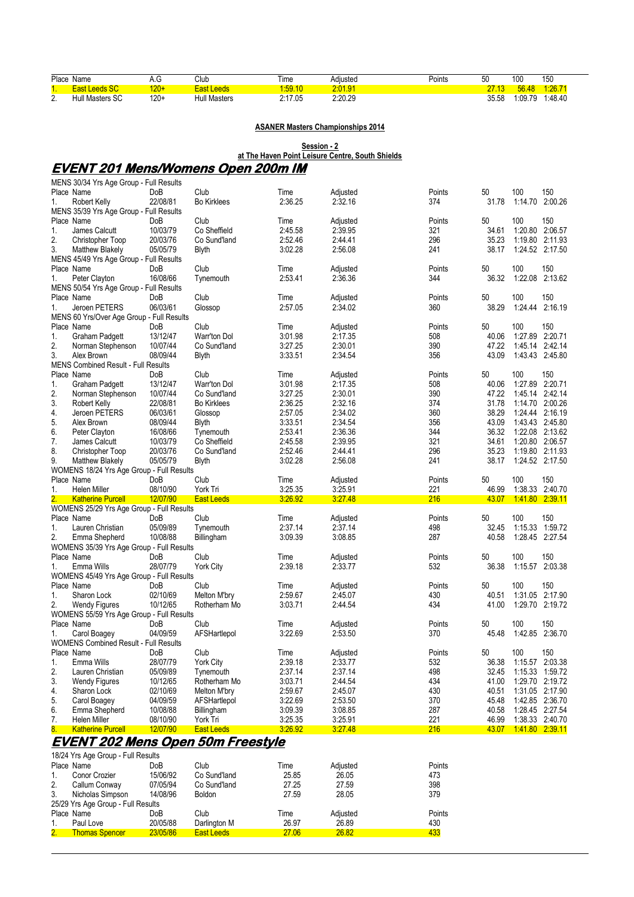|          | Place Name                                                      | A.G                  | Club                                      | Time               | Adjusted           | Points     | 50             | 100                                | 150                    |  |  |  |  |  |
|----------|-----------------------------------------------------------------|----------------------|-------------------------------------------|--------------------|--------------------|------------|----------------|------------------------------------|------------------------|--|--|--|--|--|
| 1.       | <b>East Leeds SC</b>                                            | $120+$               | <b>East Leeds</b>                         | 1:59.10            | 2:01.91            |            | <u> 27.13</u>  | 56.48                              | 1:26.71                |  |  |  |  |  |
| 2.       | Hull Masters SC                                                 | $120+$               | <b>Hull Masters</b>                       | 2:17.05            | 2:20.29            |            | 35.58          |                                    | 1:09.79 1:48.40        |  |  |  |  |  |
|          |                                                                 |                      |                                           |                    |                    |            |                |                                    |                        |  |  |  |  |  |
|          |                                                                 |                      |                                           |                    |                    |            |                |                                    |                        |  |  |  |  |  |
|          | <b>ASANER Masters Championships 2014</b>                        |                      |                                           |                    |                    |            |                |                                    |                        |  |  |  |  |  |
|          |                                                                 |                      |                                           |                    |                    |            |                |                                    |                        |  |  |  |  |  |
|          | Session - 2<br>at The Haven Point Leisure Centre, South Shields |                      |                                           |                    |                    |            |                |                                    |                        |  |  |  |  |  |
|          |                                                                 |                      |                                           |                    |                    |            |                |                                    |                        |  |  |  |  |  |
|          |                                                                 |                      | <u>EVENT 201 Mens/Womens Open 200m IM</u> |                    |                    |            |                |                                    |                        |  |  |  |  |  |
|          | MENS 30/34 Yrs Age Group - Full Results                         |                      |                                           |                    |                    |            |                |                                    |                        |  |  |  |  |  |
|          | Place Name                                                      | DoB                  | Club                                      | Time               | Adjusted           | Points     | 50             | 100                                | 150                    |  |  |  |  |  |
| 1.       | Robert Kelly                                                    | 22/08/81             | <b>Bo Kirklees</b>                        | 2:36.25            | 2:32.16            | 374        | 31.78          | 1:14.70 2:00.26                    |                        |  |  |  |  |  |
|          | MENS 35/39 Yrs Age Group - Full Results                         |                      |                                           |                    |                    |            |                |                                    |                        |  |  |  |  |  |
|          | Place Name                                                      | DoB                  | Club                                      | Time               | Adjusted           | Points     | 50             | 100                                | 150                    |  |  |  |  |  |
| 1.       | James Calcutt                                                   | 10/03/79             | Co Sheffield                              | 2:45.58            | 2:39.95            | 321        | 34.61          | 1:20.80 2:06.57                    |                        |  |  |  |  |  |
| 2.       | Christopher Toop                                                | 20/03/76             | Co Sund'land                              | 2:52.46            | 2:44.41            | 296        | 35.23          |                                    | 1:19.80 2:11.93        |  |  |  |  |  |
| 3.       | <b>Matthew Blakely</b>                                          | 05/05/79             | <b>Blyth</b>                              | 3:02.28            | 2:56.08            | 241        | 38.17          |                                    | 1:24.52 2:17.50        |  |  |  |  |  |
|          | MENS 45/49 Yrs Age Group - Full Results<br>Place Name           | DoB                  | Club                                      | Time               | Adjusted           | Points     | 50             | 100                                | 150                    |  |  |  |  |  |
| 1.       | Peter Clayton                                                   | 16/08/66             | Tynemouth                                 | 2:53.41            | 2:36.36            | 344        | 36.32          | 1:22.08 2:13.62                    |                        |  |  |  |  |  |
|          | MENS 50/54 Yrs Age Group - Full Results                         |                      |                                           |                    |                    |            |                |                                    |                        |  |  |  |  |  |
|          | Place Name                                                      | DoB                  | Club                                      | Time               | Adjusted           | Points     | 50             | 100                                | 150                    |  |  |  |  |  |
| 1.       | Jeroen PETERS                                                   | 06/03/61             | Glossop                                   | 2:57.05            | 2:34.02            | 360        | 38.29          | 1:24.44                            | 2:16.19                |  |  |  |  |  |
|          | MENS 60 Yrs/Over Age Group - Full Results                       |                      |                                           |                    |                    |            |                |                                    |                        |  |  |  |  |  |
|          | Place Name                                                      | DoB                  | Club                                      | Time               | Adjusted           | Points     | 50             | 100                                | 150                    |  |  |  |  |  |
| 1.       | <b>Graham Padgett</b>                                           | 13/12/47             | Warr'ton Dol                              | 3.01.98            | 2:17.35            | 508        | 40.06          | 1:27.89 2:20.71                    |                        |  |  |  |  |  |
| 2.       | Norman Stephenson                                               | 10/07/44             | Co Sund'land                              | 3:27.25            | 2:30.01            | 390        | 47.22          | 1:45.14 2:42.14                    |                        |  |  |  |  |  |
| 3.       | Alex Brown                                                      | 08/09/44             | <b>Blyth</b>                              | 3:33.51            | 2:34.54            | 356        | 43.09          |                                    | 1:43.43 2:45.80        |  |  |  |  |  |
|          | <b>MENS Combined Result - Full Results</b>                      |                      |                                           |                    |                    |            |                |                                    |                        |  |  |  |  |  |
|          | Place Name                                                      | DoB                  | Club                                      | Time               | Adjusted           | Points     | 50             | 100                                | 150                    |  |  |  |  |  |
| 1.       | Graham Padgett                                                  | 13/12/47             | Warr'ton Dol                              | 3.01.98            | 2:17.35            | 508        | 40.06          | 1:27.89                            | 2:20.71                |  |  |  |  |  |
| 2.<br>3. | Norman Stephenson                                               | 10/07/44<br>22/08/81 | Co Sund'land<br><b>Bo Kirklees</b>        | 3:27.25<br>2:36.25 | 2:30.01<br>2:32.16 | 390<br>374 | 47.22<br>31.78 | 1:45.14 2:42.14<br>1:14.70 2:00.26 |                        |  |  |  |  |  |
| 4.       | Robert Kelly<br>Jeroen PETERS                                   | 06/03/61             | Glossop                                   | 2:57.05            | 2:34.02            | 360        | 38.29          | 1:24.44 2:16.19                    |                        |  |  |  |  |  |
| 5.       | Alex Brown                                                      | 08/09/44             | <b>Blyth</b>                              | 3:33.51            | 2:34.54            | 356        | 43.09          | 1:43.43 2:45.80                    |                        |  |  |  |  |  |
| 6.       | Peter Clayton                                                   | 16/08/66             | Tynemouth                                 | 2:53.41            | 2:36.36            | 344        | 36.32          |                                    | 1:22.08 2:13.62        |  |  |  |  |  |
| 7.       | James Calcutt                                                   | 10/03/79             | Co Sheffield                              | 2:45.58            | 2:39.95            | 321        | 34.61          |                                    | 1:20.80 2:06.57        |  |  |  |  |  |
| 8.       | Christopher Toop                                                | 20/03/76             | Co Sund'land                              | 2:52.46            | 2:44.41            | 296        | 35.23          | 1:19.80 2:11.93                    |                        |  |  |  |  |  |
| 9.       | Matthew Blakely                                                 | 05/05/79             | Blyth                                     | 3:02.28            | 2:56.08            | 241        | 38.17          |                                    | 1:24.52 2:17.50        |  |  |  |  |  |
|          | WOMENS 18/24 Yrs Age Group - Full Results                       |                      |                                           |                    |                    |            |                |                                    |                        |  |  |  |  |  |
|          | Place Name                                                      | DoB                  | Club                                      | Time               | Adjusted           | Points     | 50             | 100                                | 150                    |  |  |  |  |  |
| 1.       | <b>Helen Miller</b>                                             | 08/10/90             | York Tri                                  | 3:25.35            | 3:25.91            | 221        | 46.99          | 1:38.33 2:40.70                    |                        |  |  |  |  |  |
|          | <b>Katherine Purcell</b>                                        | 12/07/90             | <b>East Leeds</b>                         | 3:26.92            | 3.27.48            | 216        | 43.07          |                                    | 1.41.80 2.39.11        |  |  |  |  |  |
|          | WOMENS 25/29 Yrs Age Group - Full Results                       |                      |                                           |                    |                    |            |                |                                    |                        |  |  |  |  |  |
| 1.       | Place Name                                                      | DoB                  | Club<br>Tynemouth                         | Time<br>2:37.14    | Adjusted           | Points     | 50<br>32.45    | 100                                | 150<br>1:15.33 1:59.72 |  |  |  |  |  |
| 2.       | Lauren Christian<br>Emma Shepherd                               | 05/09/89<br>10/08/88 | Billingham                                | 3.09.39            | 2:37.14<br>3:08.85 | 498<br>287 | 40.58          |                                    | 1:28.45 2:27.54        |  |  |  |  |  |
|          | WOMENS 35/39 Yrs Age Group - Full Results                       |                      |                                           |                    |                    |            |                |                                    |                        |  |  |  |  |  |
|          | Place Name                                                      | DoB                  | Club                                      | Time               | Adjusted           | Points     | 50             | 100                                | 150                    |  |  |  |  |  |
| 1.       | Emma Wills                                                      | 28/07/79             | <b>York City</b>                          | 2:39.18            | 2:33.77            | 532        | 36.38          | 1:15.57 2:03.38                    |                        |  |  |  |  |  |
|          | WOMENS 45/49 Yrs Age Group - Full Results                       |                      |                                           |                    |                    |            |                |                                    |                        |  |  |  |  |  |
|          | Place Name                                                      | DoB                  | Club                                      | Time               | Adjusted           | Points     | 50             | 100                                | 150                    |  |  |  |  |  |
| 1.       | Sharon Lock                                                     | 02/10/69             | Melton M'bry                              | 2:59.67            | 2:45.07            | 430        | 40.51          | 1:31.05 2:17.90                    |                        |  |  |  |  |  |
| 2.       | <b>Wendy Figures</b>                                            | 10/12/65             | Rotherham Mo                              | 3:03.71            | 2:44.54            | 434        | 41.00          |                                    | 1:29.70 2:19.72        |  |  |  |  |  |
|          | WOMENS 55/59 Yrs Age Group - Full Results                       |                      |                                           |                    |                    |            |                |                                    |                        |  |  |  |  |  |
|          | Place Name                                                      | DoB                  | Club                                      | Time               | Adjusted           | Points     | 50             | 100                                | 150                    |  |  |  |  |  |
| 1.       | Carol Boagey                                                    | 04/09/59             | AFSHartlepol                              | 3:22.69            | 2:53.50            | 370        | 45.48          | 1:42.85 2:36.70                    |                        |  |  |  |  |  |
|          | <b>WOMENS Combined Result - Full Results</b>                    |                      |                                           |                    |                    |            |                |                                    |                        |  |  |  |  |  |
|          | Place Name<br>Emma Wills                                        | DoB                  | Club                                      | Time               | Adjusted           | Points     | 50             | 100                                | 150                    |  |  |  |  |  |
| 1.<br>2. | Lauren Christian                                                | 28/07/79<br>05/09/89 | York City<br>Tynemouth                    | 2:39.18<br>2:37.14 | 2:33.77<br>2:37.14 | 532<br>498 | 36.38<br>32.45 | 1:15.57 2:03.38<br>1:15.33 1:59.72 |                        |  |  |  |  |  |
| 3.       | <b>Wendy Figures</b>                                            | 10/12/65             | Rotherham Mo                              | 3:03.71            | 2:44.54            | 434        | 41.00          |                                    | 1:29.70 2:19.72        |  |  |  |  |  |
| 4.       | Sharon Lock                                                     | 02/10/69             | Melton M'bry                              | 2:59.67            | 2:45.07            | 430        | 40.51          |                                    | 1:31.05 2:17.90        |  |  |  |  |  |
| 5.       | Carol Boagey                                                    | 04/09/59             | AFSHartlepol                              | 3.22.69            | 2:53.50            | 370        | 45.48          | 1:42.85 2:36.70                    |                        |  |  |  |  |  |
| 6.       | Emma Shepherd                                                   | 10/08/88             | Billingham                                | 3.09.39            | 3:08.85            | 287        | 40.58          | 1:28.45 2:27.54                    |                        |  |  |  |  |  |
| 7.       | Helen Miller                                                    | 08/10/90             | York Tri                                  | 3:25.35            | 3:25.91            | 221        | 46.99          |                                    | 1:38.33 2:40.70        |  |  |  |  |  |
| 8.       | <b>Katherine Purcell</b>                                        | 12/07/90             | <b>East Leeds</b>                         | 3.26.92            | 3.27.48            | 216        | 43.07          |                                    | 1.41.80 2.39.11        |  |  |  |  |  |
|          |                                                                 |                      | <u>EVENT 202 Mens Open 50m Freestyle</u>  |                    |                    |            |                |                                    |                        |  |  |  |  |  |
|          |                                                                 |                      |                                           |                    |                    |            |                |                                    |                        |  |  |  |  |  |
|          | 18/24 Yrs Age Group - Full Results<br>Place Name                |                      | Club                                      | Time               |                    | Points     |                |                                    |                        |  |  |  |  |  |
| 1.       | Conor Crozier                                                   | DoB<br>15/06/92      | Co Sund'land                              | 25.85              | Adjusted<br>26.05  | 473        |                |                                    |                        |  |  |  |  |  |
| 2.       | Callum Conway                                                   | 07/05/94             | Co Sund'land                              | 27.25              | 27.59              | 398        |                |                                    |                        |  |  |  |  |  |
| 3.       | Nicholas Simpson                                                | 14/08/96             | <b>Boldon</b>                             | 27.59              | 28.05              | 379        |                |                                    |                        |  |  |  |  |  |
|          | 25/29 Yrs Age Group - Full Results                              |                      |                                           |                    |                    |            |                |                                    |                        |  |  |  |  |  |

Place Name **DoB** Club Time Adjusted Points 1. Paul Love 20/05/88 Darlington M 26.97 26.89 430 2. Thomas Spencer 23/05/86 East Leeds 27.06 26.82 433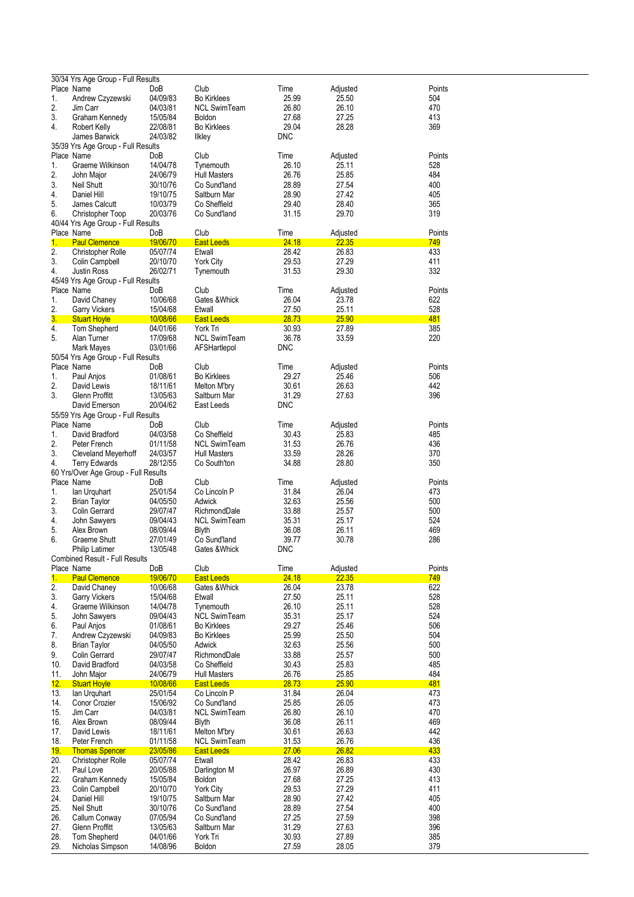|                  | 30/34 Yrs Age Group - Full Results   |          |                     |              |          |        |
|------------------|--------------------------------------|----------|---------------------|--------------|----------|--------|
|                  | Place Name                           | DoB      | Club                | Time         | Adjusted | Points |
| 1.               | Andrew Czyzewski                     | 04/09/83 | <b>Bo Kirklees</b>  | 25.99        | 25.50    | 504    |
| 2.               | Jim Carr                             | 04/03/81 | <b>NCL SwimTeam</b> | 26.80        | 26.10    | 470    |
| 3.               | Graham Kennedy                       | 15/05/84 | <b>Boldon</b>       | 27.68        | 27.25    | 413    |
| 4.               | <b>Robert Kelly</b>                  | 22/08/81 | <b>Bo Kirklees</b>  | 29.04        | 28.28    | 369    |
|                  | James Barwick                        | 24/03/82 | <b>Ilkley</b>       | <b>DNC</b>   |          |        |
|                  | 35/39 Yrs Age Group - Full Results   |          |                     |              |          |        |
|                  | Place Name                           | DoB      | Club                | Time         | Adjusted | Points |
| 1.               | Graeme Wilkinson                     | 14/04/78 | Tynemouth           | 26.10        | 25.11    | 528    |
| 2.               | John Major                           | 24/06/79 | <b>Hull Masters</b> | 26.76        | 25.85    | 484    |
| 3.               | Neil Shutt                           | 30/10/76 | Co Sund'land        | 28.89        | 27.54    | 400    |
| 4.               | Daniel Hill                          | 19/10/75 | Saltburn Mar        | 28.90        | 27.42    | 405    |
| 5.               | James Calcutt                        | 10/03/79 | Co Sheffield        | 29.40        | 28.40    | 365    |
| 6.               | Christopher Toop                     | 20/03/76 | Co Sund'land        | 31.15        | 29.70    | 319    |
|                  |                                      |          |                     |              |          |        |
|                  | 40/44 Yrs Age Group - Full Results   |          |                     |              |          |        |
|                  | Place Name                           | DoB      | Club                | Time         | Adjusted | Points |
| 1.               | <b>Paul Clemence</b>                 | 19/06/70 | <b>East Leeds</b>   | <u>24.18</u> | 22.35    | 749    |
| $\overline{2}$ . | <b>Christopher Rolle</b>             | 05/07/74 | Etwall              | 28.42        | 26.83    | 433    |
| 3.               | Colin Campbell                       | 20/10/70 | <b>York City</b>    | 29.53        | 27.29    | 411    |
| 4.               | Justin Ross                          | 26/02/71 | Tynemouth           | 31.53        | 29.30    | 332    |
|                  | 45/49 Yrs Age Group - Full Results   |          |                     |              |          |        |
|                  | Place Name                           | DoB      | Club                | Time         | Adjusted | Points |
| 1.               | David Chaney                         | 10/06/68 | Gates & Whick       | 26.04        | 23.78    | 622    |
| 2.               | <b>Garry Vickers</b>                 | 15/04/68 | Etwall              | 27.50        | 25.11    | 528    |
| 3.               | <b>Stuart Hoyle</b>                  | 10/08/66 | <b>East Leeds</b>   | 28.73        | 25.90    | 481    |
| 4.               | Tom Shepherd                         | 04/01/66 | York Tri            | 30.93        | 27.89    | 385    |
| 5.               | Alan Turner                          | 17/09/68 | <b>NCL SwimTeam</b> | 36.78        | 33.59    | 220    |
|                  | <b>Mark Mayes</b>                    | 03/01/66 |                     | <b>DNC</b>   |          |        |
|                  |                                      |          | AFSHartlepol        |              |          |        |
|                  | 50/54 Yrs Age Group - Full Results   |          |                     |              |          |        |
|                  | Place Name                           | DoB      | Club                | Time         | Adjusted | Points |
| 1.               | Paul Anjos                           | 01/08/61 | <b>Bo Kirklees</b>  | 29.27        | 25.46    | 506    |
| 2.               | David Lewis                          | 18/11/61 | Melton M'bry        | 30.61        | 26.63    | 442    |
| 3.               | Glenn Proffitt                       | 13/05/63 | Saltburn Mar        | 31.29        | 27.63    | 396    |
|                  | David Emerson                        | 20/04/62 | East Leeds          | <b>DNC</b>   |          |        |
|                  | 55/59 Yrs Age Group - Full Results   |          |                     |              |          |        |
|                  | Place Name                           | DoB      | Club                | Time         | Adjusted | Points |
| 1.               | David Bradford                       | 04/03/58 | Co Sheffield        | 30.43        | 25.83    | 485    |
| 2.               | Peter French                         | 01/11/58 | <b>NCL SwimTeam</b> | 31.53        | 26.76    | 436    |
| 3.               | Cleveland Meyerhoff                  | 24/03/57 | <b>Hull Masters</b> | 33.59        | 28.26    | 370    |
| 4.               |                                      | 28/12/55 |                     | 34.88        | 28.80    | 350    |
|                  | <b>Terry Edwards</b>                 |          | Co South'ton        |              |          |        |
|                  | 60 Yrs/Over Age Group - Full Results |          |                     |              |          |        |
|                  | Place Name                           | DoB      | Club                | Time         | Adjusted | Points |
| 1.               | lan Urquhart                         | 25/01/54 | Co Lincoln P        | 31.84        | 26.04    | 473    |
| 2.               | <b>Brian Taylor</b>                  | 04/05/50 | Adwick              | 32.63        | 25.56    | 500    |
| 3.               | Colin Gerrard                        | 29/07/47 | RichmondDale        | 33.88        | 25.57    | 500    |
| 4.               | John Sawyers                         | 09/04/43 | <b>NCL SwimTeam</b> | 35.31        | 25.17    | 524    |
| 5.               | Alex Brown                           | 08/09/44 | Blyth               | 36.08        | 26.11    | 469    |
| 6.               | <b>Graeme Shutt</b>                  | 27/01/49 | Co Sund'land        | 39.77        | 30.78    | 286    |
|                  | Philip Latimer                       | 13/05/48 | Gates & Whick       | <b>DNC</b>   |          |        |
|                  | Combined Result - Full Results       |          |                     |              |          |        |
|                  | Place Name                           | DoB      | Club                | Time         | Adjusted | Points |
| 1.               | <b>Paul Clemence</b>                 | 19/06/70 | <b>East Leeds</b>   | 24.18        | 22.35    | 749    |
| 2.               | David Chaney                         | 10/06/68 | Gates & Whick       | 26.04        | 23.78    | 622    |
| 3.               | <b>Garry Vickers</b>                 | 15/04/68 | Etwall              | 27.50        | 25.11    | 528    |
|                  |                                      |          |                     | 26.10        |          |        |
| 4.               | Graeme Wilkinson                     | 14/04/78 | Tynemouth           |              | 25.11    | 528    |
| 5.               | John Sawyers                         | 09/04/43 | <b>NCL SwimTeam</b> | 35.31        | 25.17    | 524    |
| 6.               | Paul Anjos                           | 01/08/61 | <b>Bo Kirklees</b>  | 29.27        | 25.46    | 506    |
| 7.               | Andrew Czyzewski                     | 04/09/83 | <b>Bo Kirklees</b>  | 25.99        | 25.50    | 504    |
| 8.               | <b>Brian Taylor</b>                  | 04/05/50 | Adwick              | 32.63        | 25.56    | 500    |
| 9.               | Colin Gerrard                        | 29/07/47 | RichmondDale        | 33.88        | 25.57    | 500    |
| 10.              | David Bradford                       | 04/03/58 | Co Sheffield        | 30.43        | 25.83    | 485    |
| 11.              | John Major                           | 24/06/79 | <b>Hull Masters</b> | 26.76        | 25.85    | 484    |
| 12.              | <b>Stuart Hoyle</b>                  | 10/08/66 | <b>East Leeds</b>   | 28.73        | 25.90    | 481    |
| 13.              | lan Urquhart                         | 25/01/54 | Co Lincoln P        | 31.84        | 26.04    | 473    |
| 14.              | Conor Crozier                        | 15/06/92 | Co Sund'land        | 25.85        | 26.05    | 473    |
| 15.              | Jim Carr                             | 04/03/81 | <b>NCL SwimTeam</b> | 26.80        | 26.10    | 470    |
| 16.              | Alex Brown                           | 08/09/44 | <b>Blyth</b>        | 36.08        | 26.11    | 469    |
| 17.              | David Lewis                          | 18/11/61 | Melton M'bry        | 30.61        | 26.63    | 442    |
|                  |                                      |          |                     |              |          |        |
| 18.              | Peter French                         | 01/11/58 | <b>NCL SwimTeam</b> | 31.53        | 26.76    | 436    |
| 19.              | <b>Thomas Spencer</b>                | 23/05/86 | <b>East Leeds</b>   | 27.06        | 26.82    | 433    |
| 20.              | <b>Christopher Rolle</b>             | 05/07/74 | Etwall              | 28.42        | 26.83    | 433    |
| 21.              | Paul Love                            | 20/05/88 | Darlington M        | 26.97        | 26.89    | 430    |
| 22.              | Graham Kennedy                       | 15/05/84 | Boldon              | 27.68        | 27.25    | 413    |
| 23.              | Colin Campbell                       | 20/10/70 | York City           | 29.53        | 27.29    | 411    |
| 24.              | Daniel Hill                          | 19/10/75 | Saltburn Mar        | 28.90        | 27.42    | 405    |
| 25.              | <b>Neil Shutt</b>                    | 30/10/76 | Co Sund'land        | 28.89        | 27.54    | 400    |
| 26.              | Callum Conway                        | 07/05/94 | Co Sund'land        | 27.25        | 27.59    | 398    |
| 27.              | Glenn Proffitt                       | 13/05/63 | Saltburn Mar        | 31.29        | 27.63    | 396    |
|                  |                                      | 04/01/66 | York Tri            | 30.93        | 27.89    | 385    |
|                  |                                      |          |                     |              |          |        |
| 28.<br>29.       | Tom Shepherd<br>Nicholas Simpson     | 14/08/96 | Boldon              | 27.59        | 28.05    | 379    |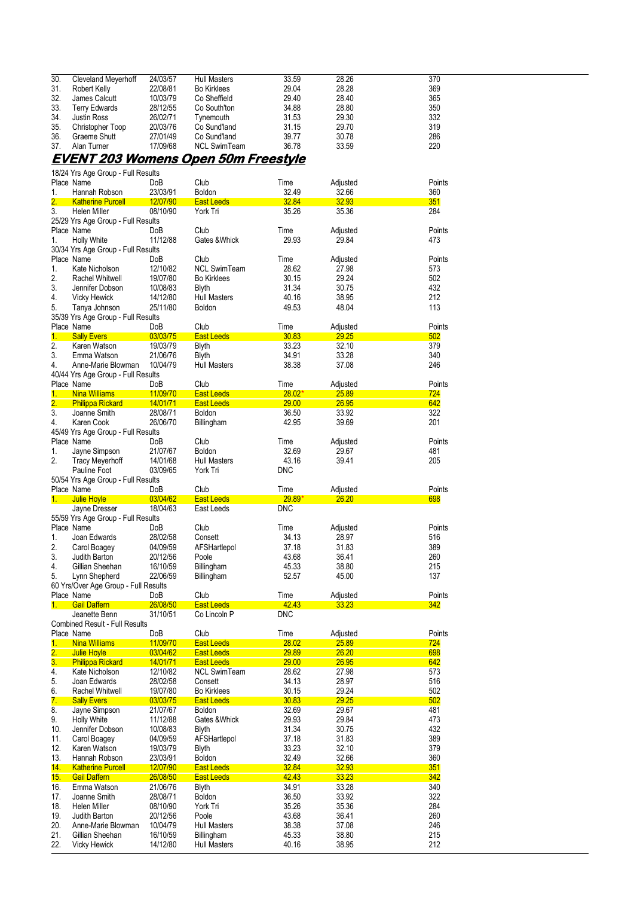| 30. | Cleveland Meyerhoff  | 24/03/57 | <b>Hull Masters</b> | 33.59 | 28.26 | 370 |
|-----|----------------------|----------|---------------------|-------|-------|-----|
| 31. | Robert Kelly         | 22/08/81 | <b>Bo Kirklees</b>  | 29.04 | 28.28 | 369 |
| 32. | James Calcutt        | 10/03/79 | Co Sheffield        | 29.40 | 28.40 | 365 |
| 33. | <b>Terry Edwards</b> | 28/12/55 | Co South'ton        | 34.88 | 28.80 | 350 |
| 34. | Justin Ross          | 26/02/71 | Tynemouth           | 31.53 | 29.30 | 332 |
| 35. | Christopher Toop     | 20/03/76 | Co Sund'land        | 31.15 | 29.70 | 319 |
| 36. | Graeme Shutt         | 27/01/49 | Co Sund'land        | 39.77 | 30.78 | 286 |
| 37. | Alan Turner          | 17/09/68 | <b>NCL SwimTeam</b> | 36.78 | 33.59 | 220 |
|     |                      |          |                     |       |       |     |

#### **EVENT 203 Womens Open 50m Freestyle**  18/24 Yrs Age Group - Full Results

|                  | Place Name                            | DoB             | Club                | Time          | Adjusted     | Points |
|------------------|---------------------------------------|-----------------|---------------------|---------------|--------------|--------|
| 1.               | Hannah Robson                         | 23/03/91        | Boldon              | 32.49         | 32.66        | 360    |
| 2.               | <b>Katherine Purcell</b>              | 12/07/90        | East Leeds          | 32.84         | 32.93        | 351    |
| 3.               | <b>Helen Miller</b>                   | 08/10/90        | York Tri            | 35.26         | 35.36        | 284    |
|                  | 25/29 Yrs Age Group - Full Results    |                 |                     |               |              |        |
|                  | Place Name                            | DoB             | Club                | Time          | Adjusted     | Points |
| 1.               | <b>Holly White</b>                    | 11/12/88        | Gates & Whick       | 29.93         | 29.84        | 473    |
|                  | 30/34 Yrs Age Group - Full Results    |                 |                     |               |              |        |
|                  | Place Name                            | DoB             | Club                | Time          | Adjusted     | Points |
| 1.               | Kate Nicholson                        | 12/10/82        | <b>NCL SwimTeam</b> | 28.62         | 27.98        | 573    |
| 2.               | Rachel Whitwell                       | 19/07/80        | <b>Bo Kirklees</b>  | 30.15         | 29.24        | 502    |
| 3.               | Jennifer Dobson                       | 10/08/83        | <b>Blyth</b>        | 31.34         | 30.75        | 432    |
| 4.               | <b>Vicky Hewick</b>                   | 14/12/80        | <b>Hull Masters</b> | 40.16         | 38.95        | 212    |
| 5.               | Tanya Johnson                         | 25/11/80        | Boldon              | 49.53         | 48.04        | 113    |
|                  | 35/39 Yrs Age Group - Full Results    |                 |                     |               |              |        |
|                  | Place Name                            | DoB             | Club                | Time          | Adjusted     | Points |
| 1 <sub>1</sub>   | <b>Sally Evers</b>                    | 03/03/75        | <b>East Leeds</b>   | 30.83         | 29.25        | 502    |
| 2.               | Karen Watson                          | 19/03/79        | Blyth               | 33.23         | 32.10        | 379    |
| 3.               | Emma Watson                           | 21/06/76        | <b>Blyth</b>        | 34.91         | 33.28        | 340    |
| 4.               | Anne-Marie Blowman                    | 10/04/79        | <b>Hull Masters</b> | 38.38         | 37.08        | 246    |
|                  | 40/44 Yrs Age Group - Full Results    |                 |                     |               |              |        |
|                  | Place Name                            | DoB             | Club                | Time          | Adjusted     | Points |
| 1.               | <b>Nina Williams</b>                  | 11/09/70        | East Leeds          | $28.02*$      | 25.89        | 724    |
| $\overline{2}$ . | <b>Philippa Rickard</b>               | 14/01/71        | <b>East Leeds</b>   | <b>29.00</b>  | 26.95        | 642    |
| 3.               | Joanne Smith                          | 28/08/71        | Boldon              | 36.50         | 33.92        | 322    |
| 4.               | Karen Cook                            | 26/06/70        | Billingham          | 42.95         | 39.69        | 201    |
|                  | 45/49 Yrs Age Group - Full Results    |                 |                     |               |              |        |
|                  | Place Name                            | DoB             | Club                | Time          | Adjusted     | Points |
|                  |                                       | 21/07/67        | Boldon              | 32.69         |              |        |
| 1.<br>2.         | Jayne Simpson                         |                 |                     |               | 29.67        | 481    |
|                  | <b>Tracy Meyerhoff</b>                | 14/01/68        | <b>Hull Masters</b> | 43.16         | 39.41        | 205    |
|                  | Pauline Foot                          | 03/09/65        | York Tri            | <b>DNC</b>    |              |        |
|                  | 50/54 Yrs Age Group - Full Results    |                 |                     |               |              |        |
|                  | Place Name                            | DoB             | Club                | Time          | Adjusted     | Points |
| $1 -$            | Julie Hoyle                           | 03/04/62        | East Leeds          | <u>29.89*</u> | <b>26.20</b> | 698    |
|                  | Jayne Dresser                         | 18/04/63        | East Leeds          | <b>DNC</b>    |              |        |
|                  | 55/59 Yrs Age Group - Full Results    |                 |                     |               |              |        |
|                  | Place Name                            | DoB             | Club                | Time          | Adjusted     | Points |
| 1.               | Joan Edwards                          | 28/02/58        | Consett             | 34.13         | 28.97        | 516    |
| 2.               | Carol Boagey                          | 04/09/59        | AFSHartlepol        | 37.18         | 31.83        | 389    |
| 3.               | Judith Barton                         | 20/12/56        | Poole               | 43.68         | 36.41        | 260    |
| 4.               | Gillian Sheehan                       | 16/10/59        | Billingham          | 45.33         | 38.80        | 215    |
| 5.               | Lynn Shepherd                         | 22/06/59        | Billingham          | 52.57         | 45.00        | 137    |
|                  | 60 Yrs/Over Age Group - Full Results  |                 |                     |               |              |        |
|                  | Place Name                            | DoB             | Club                | Time          | Adjusted     | Points |
| 1.               | <b>Gail Daffern</b>                   | 26/08/50        | East Leeds          | 42.43         | <u>33.23</u> | 342    |
|                  | Jeanette Benn                         | 31/10/51        | Co Lincoln P        | <b>DNC</b>    |              |        |
|                  | <b>Combined Result - Full Results</b> |                 |                     |               |              |        |
|                  | Place Name                            | DoB             | Club                | Time          | Adjusted     | Points |
| 1.               | <b>Nina Williams</b>                  | 11/09/70        | East Leeds          | 28.02         | 25.89        | 724    |
|                  | 2. Julie Hoyle                        | 03/04/62        | East Leeds          | 29.89         | 26.20        | 698    |
| $\overline{3}$ . | <b>Philippa Rickard</b>               | <u>14/01/71</u> | <b>East Leeds</b>   | 29.00         | 26.95        | 642    |
| 4.               | Kate Nicholson                        | 12/10/82        | <b>NCL SwimTeam</b> | 28.62         | 27.98        | 573    |
| 5.               | Joan Edwards                          | 28/02/58        | Consett             | 34.13         | 28.97        | 516    |
| 6.               | Rachel Whitwell                       | 19/07/80        | Bo Kirklees         | 30.15         | 29.24        | 502    |
| 7.               | <b>Sally Evers</b>                    | 03/03/75        | <b>East Leeds</b>   | 30.83         | <u>29.25</u> | 502    |
| 8.               | Jayne Simpson                         | 21/07/67        | Boldon              | 32.69         | 29.67        | 481    |
| 9.               | Holly White                           | 11/12/88        | Gates & Whick       | 29.93         | 29.84        | 473    |
| 10.              | Jennifer Dobson                       | 10/08/83        | Blyth               | 31.34         | 30.75        | 432    |
| 11.              | Carol Boagey                          | 04/09/59        | AFSHartlepol        | 37.18         | 31.83        | 389    |
| 12.              | Karen Watson                          | 19/03/79        | Blyth               | 33.23         | 32.10        | 379    |
| 13.              | Hannah Robson                         | 23/03/91        | Boldon              | 32.49         | 32.66        | 360    |
| 14.              | <b>Katherine Purcell</b>              | 12/07/90        | <b>East Leeds</b>   | 32.84         | <u>32.93</u> | 351    |
| 15.              | <b>Gail Daffern</b>                   | 26/08/50        | <b>East Leeds</b>   | 42.43         | 33.23        | 342    |
| 16.              | Emma Watson                           | 21/06/76        | Blyth               | 34.91         | 33.28        | 340    |
| 17.              | Joanne Smith                          |                 |                     | 36.50         | 33.92        | 322    |
|                  |                                       | 28/08/71        | Boldon              |               |              |        |
| 18.              | Helen Miller                          | 08/10/90        | York Tri            | 35.26         | 35.36        | 284    |
| 19.              | Judith Barton                         | 20/12/56        | Poole               | 43.68         | 36.41        | 260    |
| 20.              | Anne-Marie Blowman                    | 10/04/79        | Hull Masters        | 38.38         | 37.08        | 246    |
| 21.<br>22.       | Gillian Sheehan                       | 16/10/59        | Billingham          | 45.33         | 38.80        | 215    |
|                  | <b>Vicky Hewick</b>                   | 14/12/80        | Hull Masters        | 40.16         | 38.95        | 212    |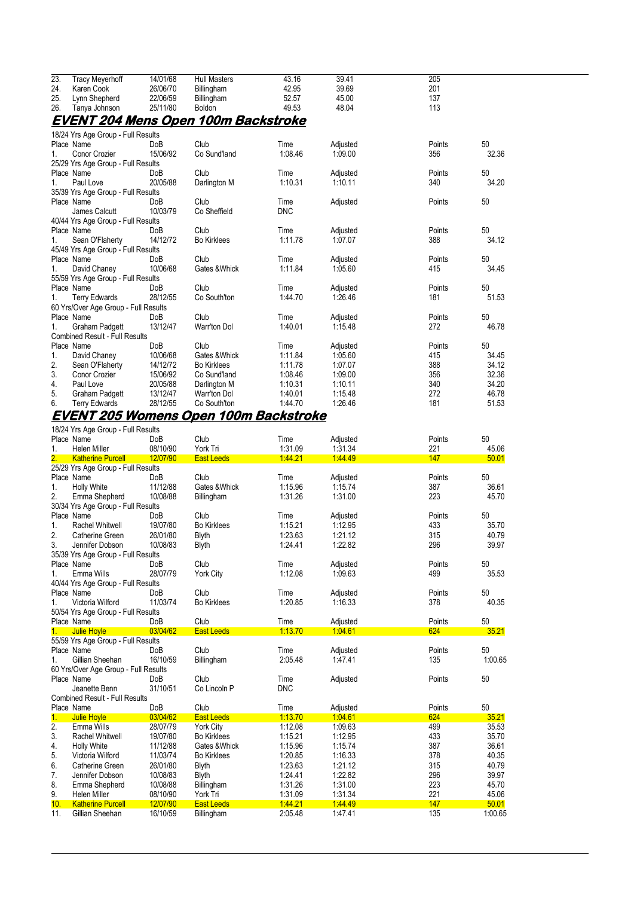| 23.            | <b>Tracy Meyerhoff</b>                | 14/01/68        | <b>Hull Masters</b>                        | 43.16      | 39.41    | 205    |       |
|----------------|---------------------------------------|-----------------|--------------------------------------------|------------|----------|--------|-------|
| 24.            | Karen Cook                            | 26/06/70        | Billingham                                 | 42.95      | 39.69    | 201    |       |
| 25.            | Lynn Shepherd                         | 22/06/59        | Billingham                                 | 52.57      | 45.00    | 137    |       |
| 26.            | Tanya Johnson                         | 25/11/80        | Boldon                                     | 49.53      | 48.04    | 113    |       |
|                |                                       |                 | <u>EVENT 204 Mens Open 100m Backstroke</u> |            |          |        |       |
|                | 18/24 Yrs Age Group - Full Results    |                 |                                            |            |          |        |       |
|                | Place Name                            | <b>DoB</b>      | Club                                       | Time       | Adjusted | Points | 50    |
| $\mathbf{1}$ . | Conor Crozier                         | 15/06/92        | Co Sund'land                               | 1:08.46    | 1.09.00  | 356    | 32.36 |
|                | 25/29 Yrs Age Group - Full Results    |                 |                                            |            |          |        |       |
|                | Place Name                            | <b>DoB</b>      | Club                                       | Time       | Adjusted | Points | 50    |
| $1_{\cdot}$    | Paul Love                             | 20/05/88        | Darlington M                               | 1:10.31    | 1:10.11  | 340    | 34.20 |
|                | 35/39 Yrs Age Group - Full Results    |                 |                                            |            |          |        |       |
|                | Place Name                            | <b>DoB</b>      | Club                                       | Time       | Adjusted | Points | 50    |
|                | James Calcutt                         | 10/03/79        | Co Sheffield                               | <b>DNC</b> |          |        |       |
|                | 40/44 Yrs Age Group - Full Results    |                 |                                            |            |          |        |       |
|                | Place Name                            | Do <sub>B</sub> | Club                                       | Time       | Adjusted | Points | 50    |
| 1.             | Sean O'Flaherty                       | 14/12/72        | <b>Bo Kirklees</b>                         | 1:11.78    | 1:07.07  | 388    | 34.12 |
|                | 45/49 Yrs Age Group - Full Results    |                 |                                            |            |          |        |       |
|                | Place Name                            | <b>DoB</b>      | Club                                       | Time       | Adjusted | Points | 50    |
| 1.             | David Chaney                          | 10/06/68        | Gates & Whick                              | 1:11.84    | 1:05.60  | 415    | 34.45 |
|                | 55/59 Yrs Age Group - Full Results    |                 |                                            |            |          |        |       |
|                | Place Name                            | <b>DoB</b>      | Club                                       | Time       | Adjusted | Points | 50    |
| 1.             | <b>Terry Edwards</b>                  | 28/12/55        | Co South'ton                               | 1:44.70    | 1.26.46  | 181    | 51.53 |
|                | 60 Yrs/Over Age Group - Full Results  |                 |                                            |            |          |        |       |
|                | Place Name                            | <b>DoB</b>      | Club                                       | Time       | Adjusted | Points | 50    |
| 1.             | <b>Graham Padgett</b>                 | 13/12/47        | <b>Warr'ton Dol</b>                        | 1:40.01    | 1:15.48  | 272    | 46.78 |
|                | <b>Combined Result - Full Results</b> |                 |                                            |            |          |        |       |
|                | Place Name                            | <b>DoB</b>      | Club                                       | Time       | Adjusted | Points | 50    |
| 1.             | David Chaney                          | 10/06/68        | Gates & Whick                              | 1:11.84    | 1.05.60  | 415    | 34.45 |
| 2.             | Sean O'Flaherty                       | 14/12/72        | <b>Bo Kirklees</b>                         | 1:11.78    | 1:07.07  | 388    | 34.12 |
| 3.             | Conor Crozier                         | 15/06/92        | Co Sund'land                               | 1:08.46    | 1:09.00  | 356    | 32.36 |
| 4.             | Paul Love                             | 20/05/88        | Darlington M                               | 1:10.31    | 1:10.11  | 340    | 34.20 |
| 5.             | <b>Graham Padgett</b>                 | 13/12/47        | <b>Warr'ton Dol</b>                        | 1:40.01    | 1:15.48  | 272    | 46.78 |
| 6.             | <b>Terry Edwards</b>                  | 28/12/55        | Co South'ton                               | 1:44.70    | 1:26.46  | 181    | 51.53 |

### **EVENT 205 Womens Open 100m Backstroke**

|                | 18/24 Yrs Age Group - Full Results    |            |                    |            |          |        |         |
|----------------|---------------------------------------|------------|--------------------|------------|----------|--------|---------|
|                | Place Name                            | DoB        | Club               | Time       | Adjusted | Points | 50      |
| 1.             | <b>Helen Miller</b>                   | 08/10/90   | York Tri           | 1:31.09    | 1.31.34  | 221    | 45.06   |
| 2.             | <b>Katherine Purcell</b>              | 12/07/90   | <b>East Leeds</b>  | 144.21     | 14449    | 147    | 50.01   |
|                | 25/29 Yrs Age Group - Full Results    |            |                    |            |          |        |         |
|                | Place Name                            | DoB        | Club               | Time       | Adjusted | Points | 50      |
| 1.             | <b>Holly White</b>                    | 11/12/88   | Gates & Whick      | 1:15.96    | 1:15.74  | 387    | 36.61   |
| 2.             | Emma Shepherd                         | 10/08/88   | Billingham         | 1.31.26    | 1:31.00  | 223    | 45.70   |
|                | 30/34 Yrs Age Group - Full Results    |            |                    |            |          |        |         |
|                | Place Name                            | DoB        | Club               | Time       | Adjusted | Points | 50      |
| 1.             | <b>Rachel Whitwell</b>                | 19/07/80   | <b>Bo Kirklees</b> | 1:15.21    | 1:12.95  | 433    | 35.70   |
| 2.             | Catherine Green                       | 26/01/80   | <b>Blyth</b>       | 1:23.63    | 1:21.12  | 315    | 40.79   |
| 3.             | Jennifer Dobson                       | 10/08/83   | <b>Blyth</b>       | 1:24.41    | 1:22.82  | 296    | 39.97   |
|                | 35/39 Yrs Age Group - Full Results    |            |                    |            |          |        |         |
|                | Place Name                            | DoB        | Club               | Time       | Adjusted | Points | 50      |
| 1.             | Emma Wills                            | 28/07/79   | <b>York City</b>   | 1:12.08    | 1.09.63  | 499    | 35.53   |
|                | 40/44 Yrs Age Group - Full Results    |            |                    |            |          |        |         |
|                | Place Name                            | <b>DoB</b> | Club               | Time       | Adjusted | Points | 50      |
| 1.             | Victoria Wilford                      | 11/03/74   | <b>Bo Kirklees</b> | 1:20.85    | 1:16.33  | 378    | 40.35   |
|                | 50/54 Yrs Age Group - Full Results    |            |                    |            |          |        |         |
|                | Place Name                            | DoB        | Club               | Time       | Adjusted | Points | 50      |
| 1 <sub>1</sub> | Julie Hoyle                           | 03/04/62   | <b>East Leeds</b>  | 1:13.70    | 1:04.61  | 624    | 35.21   |
|                | 55/59 Yrs Age Group - Full Results    |            |                    |            |          |        |         |
|                | Place Name                            | DoB        | Club               | Time       | Adjusted | Points | 50      |
| 1.             | Gillian Sheehan                       | 16/10/59   | Billingham         | 2:05.48    | 1:47.41  | 135    | 1:00.65 |
|                | 60 Yrs/Over Age Group - Full Results  |            |                    |            |          |        |         |
|                | Place Name                            | DoB        | Club               | Time       | Adjusted | Points | 50      |
|                | Jeanette Benn                         | 31/10/51   | Co Lincoln P       | <b>DNC</b> |          |        |         |
|                | <b>Combined Result - Full Results</b> |            |                    |            |          |        |         |
|                | Place Name                            | DoB        | Club               | Time       | Adjusted | Points | 50      |
| $\mathbf{1}$ . | Julie Hoyle                           | 03/04/62   | <b>East Leeds</b>  | 1:13.70    | 1.04.61  | 624    | 35.21   |
| 2.             | Emma Wills                            | 28/07/79   | <b>York City</b>   | 1:12.08    | 1.09.63  | 499    | 35.53   |
| 3.             | <b>Rachel Whitwell</b>                | 19/07/80   | <b>Bo Kirklees</b> | 1:15.21    | 1:12.95  | 433    | 35.70   |
| 4.             | <b>Holly White</b>                    | 11/12/88   | Gates & Whick      | 1:15.96    | 1:15.74  | 387    | 36.61   |
| 5.             | Victoria Wilford                      | 11/03/74   | <b>Bo Kirklees</b> | 1:20.85    | 1:16.33  | 378    | 40.35   |
| 6.             | Catherine Green                       | 26/01/80   | <b>Blyth</b>       | 1.23.63    | 1:21.12  | 315    | 40.79   |
| 7.             | Jennifer Dobson                       | 10/08/83   | <b>Blyth</b>       | 1:24.41    | 1:22.82  | 296    | 39.97   |
| 8.             | Emma Shepherd                         | 10/08/88   | Billingham         | 1.31.26    | 1:31.00  | 223    | 45.70   |
| 9.             | <b>Helen Miller</b>                   | 08/10/90   | York Tri           | 1.31.09    | 1:31.34  | 221    | 45.06   |
| 10.            | <b>Katherine Purcell</b>              | 12/07/90   | <b>East Leeds</b>  | 1:44.21    | 1.44.49  | 147    | 50.01   |
| 11.            | Gillian Sheehan                       | 16/10/59   | Billingham         | 2:05.48    | 1.47.41  | 135    | 1:00.65 |
|                |                                       |            |                    |            |          |        |         |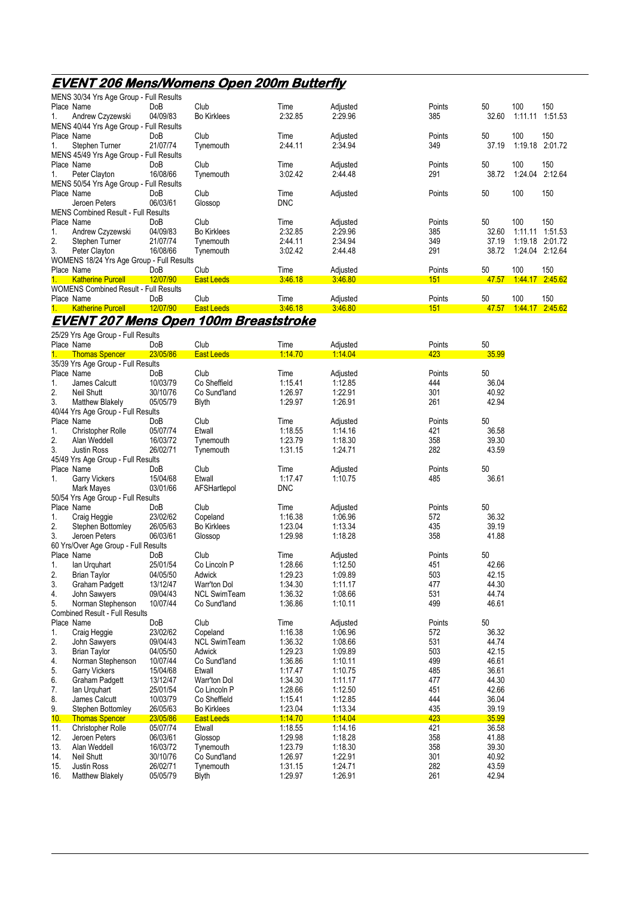## **EVENT 206 Mens/Womens Open 200m Butterfly**

|    | MENS 30/34 Yrs Age Group - Full Results      |            |                    |            |          |        |       |         |         |
|----|----------------------------------------------|------------|--------------------|------------|----------|--------|-------|---------|---------|
|    | Place Name                                   | DoB        | Club               | Time       | Adjusted | Points | 50    | 100     | 150     |
| 1. | Andrew Czyzewski                             | 04/09/83   | <b>Bo Kirklees</b> | 2:32.85    | 2:29.96  | 385    | 32.60 | 1:11.11 | 1:51.53 |
|    | MENS 40/44 Yrs Age Group - Full Results      |            |                    |            |          |        |       |         |         |
|    | Place Name                                   | <b>DoB</b> | Club               | Time       | Adjusted | Points | 50    | 100     | 150     |
| 1. | Stephen Turner                               | 21/07/74   | Tynemouth          | 2:44.11    | 2:34.94  | 349    | 37.19 | 1:19.18 | 2:01.72 |
|    | MENS 45/49 Yrs Age Group - Full Results      |            |                    |            |          |        |       |         |         |
|    | Place Name                                   | <b>DoB</b> | Club               | Time       | Adjusted | Points | 50    | 100     | 150     |
| 1. | Peter Clayton                                | 16/08/66   | Tynemouth          | 3:02.42    | 2:44.48  | 291    | 38.72 | 1:24.04 | 2:12.64 |
|    | MENS 50/54 Yrs Age Group - Full Results      |            |                    |            |          |        |       |         |         |
|    | Place Name                                   | <b>DoB</b> | Club               | Time       | Adjusted | Points | 50    | 100     | 150     |
|    | Jeroen Peters                                | 06/03/61   | Glossop            | <b>DNC</b> |          |        |       |         |         |
|    | <b>MENS Combined Result - Full Results</b>   |            |                    |            |          |        |       |         |         |
|    | Place Name                                   | DoB        | Club               | Time       | Adjusted | Points | 50    | 100     | 150     |
| 1. | Andrew Czyzewski                             | 04/09/83   | <b>Bo Kirklees</b> | 2:32.85    | 2:29.96  | 385    | 32.60 | 1:11.11 | 1.51.53 |
| 2. | Stephen Turner                               | 21/07/74   | Tynemouth          | 2:44.11    | 2:34.94  | 349    | 37.19 | 1:19.18 | 2:01.72 |
| 3. | Peter Clayton                                | 16/08/66   | Tynemouth          | 3.02.42    | 2:44.48  | 291    | 38.72 | 1:24.04 | 2:12.64 |
|    | WOMENS 18/24 Yrs Age Group - Full Results    |            |                    |            |          |        |       |         |         |
|    | Place Name                                   | <b>DoB</b> | Club               | Time       | Adjusted | Points | 50    | 100     | 150     |
| 1. | <b>Katherine Purcell</b>                     | 12/07/90   | <b>East Leeds</b>  | 3.46.18    | 3.46.80  | 151    | 47.57 | 1:44.17 | 2.45.62 |
|    | <b>WOMENS Combined Result - Full Results</b> |            |                    |            |          |        |       |         |         |
|    | Place Name                                   | <b>DoB</b> | Club               | Time       | Adjusted | Points | 50    | 100     | 150     |
| 1. | <b>Katherine Purcell</b>                     | 12/07/90   | <b>East Leeds</b>  | 3.46.18    | 3:46.80  | 151    | 47.57 | 1:44.17 | 2:45.62 |
|    |                                              |            |                    |            |          |        |       |         |         |

## **EVENT 207 Mens Open 100m Breaststroke**

|            | 25/29 Yrs Age Group - Full Results    |            |                     |            |                    |        |       |
|------------|---------------------------------------|------------|---------------------|------------|--------------------|--------|-------|
|            | Place Name                            | DoB        | Club                | Time       | Adjusted           | Points | 50    |
| 1.         | <b>Thomas Spencer</b>                 | 23/05/86   | <b>East Leeds</b>   | 1:14.70    | 1:14.04            | 423    | 35.99 |
|            | 35/39 Yrs Age Group - Full Results    |            |                     |            |                    |        |       |
|            | Place Name                            | DoB        | Club                | Time       | Adjusted           | Points | 50    |
| 1.         | James Calcutt                         | 10/03/79   | Co Sheffield        | 1:15.41    | 1:12.85            | 444    | 36.04 |
| 2.         | <b>Neil Shutt</b>                     | 30/10/76   | Co Sund'land        | 1:26.97    | 1:22.91            | 301    | 40.92 |
| 3.         | <b>Matthew Blakely</b>                | 05/05/79   | <b>Blyth</b>        | 1:29.97    | 1:26.91            | 261    | 42.94 |
|            | 40/44 Yrs Age Group - Full Results    |            |                     |            |                    |        |       |
|            | Place Name                            | <b>DoB</b> | Club                | Time       | Adjusted           | Points | 50    |
| 1.         | <b>Christopher Rolle</b>              | 05/07/74   | Etwall              | 1:18.55    | 1:14.16            | 421    | 36.58 |
| 2.         | Alan Weddell                          | 16/03/72   | Tynemouth           | 1:23.79    | 1:18.30            | 358    | 39.30 |
| 3.         | <b>Justin Ross</b>                    | 26/02/71   | Tynemouth           | 1:31.15    | 1:24.71            | 282    | 43.59 |
|            | 45/49 Yrs Age Group - Full Results    |            |                     |            |                    |        |       |
| Place Name |                                       | DoB        | Club                | Time       | Adjusted           | Points | 50    |
| $1_{-}$    | <b>Garry Vickers</b>                  | 15/04/68   | Etwall              | 1:17.47    | 1:10.75            | 485    | 36.61 |
|            | Mark Mayes                            | 03/01/66   | AFSHartlepol        | <b>DNC</b> |                    |        |       |
|            | 50/54 Yrs Age Group - Full Results    |            |                     |            |                    |        |       |
|            | Place Name                            | DoB        | Club                | Time       | Adjusted           | Points | 50    |
| 1.         | Craig Heggie                          | 23/02/62   | Copeland            | 1:16.38    | 1.06.96            | 572    | 36.32 |
| 2.         | Stephen Bottomley                     | 26/05/63   | <b>Bo Kirklees</b>  | 1:23.04    | 1:13.34            | 435    | 39.19 |
| 3.         | Jeroen Peters                         | 06/03/61   | Glossop             | 1:29.98    | 1:18.28            | 358    | 41.88 |
|            | 60 Yrs/Over Age Group - Full Results  |            |                     |            |                    |        |       |
|            | Place Name                            | DoB        | Club                | Time       | Adjusted           | Points | 50    |
| 1.         | lan Urguhart                          | 25/01/54   | Co Lincoln P        | 1.28.66    | 1:12.50            | 451    | 42.66 |
| 2.         | Brian Taylor                          | 04/05/50   | Adwick              | 1:29.23    | 1.09.89            | 503    | 42.15 |
| 3.         | <b>Graham Padgett</b>                 | 13/12/47   | Warr'ton Dol        | 1:34.30    | 1:11.17            | 477    | 44.30 |
| 4.         | John Sawyers                          | 09/04/43   | <b>NCL SwimTeam</b> | 1:36.32    | 1:08.66            | 531    | 44.74 |
| 5.         | Norman Stephenson                     | 10/07/44   | Co Sund'land        | 1:36.86    | 1:10.11            | 499    | 46.61 |
|            | <b>Combined Result - Full Results</b> |            |                     |            |                    |        |       |
|            | Place Name                            | DoB        | Club                | Time       | Adjusted           | Points | 50    |
| 1.         | Craig Heggie                          | 23/02/62   | Copeland            | 1:16.38    | 1.06.96            | 572    | 36.32 |
| 2.         | John Sawyers                          | 09/04/43   | <b>NCL SwimTeam</b> | 1.36.32    | 1:08.66            | 531    | 44.74 |
| 3.         | <b>Brian Taylor</b>                   | 04/05/50   | Adwick              | 1:29.23    | 1.09.89            | 503    | 42.15 |
| 4.         | Norman Stephenson                     | 10/07/44   | Co Sund'land        | 1:36.86    | 1:10.11            | 499    | 46.61 |
| 5.         | <b>Garry Vickers</b>                  | 15/04/68   | Etwall              | 1:17.47    | 1:10.75            | 485    | 36.61 |
| 6.         |                                       | 13/12/47   |                     | 1:34.30    |                    | 477    | 44.30 |
| 7.         | <b>Graham Padgett</b>                 | 25/01/54   | Warr'ton Dol        | 1:28.66    | 1:11.17<br>1:12.50 | 451    | 42.66 |
|            | lan Urguhart                          |            | Co Lincoln P        |            |                    |        |       |
| 8.         | James Calcutt                         | 10/03/79   | Co Sheffield        | 1:15.41    | 1:12.85            | 444    | 36.04 |
| 9.         | Stephen Bottomley                     | 26/05/63   | <b>Bo Kirklees</b>  | 1:23.04    | 1:13.34            | 435    | 39.19 |
| 10.        | <b>Thomas Spencer</b>                 | 23/05/86   | <b>East Leeds</b>   | 1:14.70    | 1:14.04            | 423    | 35.99 |
| 11.        | <b>Christopher Rolle</b>              | 05/07/74   | Etwall              | 1:18.55    | 1:14.16            | 421    | 36.58 |
| 12.        | Jeroen Peters                         | 06/03/61   | Glossop             | 1:29.98    | 1:18.28            | 358    | 41.88 |
| 13.        | Alan Weddell                          | 16/03/72   | Tynemouth           | 1:23.79    | 1:18.30            | 358    | 39.30 |
| 14.        | Neil Shutt                            | 30/10/76   | Co Sund'land        | 1:26.97    | 1:22.91            | 301    | 40.92 |
| 15.        | <b>Justin Ross</b>                    | 26/02/71   | Tynemouth           | 1:31.15    | 1.24.71            | 282    | 43.59 |
| 16.        | Matthew Blakely                       | 05/05/79   | <b>Blyth</b>        | 1:29.97    | 1.26.91            | 261    | 42.94 |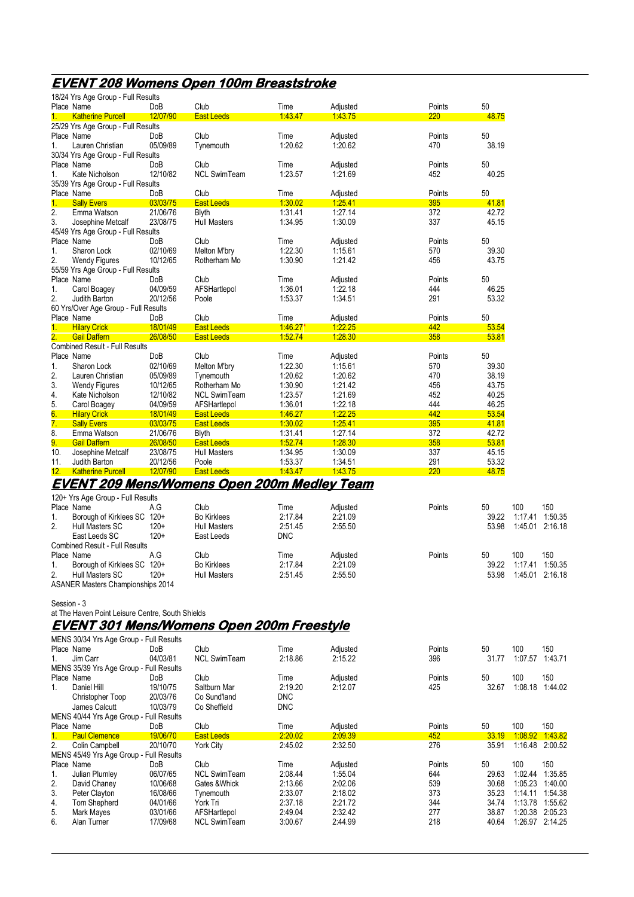## **EVENT 208 Womens Open 100m Breaststroke**

|             | 18/24 Yrs Age Group - Full Results               |          |                                                    |            |          |        |       |                 |                 |
|-------------|--------------------------------------------------|----------|----------------------------------------------------|------------|----------|--------|-------|-----------------|-----------------|
|             | Place Name                                       | DoB      | Club                                               | Time       | Adjusted | Points | 50    |                 |                 |
| 1.          | <b>Katherine Purcell</b>                         | 12/07/90 | <b>East Leeds</b>                                  | 14347      | 1.43.75  | 220    | 48.75 |                 |                 |
|             | 25/29 Yrs Age Group - Full Results               |          |                                                    |            |          |        |       |                 |                 |
|             | Place Name                                       | DoB      | Club                                               | Time       | Adjusted | Points | 50    |                 |                 |
| 1.          | Lauren Christian                                 | 05/09/89 | Tynemouth                                          | 1:20.62    | 1:20.62  | 470    | 38.19 |                 |                 |
|             | 30/34 Yrs Age Group - Full Results               |          |                                                    |            |          |        |       |                 |                 |
|             | Place Name                                       | DoB      | Club                                               | Time       | Adjusted | Points | 50    |                 |                 |
| 1.          | Kate Nicholson                                   | 12/10/82 | <b>NCL SwimTeam</b>                                | 1.23.57    | 1:21.69  | 452    | 40.25 |                 |                 |
|             | 35/39 Yrs Age Group - Full Results               |          |                                                    |            |          |        |       |                 |                 |
|             | Place Name                                       | DoB      | Club                                               | Time       | Adjusted | Points | 50    |                 |                 |
| 1.          | <b>Sally Evers</b>                               | 03/03/75 | <b>East Leeds</b>                                  | 1:30.02    | 1:25.41  | 395    | 41.81 |                 |                 |
| 2.          | Emma Watson                                      | 21/06/76 | Blyth                                              | 1.31.41    | 1:27.14  | 372    | 42.72 |                 |                 |
| 3.          | Josephine Metcalf                                | 23/08/75 | <b>Hull Masters</b>                                | 1.34.95    | 1:30.09  | 337    | 45.15 |                 |                 |
|             |                                                  |          |                                                    |            |          |        |       |                 |                 |
|             | 45/49 Yrs Age Group - Full Results               |          |                                                    |            |          |        |       |                 |                 |
|             | Place Name                                       | DoB      | Club                                               | Time       | Adjusted | Points | 50    |                 |                 |
| 1.          | Sharon Lock                                      | 02/10/69 | Melton M'bry                                       | 1:22.30    | 1:15.61  | 570    | 39.30 |                 |                 |
| 2.          | <b>Wendy Figures</b>                             | 10/12/65 | Rotherham Mo                                       | 1.30.90    | 1.21.42  | 456    | 43.75 |                 |                 |
|             | 55/59 Yrs Age Group - Full Results               |          |                                                    |            |          |        |       |                 |                 |
|             | Place Name                                       | DoB      | Club                                               | Time       | Adjusted | Points | 50    |                 |                 |
| 1.          | Carol Boagey                                     | 04/09/59 | AFSHartlepol                                       | 1:36.01    | 1:22.18  | 444    | 46.25 |                 |                 |
| 2.          | Judith Barton                                    | 20/12/56 | Poole                                              | 1.53.37    | 1:34.51  | 291    | 53.32 |                 |                 |
|             | 60 Yrs/Over Age Group - Full Results             |          |                                                    |            |          |        |       |                 |                 |
|             | Place Name                                       | DoB      | Club                                               | Time       | Adjusted | Points | 50    |                 |                 |
| 1.          | <b>Hilary Crick</b>                              | 18/01/49 | <b>East Leeds</b>                                  | 1.46.27'   | 1:22.25  | 442    | 53.54 |                 |                 |
|             | <b>Gail Daffern</b>                              | 26/08/50 | <b>East Leeds</b>                                  | 1.52.74    | 1:28.30  | 358    | 53.81 |                 |                 |
|             | <b>Combined Result - Full Results</b>            |          |                                                    |            |          |        |       |                 |                 |
|             | Place Name                                       | DoB      | Club                                               | Time       | Adjusted | Points | 50    |                 |                 |
| 1.          | Sharon Lock                                      | 02/10/69 | Melton M'bry                                       | 1.22.30    | 1:15.61  | 570    | 39.30 |                 |                 |
| 2.          | Lauren Christian                                 | 05/09/89 | Tynemouth                                          | 1:20.62    | 1.20.62  | 470    | 38.19 |                 |                 |
| 3.          | <b>Wendy Figures</b>                             | 10/12/65 | Rotherham Mo                                       | 1:30.90    | 1:21.42  | 456    | 43.75 |                 |                 |
|             |                                                  | 12/10/82 |                                                    | 1.23.57    | 1.21.69  | 452    | 40.25 |                 |                 |
| 4.          | Kate Nicholson                                   | 04/09/59 | <b>NCL SwimTeam</b>                                |            | 1:22.18  | 444    |       |                 |                 |
| 5.          | Carol Boagey                                     |          | AFSHartlepol                                       | 1:36.01    |          |        | 46.25 |                 |                 |
| 6.          | <b>Hilary Crick</b>                              | 18/01/49 | <b>East Leeds</b>                                  | 1.46.27    | 1:22.25  | 442    | 53.54 |                 |                 |
| 7.          | <b>Sally Evers</b>                               | 03/03/75 | <b>East Leeds</b>                                  | 1:30.02    | 1:25.41  | 395    | 41.81 |                 |                 |
| 8.          | Emma Watson                                      | 21/06/76 | <b>Blyth</b>                                       | 1.31.41    | 1:27.14  | 372    | 42.72 |                 |                 |
| 9.          | <b>Gail Daffern</b>                              | 26/08/50 | <b>East Leeds</b>                                  | 1.52.74    | 1:28.30  | 358    | 53.81 |                 |                 |
| 10.         | Josephine Metcalf                                | 23/08/75 | <b>Hull Masters</b>                                | 1:34.95    | 1:30.09  | 337    | 45.15 |                 |                 |
| 11.         | Judith Barton                                    | 20/12/56 | Poole                                              | 1.53.37    | 1:34.51  | 291    | 53.32 |                 |                 |
| 12.         | <b>Katherine Purcell</b>                         | 12/07/90 | <b>East Leeds</b>                                  | 1.43.47    | 1:43.75  | 220    | 48.75 |                 |                 |
|             |                                                  |          | <b>EVENT 209 Mens/Womens Open 200m Medley Team</b> |            |          |        |       |                 |                 |
|             |                                                  |          |                                                    |            |          |        |       |                 |                 |
|             | 120+ Yrs Age Group - Full Results                |          |                                                    |            |          |        |       |                 |                 |
|             | Place Name                                       | A.G      | Club                                               | Time       | Adjusted | Points | 50    | 100             | 150             |
| 1.          | Borough of Kirklees SC 120+                      |          | <b>Bo Kirklees</b>                                 | 2:17.84    | 2:21.09  |        | 39.22 | 1:17.41         | 1.50.35         |
| 2.          | Hull Masters SC                                  | $120+$   | <b>Hull Masters</b>                                | 2:51.45    | 2:55.50  |        | 53.98 | 1:45.01         | 2:16.18         |
|             | East Leeds SC                                    | $120+$   | East Leeds                                         | DNC        |          |        |       |                 |                 |
|             | <b>Combined Result - Full Results</b>            |          |                                                    |            |          |        |       |                 |                 |
|             | Place Name                                       | A.G      | Club                                               | Time       | Adjusted | Points | 50    | 100             | 150             |
| 1.          | Borough of Kirklees SC 120+                      |          | <b>Bo Kirklees</b>                                 | 2:17.84    | 2:21.09  |        | 39.22 | 1:17.41 1:50.35 |                 |
| 2.          | Hull Masters SC                                  | $120+$   | <b>Hull Masters</b>                                | 2:51.45    | 2:55.50  |        | 53.98 | 1:45.01 2:16.18 |                 |
|             | <b>ASANER Masters Championships 2014</b>         |          |                                                    |            |          |        |       |                 |                 |
|             |                                                  |          |                                                    |            |          |        |       |                 |                 |
| Session - 3 |                                                  |          |                                                    |            |          |        |       |                 |                 |
|             | at The Haven Point Leisure Centre, South Shields |          |                                                    |            |          |        |       |                 |                 |
|             |                                                  |          |                                                    |            |          |        |       |                 |                 |
|             |                                                  |          | <u>EVENT 301 Mens/Womens Open 200m Freestyle</u>   |            |          |        |       |                 |                 |
|             | MENS 30/34 Yrs Age Group - Full Results          |          |                                                    |            |          |        |       |                 |                 |
|             | Place Name                                       | DoB      | Club                                               | Time       | Adjusted | Points | 50    | 100             | 150             |
| 1.          | Jim Carr                                         | 04/03/81 | <b>NCL SwimTeam</b>                                | 2:18.86    | 2:15.22  | 396    | 31.77 | 1:07.57 1:43.71 |                 |
|             | MENS 35/39 Yrs Age Group - Full Results          |          |                                                    |            |          |        |       |                 |                 |
|             | Place Name                                       | DoB      | Club                                               | Time       | Adjusted | Points | 50    | 100             | 150             |
|             |                                                  |          |                                                    |            |          |        |       |                 |                 |
| 1.          | Daniel Hill                                      | 19/10/75 | Saltburn Mar                                       | 2:19.20    | 2:12.07  | 425    | 32.67 | 1:08.18 1:44.02 |                 |
|             | Christopher Toop                                 | 20/03/76 | Co Sund'land                                       | <b>DNC</b> |          |        |       |                 |                 |
|             | James Calcutt                                    | 10/03/79 | Co Sheffield                                       | <b>DNC</b> |          |        |       |                 |                 |
|             | MENS 40/44 Yrs Age Group - Full Results          |          |                                                    |            |          |        |       |                 |                 |
|             | Place Name                                       | DoB      | Club                                               | Time       | Adjusted | Points | 50    | 100             | 150             |
| 1.          | <b>Paul Clemence</b>                             | 19/06/70 | <b>East Leeds</b>                                  | 2:20.02    | 2:09.39  | 452    | 33.19 | 1.08.92 1.43.82 |                 |
| 2.          | Colin Campbell                                   | 20/10/70 | <b>York City</b>                                   | 2.45.02    | 2:32.50  | 276    | 35.91 | 1:16.48 2:00.52 |                 |
|             | MENS 45/49 Yrs Age Group - Full Results          |          |                                                    |            |          |        |       |                 |                 |
|             | Place Name                                       | DoB      | Club                                               | Time       | Adjusted | Points | 50    | 100             | 150             |
| 1.          | Julian Plumley                                   | 06/07/65 | <b>NCL SwimTeam</b>                                | 2:08.44    | 1:55.04  | 644    | 29.63 | 1:02.44 1:35.85 |                 |
|             | David Chaney                                     | 10/06/68 | Gates & Whick                                      | 2:13.66    | 2:02.06  | 539    | 30.68 | 1:05.23 1:40.00 |                 |
| 2.          |                                                  |          |                                                    |            |          |        | 35.23 |                 | 1:14.11 1:54.38 |
| 3.          | Peter Clayton                                    | 16/08/66 | Tynemouth                                          | 2:33.07    | 2:18.02  | 373    |       |                 |                 |
| 4.          | Tom Shepherd                                     | 04/01/66 | York Tri                                           | 2:37.18    | 2.21.72  | 344    | 34.74 | 1:13.78 1:55.62 |                 |
| 5.          | Mark Mayes                                       | 03/01/66 | AFSHartlepol                                       | 2.49.04    | 2:32.42  | 277    | 38.87 | 1:20.38 2:05.23 |                 |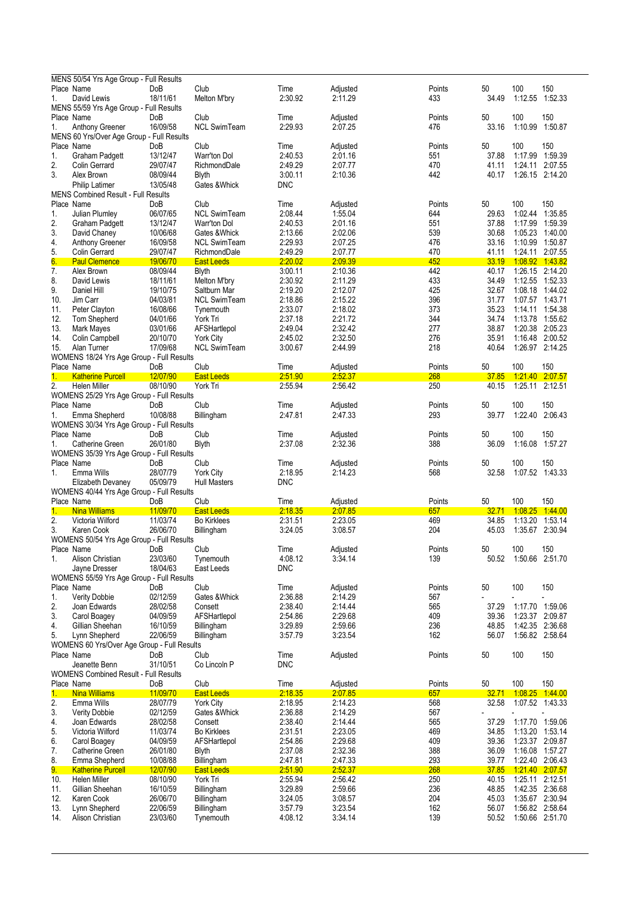|            | MENS 50/54 Yrs Age Group - Full Results                    |                      |                                     |                    |                     |               |                |                                    |                        |
|------------|------------------------------------------------------------|----------------------|-------------------------------------|--------------------|---------------------|---------------|----------------|------------------------------------|------------------------|
| Place Name |                                                            | DoB                  | Club                                | Time               | Adjusted            | Points        | 50             | 100                                | 150                    |
| 1.         | David Lewis                                                | 18/11/61             | Melton M'bry                        | 2:30.92            | 2:11.29             | 433           | 34.49          | 1:12.55                            | 1:52.33                |
| Place Name | MENS 55/59 Yrs Age Group - Full Results                    |                      | Club                                |                    |                     |               |                | 100                                | 150                    |
| 1.         | Anthony Greener                                            | DoB<br>16/09/58      | <b>NCL SwimTeam</b>                 | Time<br>2:29.93    | Adjusted<br>2:07.25 | Points<br>476 | 50<br>33.16    | 1:10.99                            | 1:50.87                |
|            | MENS 60 Yrs/Over Age Group - Full Results                  |                      |                                     |                    |                     |               |                |                                    |                        |
| Place Name |                                                            | DoB                  | Club                                | Time               | Adjusted            | Points        | 50             | 100                                | 150                    |
| 1.         | Graham Padgett                                             | 13/12/47             | Warr'ton Dol                        | 2:40.53            | 2:01.16             | 551           | 37.88          | 1:17.99                            | 1:59.39                |
| 2.         | Colin Gerrard                                              | 29/07/47             | RichmondDale                        | 2:49.29            | 2:07.77             | 470           | 41.11          | 1:24.11 2:07.55                    |                        |
| 3.         | Alex Brown                                                 | 08/09/44             | <b>Blyth</b>                        | 3:00.11            | 2:10.36             | 442           | 40.17          | 1:26.15 2:14.20                    |                        |
|            | <b>Philip Latimer</b>                                      | 13/05/48             | Gates & Whick                       | DNC                |                     |               |                |                                    |                        |
|            | <b>MENS Combined Result - Full Results</b>                 |                      |                                     |                    |                     |               |                |                                    |                        |
| Place Name |                                                            | DoB                  | Club                                | Time               | Adjusted            | Points        | 50             | 100                                | 150                    |
| 1.         | Julian Plumley                                             | 06/07/65             | <b>NCL SwimTeam</b>                 | 2:08.44            | 1:55.04             | 644           | 29.63          | 1:02.44                            | 1.35.85                |
| 2.         | Graham Padgett                                             | 13/12/47             | Warr'ton Dol                        | 2:40.53            | 2:01.16             | 551           | 37.88          | 1:17.99                            | 1.59.39                |
| 3.         | David Chaney                                               | 10/06/68<br>16/09/58 | Gates & Whick                       | 2:13.66<br>2:29.93 | 2:02.06             | 539<br>476    | 30.68          | 1:05.23                            | 1:40.00                |
| 4.<br>5.   | Anthony Greener<br>Colin Gerrard                           | 29/07/47             | <b>NCL SwimTeam</b><br>RichmondDale | 2:49.29            | 2:07.25<br>2:07.77  | 470           | 33.16<br>41.11 | 1:10.99 1:50.87<br>1:24.11         | 2:07.55                |
| 6.         | <b>Paul Clemence</b>                                       | 19/06/70             | <b>East Leeds</b>                   | 2:20.02            | 2.09.39             | 452           | 33.19          | 1:08.92 1:43.82                    |                        |
| 7.         | Alex Brown                                                 | 08/09/44             | <b>Blyth</b>                        | 3:00.11            | 2:10.36             | 442           | 40.17          | 1:26.15 2:14.20                    |                        |
| 8.         | David Lewis                                                | 18/11/61             | Melton M'bry                        | 2:30.92            | 2:11.29             | 433           | 34.49          | 1:12.55 1:52.33                    |                        |
| 9.         | Daniel Hill                                                | 19/10/75             | Saltburn Mar                        | 2:19.20            | 2:12.07             | 425           | 32.67          | 1:08.18                            | 1:44.02                |
| 10.        | Jim Carr                                                   | 04/03/81             | <b>NCL SwimTeam</b>                 | 2:18.86            | 2:15.22             | 396           | 31.77          | 1:07.57 1:43.71                    |                        |
| 11.        | Peter Clayton                                              | 16/08/66             | Tynemouth                           | 2:33.07            | 2:18.02             | 373           | 35.23          | 1:14.11                            | 1.54.38                |
| 12.        | Tom Shepherd                                               | 04/01/66             | York Tri                            | 2:37.18            | 2:21.72             | 344           | 34.74          | 1:13.78 1:55.62                    |                        |
| 13.        | Mark Mayes                                                 | 03/01/66             | AFSHartlepol                        | 2:49.04            | 2:32.42             | 277           | 38.87          | 1:20.38                            | 2:05.23                |
| 14.        | Colin Campbell                                             | 20/10/70             | <b>York City</b>                    | 2:45.02            | 2:32.50             | 276           | 35.91          | 1:16.48 2:00.52                    |                        |
| 15.        | Alan Turner                                                | 17/09/68             | <b>NCL SwimTeam</b>                 | 3:00.67            | 2:44.99             | 218           | 40.64          | 1:26.97 2:14.25                    |                        |
|            | WOMENS 18/24 Yrs Age Group - Full Results                  |                      |                                     |                    |                     |               |                |                                    |                        |
| Place Name |                                                            | DoB                  | Club                                | Time               | Adjusted            | Points        | 50             | 100                                | 150                    |
| 1.         | <b>Katherine Purcell</b>                                   | 12/07/90             | East Leeds                          | 2:51.90            | 2:52.37             | 268           | 37.85          | 1:21.40 2:07.57                    |                        |
| 2.         | Helen Miller                                               | 08/10/90             | York Tri                            | 2:55.94            | 2:56.42             | 250           | 40.15          | 1:25.11 2:12.51                    |                        |
|            | WOMENS 25/29 Yrs Age Group - Full Results                  |                      |                                     |                    |                     |               |                |                                    |                        |
| Place Name |                                                            | DoB<br>10/08/88      | Club                                | Time<br>2:47.81    | Adjusted<br>2:47.33 | Points<br>293 | 50<br>39.77    | 100                                | 150<br>1:22.40 2:06.43 |
| 1.         | Emma Shepherd<br>WOMENS 30/34 Yrs Age Group - Full Results |                      | Billingham                          |                    |                     |               |                |                                    |                        |
| Place Name |                                                            | DoB                  | Club                                | Time               | Adjusted            | Points        | 50             | 100                                | 150                    |
| 1.         | Catherine Green                                            | 26/01/80             | <b>Blyth</b>                        | 2:37.08            | 2:32.36             | 388           | 36.09          | 1:16.08                            | 1.57.27                |
|            |                                                            |                      |                                     |                    |                     |               |                |                                    |                        |
|            |                                                            |                      |                                     |                    |                     |               |                |                                    |                        |
|            | WOMENS 35/39 Yrs Age Group - Full Results                  |                      |                                     |                    |                     |               |                |                                    |                        |
| Place Name |                                                            | DoB                  | Club                                | Time               | Adjusted            | Points        | 50             | 100                                | 150                    |
| 1.         | Emma Wills                                                 | 28/07/79             | <b>York City</b>                    | 2:18.95            | 2:14.23             | 568           | 32.58          | 1:07.52 1:43.33                    |                        |
|            | Elizabeth Devaney                                          | 05/09/79             | <b>Hull Masters</b>                 | DNC                |                     |               |                |                                    |                        |
| Place Name | WOMENS 40/44 Yrs Age Group - Full Results                  | DoB                  | Club                                | Time               | Adjusted            | Points        | 50             | 100                                | 150                    |
| 1.         | <b>Nina Williams</b>                                       | 11/09/70             | <b>East Leeds</b>                   | 2:18.35            | 2:07.85             | 657           | 32.71          | 1:08.25                            | 1.44.00                |
| 2.         | Victoria Wilford                                           | 11/03/74             | <b>Bo Kirklees</b>                  | 2:31.51            | 2:23.05             | 469           | 34.85          | 1:13.20                            | 1:53.14                |
| 3.         | Karen Cook                                                 | 26/06/70             | Billingham                          | 3:24.05            | 3:08.57             | 204           | 45.03          | 1:35.67 2:30.94                    |                        |
|            | WOMENS 50/54 Yrs Age Group - Full Results                  |                      |                                     |                    |                     |               |                |                                    |                        |
| Place Name |                                                            | DoB                  | Club                                | Time               | Adjusted            | Points        | 50             | 100                                | 150                    |
| 1.         | Alison Christian                                           | 23/03/60             | Tynemouth                           | 4:08.12            | 3:34.14             | 139           | 50.52          | 1:50.66 2:51.70                    |                        |
|            | Jayne Dresser                                              | 18/04/63             | East Leeds                          | <b>DNC</b>         |                     |               |                |                                    |                        |
|            | WOMENS 55/59 Yrs Age Group - Full Results                  |                      |                                     |                    |                     |               |                |                                    |                        |
| Place Name |                                                            | DoB                  | Club                                | Time               | Adjusted            | Points        | 50             | 100                                | 150                    |
| 1.         | Verity Dobbie                                              | 02/12/59             | Gates & Whick                       | 2:36.88            | 2:14.29             | 567           |                |                                    |                        |
| 2.         | Joan Edwards                                               | 28/02/58             | Consett                             | 2:38.40            | 2:14.44             | 565           | 37.29          | 1:17.70                            | 1:59.06                |
| 3.         | Carol Boagey                                               | 04/09/59             | AFSHartlepol                        | 2:54.86            | 2:29.68             | 409           | 39.36          | 1:23.37                            | 2:09.87                |
| 4.         | Gillian Sheehan                                            | 16/10/59             | Billingham                          | 3.29.89            | 2:59.66             | 236           | 48.85          | 1:42.35 2:36.68                    |                        |
| 5.         | Lynn Shepherd                                              | 22/06/59             | Billingham                          | 3:57.79            | 3:23.54             | 162           | 56.07          | 1:56.82 2:58.64                    |                        |
|            | WOMENS 60 Yrs/Over Age Group - Full Results                |                      |                                     |                    |                     |               |                |                                    |                        |
| Place Name | Jeanette Benn                                              | DoB<br>31/10/51      | Club<br>Co Lincoln P                | Time<br><b>DNC</b> | Adjusted            | Points        | 50             | 100                                | 150                    |
|            | WOMENS Combined Result - Full Results                      |                      |                                     |                    |                     |               |                |                                    |                        |
| Place Name |                                                            | DoB                  | Club                                | Time               | Adjusted            | Points        | 50             | 100                                | 150                    |
| 1.         | Nina Williams                                              | 11/09/70             | <b>East Leeds</b>                   | 2.18.35            | 2.07.85             | 657           | 32.71          | 1:08.25 1:44.00                    |                        |
| 2.         | Emma Wills                                                 | 28/07/79             | <b>York City</b>                    | 2:18.95            | 2:14.23             | 568           | 32.58          | 1:07.52 1:43.33                    |                        |
| 3.         | <b>Verity Dobbie</b>                                       | 02/12/59             | Gates & Whick                       | 2:36.88            | 2:14.29             | 567           |                |                                    |                        |
| 4.         | Joan Edwards                                               | 28/02/58             | Consett                             | 2:38.40            | 2:14.44             | 565           | 37.29          | 1:17.70 1:59.06                    |                        |
| 5.         | Victoria Wilford                                           | 11/03/74             | <b>Bo Kirklees</b>                  | 2:31.51            | 2:23.05             | 469           | 34.85          | 1:13.20                            | 1:53.14                |
| 6.         | Carol Boagey                                               | 04/09/59             | AFSHartlepol                        | 2:54.86            | 2:29.68             | 409           | 39.36          | 1:23.37 2:09.87                    |                        |
| 7.         | Catherine Green                                            | 26/01/80             | <b>Blyth</b>                        | 2:37.08            | 2:32.36             | 388           | 36.09          |                                    | 1:16.08 1:57.27        |
| 8.         | Emma Shepherd                                              | 10/08/88             | Billingham                          | 2:47.81            | 2.47.33             | 293           | 39.77          | 1:22.40 2:06.43                    |                        |
| 9.         | <b>Katherine Purcell</b>                                   | 12/07/90             | <b>East Leeds</b>                   | 2.51.90            | 2.52.37             | 268           | 37.85          | 1:21.40 2:07.57                    |                        |
| 10.        | <b>Helen Miller</b>                                        | 08/10/90             | York Tri                            | 2:55.94            | 2:56.42             | 250           | 40.15          | 1:25.11 2:12.51                    |                        |
| 11.        | Gillian Sheehan                                            | 16/10/59             | Billingham                          | 3.29.89            | 2.59.66             | 236           | 48.85          | 1:42.35 2:36.68                    |                        |
| 12.        | Karen Cook                                                 | 26/06/70             | Billingham                          | 3.24.05            | 3:08.57             | 204           | 45.03          | 1:35.67 2:30.94                    |                        |
| 13.<br>14. | Lynn Shepherd<br>Alison Christian                          | 22/06/59<br>23/03/60 | Billingham<br>Tynemouth             | 3.57.79<br>4:08.12 | 3.23.54<br>3.34.14  | 162<br>139    | 56.07<br>50.52 | 1:56.82 2:58.64<br>1:50.66 2:51.70 |                        |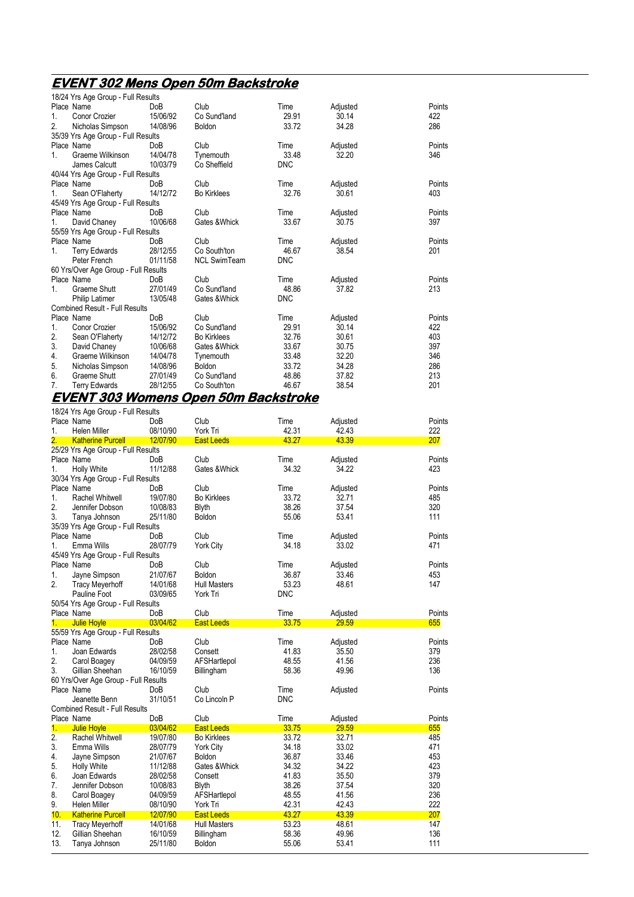## **EVENT 302 Mens Open 50m Backstroke**

|    | 18/24 Yrs Age Group - Full Results    |            |                     |            |          |        |
|----|---------------------------------------|------------|---------------------|------------|----------|--------|
|    | Place Name                            | <b>DoB</b> | Club                | Time       | Adjusted | Points |
| 1. | Conor Crozier                         | 15/06/92   | Co Sund'land        | 29.91      | 30.14    | 422    |
| 2. | Nicholas Simpson                      | 14/08/96   | Boldon              | 33.72      | 34.28    | 286    |
|    | 35/39 Yrs Age Group - Full Results    |            |                     |            |          |        |
|    | Place Name                            | DoB        | Club                | Time       | Adjusted | Points |
| 1  | Graeme Wilkinson                      | 14/04/78   | Tynemouth           | 33.48      | 32.20    | 346    |
|    | James Calcutt                         | 10/03/79   | Co Sheffield        | <b>DNC</b> |          |        |
|    | 40/44 Yrs Age Group - Full Results    |            |                     |            |          |        |
|    | Place Name                            | DoB        | Club                | Time       | Adjusted | Points |
| 1. | Sean O'Flaherty                       | 14/12/72   | <b>Bo Kirklees</b>  | 32.76      | 30.61    | 403    |
|    | 45/49 Yrs Age Group - Full Results    |            |                     |            |          |        |
|    | Place Name                            | DoB        | Club                | Time       | Adjusted | Points |
| 1. | David Chaney                          | 10/06/68   | Gates & Whick       | 33.67      | 30.75    | 397    |
|    | 55/59 Yrs Age Group - Full Results    |            |                     |            |          |        |
|    | Place Name                            | DoB        | Club                | Time       | Adjusted | Points |
| 1. | <b>Terry Edwards</b>                  | 28/12/55   | Co South'ton        | 46.67      | 38.54    | 201    |
|    | Peter French                          | 01/11/58   | <b>NCL SwimTeam</b> | <b>DNC</b> |          |        |
|    | 60 Yrs/Over Age Group - Full Results  |            |                     |            |          |        |
|    | Place Name                            | DoB        | Club                | Time       | Adjusted | Points |
| 1  | Graeme Shutt                          | 27/01/49   | Co Sund'land        | 48.86      | 37.82    | 213    |
|    | <b>Philip Latimer</b>                 | 13/05/48   | Gates & Whick       | <b>DNC</b> |          |        |
|    | <b>Combined Result - Full Results</b> |            |                     |            |          |        |
|    | Place Name                            | DoB        | Club                | Time       | Adjusted | Points |
| 1. | <b>Conor Crozier</b>                  | 15/06/92   | Co Sund'land        | 29.91      | 30.14    | 422    |
| 2. | Sean O'Flaherty                       | 14/12/72   | <b>Bo Kirklees</b>  | 32.76      | 30.61    | 403    |
| 3. | David Chaney                          | 10/06/68   | Gates & Whick       | 33.67      | 30.75    | 397    |
| 4. | Graeme Wilkinson                      | 14/04/78   | Tynemouth           | 33.48      | 32.20    | 346    |
| 5. | Nicholas Simpson                      | 14/08/96   | <b>Boldon</b>       | 33.72      | 34.28    | 286    |
| 6. | Graeme Shutt                          | 27/01/49   | Co Sund'land        | 48.86      | 37.82    | 213    |
| 7. | Terry Edwards                         | 28/12/55   | Co South'ton        | 46.67      | 38.54    | 201    |

### **EVENT 303 Womens Open 50m Backstroke**

|                  | 18/24 Yrs Age Group - Full Results    |            |                     |            |          |        |
|------------------|---------------------------------------|------------|---------------------|------------|----------|--------|
|                  | Place Name                            | DoB        | Club                | Time       | Adjusted | Points |
| 1.               | <b>Helen Miller</b>                   | 08/10/90   | York Tri            | 42.31      | 42.43    | 222    |
| $\overline{2}$ . | <b>Katherine Purcell</b>              | 12/07/90   | <b>East Leeds</b>   | 43.27      | 43.39    | 207    |
|                  | 25/29 Yrs Age Group - Full Results    |            |                     |            |          |        |
|                  | Place Name                            | DoB        | Club                | Time       | Adjusted | Points |
| 1.               | <b>Holly White</b>                    | 11/12/88   | Gates & Whick       | 34.32      | 34.22    | 423    |
|                  | 30/34 Yrs Age Group - Full Results    |            |                     |            |          |        |
|                  | Place Name                            | DoB        | Club                | Time       | Adjusted | Points |
| 1.               | <b>Rachel Whitwell</b>                | 19/07/80   | <b>Bo Kirklees</b>  | 33.72      | 32.71    | 485    |
| $\overline{2}$ . | Jennifer Dobson                       | 10/08/83   | <b>Blyth</b>        | 38.26      | 37.54    | 320    |
| 3.               | Tanya Johnson                         | 25/11/80   | <b>Boldon</b>       | 55.06      | 53.41    | 111    |
|                  | 35/39 Yrs Age Group - Full Results    |            |                     |            |          |        |
|                  | Place Name                            | DoB        | Club                | Time       | Adjusted | Points |
| 1.               | Emma Wills                            | 28/07/79   | <b>York City</b>    | 34.18      | 33.02    | 471    |
|                  | 45/49 Yrs Age Group - Full Results    |            |                     |            |          |        |
|                  | Place Name                            | DoB        | Club                | Time       | Adjusted | Points |
| 1.               | Jayne Simpson                         | 21/07/67   | <b>Boldon</b>       | 36.87      | 33.46    | 453    |
| 2.               | <b>Tracy Meyerhoff</b>                | 14/01/68   | <b>Hull Masters</b> | 53.23      | 48.61    | 147    |
|                  | Pauline Foot                          | 03/09/65   | York Tri            | DNC        |          |        |
|                  | 50/54 Yrs Age Group - Full Results    |            |                     |            |          |        |
|                  | Place Name                            | DoB        | Club                | Time       | Adjusted | Points |
| 1.               | <b>Julie Hoyle</b>                    | 03/04/62   | <b>East Leeds</b>   | 33.75      | 29.59    | 655    |
|                  | 55/59 Yrs Age Group - Full Results    |            |                     |            |          |        |
|                  | Place Name                            | DoB        | Club                | Time       | Adjusted | Points |
| 1.               | Joan Edwards                          | 28/02/58   | Consett             | 41.83      | 35.50    | 379    |
| 2.               | Carol Boagey                          | 04/09/59   | AFSHartlepol        | 48.55      | 41.56    | 236    |
| 3.               | Gillian Sheehan                       | 16/10/59   | Billingham          | 58.36      | 49.96    | 136    |
|                  | 60 Yrs/Over Age Group - Full Results  |            |                     |            |          |        |
|                  | Place Name                            | <b>DoB</b> | Club                | Time       | Adjusted | Points |
|                  | Jeanette Benn                         | 31/10/51   | Co Lincoln P        | <b>DNC</b> |          |        |
|                  | <b>Combined Result - Full Results</b> |            |                     |            |          |        |
|                  | Place Name                            | DoB        | Club                | Time       | Adjusted | Points |
| 1.               | <b>Julie Hoyle</b>                    | 03/04/62   | <b>East Leeds</b>   | 33.75      | 29.59    | 655    |
| 2.               | <b>Rachel Whitwell</b>                | 19/07/80   | <b>Bo Kirklees</b>  | 33.72      | 32.71    | 485    |
| 3.               | Emma Wills                            | 28/07/79   | <b>York City</b>    | 34.18      | 33.02    | 471    |
| 4.               | Jayne Simpson                         | 21/07/67   | <b>Boldon</b>       | 36.87      | 33.46    | 453    |
| 5.               | <b>Holly White</b>                    | 11/12/88   | Gates & Whick       | 34.32      | 34.22    | 423    |
| 6.               | Joan Edwards                          | 28/02/58   | Consett             | 41.83      | 35.50    | 379    |
| 7.               | Jennifer Dobson                       | 10/08/83   | <b>Blyth</b>        | 38.26      | 37.54    | 320    |
| 8.               | Carol Boagey                          | 04/09/59   | AFSHartlepol        | 48.55      | 41.56    | 236    |
| 9.               | Helen Miller                          | 08/10/90   | York Tri            | 42.31      | 42.43    | 222    |
| 10.              | <b>Katherine Purcell</b>              | 12/07/90   | <b>East Leeds</b>   | 43.27      | 43.39    | 207    |
| 11.              | <b>Tracy Meyerhoff</b>                | 14/01/68   | <b>Hull Masters</b> | 53.23      | 48.61    | 147    |
| 12.              | Gillian Sheehan                       | 16/10/59   | Billingham          | 58.36      | 49.96    | 136    |
| 13.              | Tanya Johnson                         | 25/11/80   | Boldon              | 55.06      | 53.41    | 111    |
|                  |                                       |            |                     |            |          |        |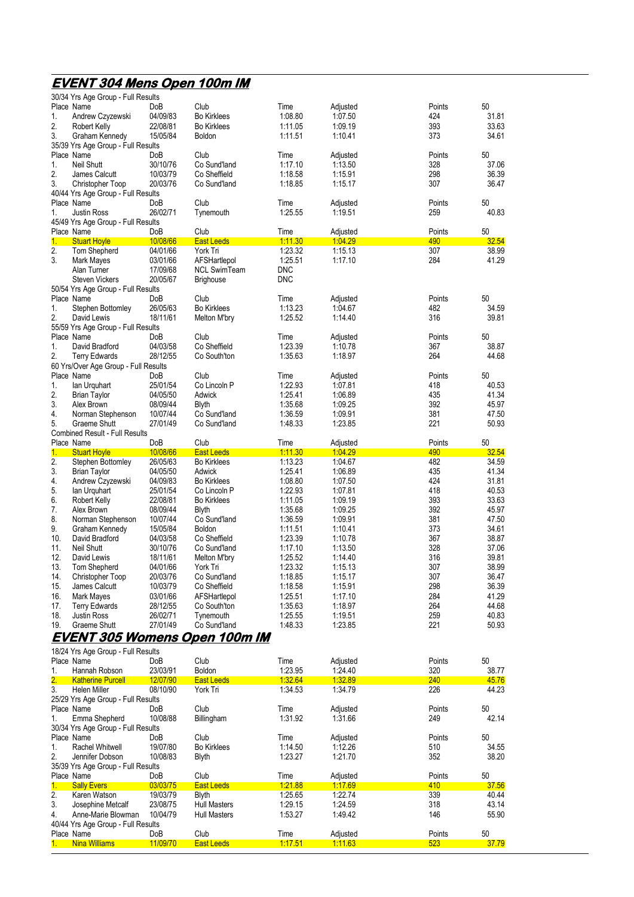## **EVENT 304 Mens Open 100m IM**

|     | 30/34 Yrs Age Group - Full Results                   |            |                     |                |                |        |       |
|-----|------------------------------------------------------|------------|---------------------|----------------|----------------|--------|-------|
|     | Place Name                                           | DoB        | Club                | Time           | Adjusted       | Points | 50    |
| 1.  | Andrew Czyzewski                                     | 04/09/83   | <b>Bo Kirklees</b>  | 1.08.80        | 1.07.50        | 424    | 31.81 |
| 2.  | Robert Kelly                                         | 22/08/81   | <b>Bo Kirklees</b>  | 1:11.05        | 1.09.19        | 393    | 33.63 |
| 3.  | Graham Kennedy<br>35/39 Yrs Age Group - Full Results | 15/05/84   | <b>Boldon</b>       | 1:11.51        | 1:10.41        | 373    | 34.61 |
|     | Place Name                                           | DoB        | Club                | Time           | Adjusted       | Points | 50    |
| 1.  | Neil Shutt                                           | 30/10/76   | Co Sund'land        | 1:17.10        | 1:13.50        | 328    | 37.06 |
| 2.  | James Calcutt                                        | 10/03/79   | Co Sheffield        | 1:18.58        | 1:15.91        | 298    | 36.39 |
| 3.  | Christopher Toop                                     | 20/03/76   | Co Sund'land        | 1:18.85        | 1:15.17        | 307    | 36.47 |
|     | 40/44 Yrs Age Group - Full Results                   |            |                     |                |                |        |       |
|     | Place Name                                           | DoB        | Club                | Time           | Adjusted       | Points | 50    |
| 1.  | <b>Justin Ross</b>                                   | 26/02/71   | Tynemouth           | 1:25.55        | 1:19.51        | 259    | 40.83 |
|     | 45/49 Yrs Age Group - Full Results                   |            |                     |                |                |        |       |
|     | Place Name                                           | DoB        | Club                | Time           | Adjusted       | Points | 50    |
| 1.  | <b>Stuart Hoyle</b>                                  | 10/08/66   | <b>East Leeds</b>   | 1:11.30        | 1.04.29        | 490    | 32.54 |
| 2.  | Tom Shepherd                                         | 04/01/66   | York Tri            | 1.23.32        | 1:15.13        | 307    | 38.99 |
| 3.  | Mark Mayes                                           | 03/01/66   | AFSHartlepol        | 1:25.51        | 1:17.10        | 284    | 41.29 |
|     | Alan Turner                                          | 17/09/68   | <b>NCL SwimTeam</b> | <b>DNC</b>     |                |        |       |
|     | <b>Steven Vickers</b>                                | 20/05/67   | <b>Brighouse</b>    | <b>DNC</b>     |                |        |       |
|     | 50/54 Yrs Age Group - Full Results                   |            |                     |                |                |        |       |
|     | Place Name                                           | DoB        | Club                | Time           | Adjusted       | Points | 50    |
| 1.  | Stephen Bottomley                                    | 26/05/63   | <b>Bo Kirklees</b>  | 1:13.23        | 1:04.67        | 482    | 34.59 |
| 2.  | David Lewis                                          | 18/11/61   | Melton M'bry        | 1.25.52        | 1:14.40        | 316    | 39.81 |
|     | 55/59 Yrs Age Group - Full Results                   |            |                     |                |                |        |       |
|     | Place Name                                           | DoB        | Club                | Time           | Adjusted       | Points | 50    |
| 1.  | David Bradford                                       | 04/03/58   | Co Sheffield        | 1:23.39        | 1:10.78        | 367    | 38.87 |
| 2.  | <b>Terry Edwards</b>                                 | 28/12/55   | Co South'ton        | 1.35.63        | 1:18.97        | 264    | 44.68 |
|     | 60 Yrs/Over Age Group - Full Results                 |            |                     |                |                |        |       |
|     | Place Name                                           | DoB        | Club                | Time           | Adjusted       | Points | 50    |
| 1.  | lan Urquhart                                         | 25/01/54   | Co Lincoln P        | 1.22.93        | 1:07.81        | 418    | 40.53 |
| 2.  | <b>Brian Taylor</b>                                  | 04/05/50   | Adwick              | 1:25.41        | 1:06.89        | 435    | 41.34 |
| 3.  | Alex Brown                                           | 08/09/44   | <b>Blyth</b>        | 1:35.68        | 1:09.25        | 392    | 45.97 |
| 4.  | Norman Stephenson                                    | 10/07/44   | Co Sund'land        | 1.36.59        | 1:09.91        | 381    | 47.50 |
| 5.  | Graeme Shutt                                         | 27/01/49   | Co Sund'land        | 1:48.33        | 1:23.85        | 221    | 50.93 |
|     | <b>Combined Result - Full Results</b>                |            |                     |                |                |        |       |
|     | Place Name                                           | <b>DoB</b> | Club                | Time           | Adjusted       | Points | 50    |
| 1.  | <b>Stuart Hoyle</b>                                  | 10/08/66   | <b>East Leeds</b>   | <u>1:11.30</u> | 1.04.29        | 490    | 32.54 |
| 2.  | Stephen Bottomley                                    | 26/05/63   | <b>Bo Kirklees</b>  | 1:13.23        | 1:04.67        | 482    | 34.59 |
| 3.  | <b>Brian Taylor</b>                                  | 04/05/50   | Adwick              | 1:25.41        | 1.06.89        | 435    | 41.34 |
| 4.  | Andrew Czyzewski                                     | 04/09/83   | <b>Bo Kirklees</b>  | 1.08.80        | 1:07.50        | 424    | 31.81 |
| 5.  | lan Urquhart                                         | 25/01/54   | Co Lincoln P        | 1.22.93        | 1:07.81        | 418    | 40.53 |
| 6.  | Robert Kelly                                         | 22/08/81   | <b>Bo Kirklees</b>  | 1:11.05        | 1:09.19        | 393    | 33.63 |
| 7.  | Alex Brown                                           | 08/09/44   | <b>Blyth</b>        | 1:35.68        | 1:09.25        | 392    | 45.97 |
| 8.  | Norman Stephenson                                    | 10/07/44   | Co Sund'land        | 1.36.59        | 1:09.91        | 381    | 47.50 |
| 9.  | Graham Kennedy                                       | 15/05/84   | <b>Boldon</b>       | 1:11.51        | 1:10.41        | 373    | 34.61 |
| 10. | David Bradford                                       | 04/03/58   | Co Sheffield        | 1.23.39        | 1:10.78        | 367    | 38.87 |
| 11. | <b>Neil Shutt</b>                                    | 30/10/76   | Co Sund'land        | 1:17.10        | 1:13.50        | 328    | 37.06 |
| 12. | David Lewis                                          | 18/11/61   | Melton M'bry        | 1.25.52        | 1:14.40        | 316    | 39.81 |
| 13. | Tom Shepherd                                         | 04/01/66   | York Tri            | 1:23.32        | 1:15.13        | 307    | 38.99 |
| 14. | Christopher Toop                                     | 20/03/76   | Co Sund'land        | 1:18.85        | 1:15.17        | 307    | 36.47 |
| 15. | James Calcutt                                        | 10/03/79   | Co Sheffield        | 1:18.58        | 1:15.91        | 298    | 36.39 |
| 16. | Mark Mayes                                           | 03/01/66   | AFSHartlepol        | 1:25.51        | 1:17.10        | 284    | 41.29 |
| 17. | <b>Terry Edwards</b>                                 | 28/12/55   | Co South'ton        | 1:35.63        | 1:18.97        | 264    | 44.68 |
| 18. | <b>Justin Ross</b>                                   | 26/02/71   | Tynemouth           | 1:25.55        | 1:19.51        | 259    | 40.83 |
| 19. | Graeme Shutt                                         | 27/01/49   | Co Sund'land        | 1:48.33        | 1.23.85        | 221    | 50.93 |
|     | EVENT 305 Womens O                                   |            | pen 100m IM         |                |                |        |       |
|     | 18/24 Yrs Age Group - Full Results                   |            |                     |                |                |        |       |
|     | Place Name                                           | DoB        | Club                | Time           | Adjusted       | Points | 50    |
| 1.  | Hannah Robson                                        | 23/03/91   | Boldon              | 1:23.95        | 1.24.40        | 320    | 38.77 |
| 2.  | <b>Katherine Purcell</b>                             | 12/07/90   | <b>East Leeds</b>   | 1:32.64        | 1:32.89        | 240    | 45.76 |
| 3.  | Helen Miller                                         | 08/10/90   | York Tri            | 1:34.53        | 1.34.79        | 226    | 44.23 |
|     | 25/29 Yrs Age Group - Full Results                   |            |                     |                |                |        |       |
|     | Place Name                                           | DoB        | Club                | Time           | Adjusted       | Points | 50    |
| 1.  | Emma Shepherd                                        | 10/08/88   | Billingham          | 1:31.92        | 1.31.66        | 249    | 42.14 |
|     | 30/34 Yrs Age Group - Full Results                   |            |                     |                |                |        |       |
|     | Place Name                                           | DoB        | Club                | Time           | Adjusted       | Points | 50    |
| 1.  | Rachel Whitwell                                      | 19/07/80   | <b>Bo Kirklees</b>  | 1:14.50        | 1:12.26        | 510    | 34.55 |
| 2.  | Jennifer Dobson                                      | 10/08/83   | <b>Blyth</b>        | 1:23.27        | 1.21.70        | 352    | 38.20 |
|     | 35/39 Yrs Age Group - Full Results                   |            |                     |                |                |        |       |
|     | Place Name                                           | DoB        | Club                | Time           | Adjusted       | Points | 50    |
| 1.  | <b>Sally Evers</b>                                   | 03/03/75   | <b>East Leeds</b>   | 1.21.88        | <u>1.17.69</u> | 410    | 37.56 |
| 2.  | Karen Watson                                         | 19/03/79   | <b>Blyth</b>        | 1.25.65        | 1.22.74        | 339    | 40.44 |
| 3.  | Josephine Metcalf                                    | 23/08/75   | <b>Hull Masters</b> | 1:29.15        | 1:24.59        | 318    | 43.14 |
| 4.  | Anne-Marie Blowman                                   | 10/04/79   | <b>Hull Masters</b> | 1:53.27        | 1.49.42        | 146    | 55.90 |
|     | 40/44 Yrs Age Group - Full Results                   |            |                     |                |                |        |       |
|     | Place Name                                           | DoB        | Club                | Time           | Adjusted       | Points | 50    |
| 1.  | <b>Nina Williams</b>                                 | 11/09/70   | <b>East Leeds</b>   | 1.17.51        | <u>1.11.63</u> | 523    | 37.79 |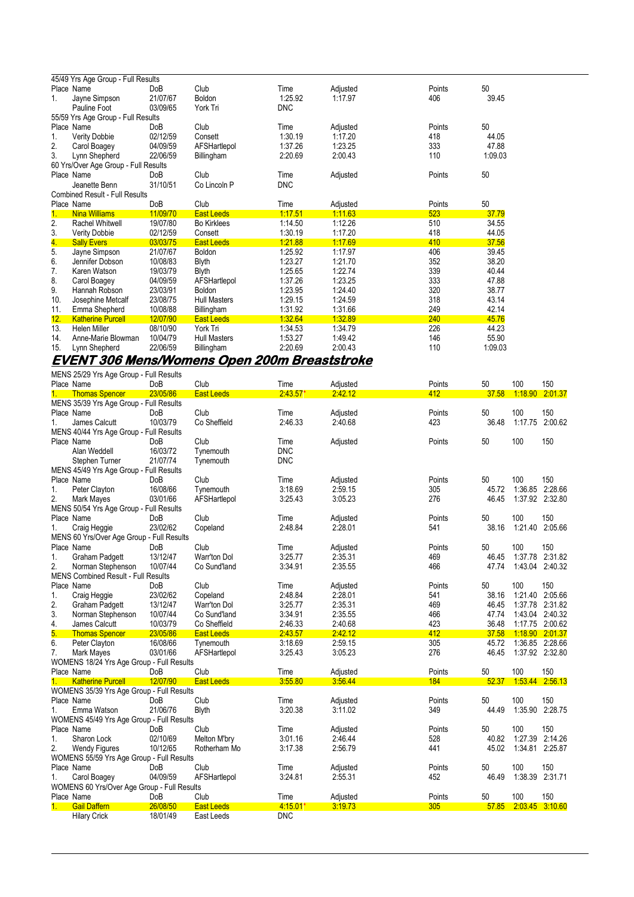|     | 45/49 Yrs Age Group - Full Results    |                 |                     |            |          |        |         |
|-----|---------------------------------------|-----------------|---------------------|------------|----------|--------|---------|
|     | Place Name                            | <b>DoB</b>      | Club                | Time       | Adjusted | Points | 50      |
| 1.  | Jayne Simpson                         | 21/07/67        | Boldon              | 1:25.92    | 1:17.97  | 406    | 39.45   |
|     | Pauline Foot                          | 03/09/65        | York Tri            | <b>DNC</b> |          |        |         |
|     | 55/59 Yrs Age Group - Full Results    |                 |                     |            |          |        |         |
|     | Place Name                            | DoB             | Club                | Time       | Adjusted | Points | 50      |
| 1.  | Verity Dobbie                         | 02/12/59        | Consett             | 1:30.19    | 1:17.20  | 418    | 44.05   |
| 2.  | Carol Boagey                          | 04/09/59        | AFSHartlepol        | 1:37.26    | 1:23.25  | 333    | 47.88   |
| 3.  | Lynn Shepherd                         | 22/06/59        | Billingham          | 2:20.69    | 2:00.43  | 110    | 1.09.03 |
|     | 60 Yrs/Over Age Group - Full Results  |                 |                     |            |          |        |         |
|     | Place Name                            | Do <sub>B</sub> | Club                | Time       | Adjusted | Points | 50      |
|     | Jeanette Benn                         | 31/10/51        | Co Lincoln P        | <b>DNC</b> |          |        |         |
|     | <b>Combined Result - Full Results</b> |                 |                     |            |          |        |         |
|     | Place Name                            | DoB             | Club                | Time       | Adjusted | Points | 50      |
| 1.  | <b>Nina Williams</b>                  | 11/09/70        | <b>East Leeds</b>   | 1:17.51    | 1.11.63  | 523    | 37.79   |
| 2.  | Rachel Whitwell                       | 19/07/80        | <b>Bo Kirklees</b>  | 1:14.50    | 1:12.26  | 510    | 34.55   |
| 3.  | <b>Verity Dobbie</b>                  | 02/12/59        | Consett             | 1:30.19    | 1:17.20  | 418    | 44.05   |
| 4.  | <b>Sally Evers</b>                    | 03/03/75        | <b>East Leeds</b>   | 1.21.88    | 1.17.69  | 410    | 37.56   |
| 5.  | Jayne Simpson                         | 21/07/67        | <b>Boldon</b>       | 1:25.92    | 1.17.97  | 406    | 39.45   |
| 6.  | Jennifer Dobson                       | 10/08/83        | <b>Blyth</b>        | 1:23.27    | 1:21.70  | 352    | 38.20   |
| 7.  | Karen Watson                          | 19/03/79        | <b>Blyth</b>        | 1:25.65    | 1:22.74  | 339    | 40.44   |
| 8.  | Carol Boagey                          | 04/09/59        | AFSHartlepol        | 1:37.26    | 1:23.25  | 333    | 47.88   |
| 9.  | Hannah Robson                         | 23/03/91        | <b>Boldon</b>       | 1:23.95    | 1.24.40  | 320    | 38.77   |
| 10. | Josephine Metcalf                     | 23/08/75        | <b>Hull Masters</b> | 1:29.15    | 1:24.59  | 318    | 43.14   |
| 11. | Emma Shepherd                         | 10/08/88        | Billingham          | 1:31.92    | 1.31.66  | 249    | 42.14   |
| 12. | <b>Katherine Purcell</b>              | 12/07/90        | <b>East Leeds</b>   | 1.32.64    | 1.32.89  | 240    | 45.76   |
| 13. | <b>Helen Miller</b>                   | 08/10/90        | York Tri            | 1:34.53    | 1:34.79  | 226    | 44.23   |
| 14. | Anne-Marie Blowman                    | 10/04/79        | <b>Hull Masters</b> | 1:53.27    | 1.49.42  | 146    | 55.90   |
| 15. | Lynn Shepherd                         | 22/06/59        | Billingham          | 2:20.69    | 2:00.43  | 110    | 1:09.03 |

#### **EVENT 306 Mens/Womens Open 200m Breaststroke**  MENS 25/29 Yrs Age Group - Full Result

|         | MENS 25/29 Yrs Age Group - Full Results                 |                 |                   |                 |                     |        |       |                 |                 |
|---------|---------------------------------------------------------|-----------------|-------------------|-----------------|---------------------|--------|-------|-----------------|-----------------|
|         | Place Name                                              | DoB             | Club              | Time            | Adjusted            | Points | 50    | 100             | 150             |
| $1 -$   | <b>Thomas Spencer</b>                                   | 23/05/86        | <b>East Leeds</b> | $2.43.57*$      | 2:42.12             | 412    | 37.58 | 1:18.90         | 2:01.37         |
|         | MENS 35/39 Yrs Age Group - Full Results                 |                 |                   |                 |                     |        |       |                 |                 |
|         | Place Name                                              | DoB             | Club              | Time            | Adjusted            | Points | 50    | 100             | 150             |
| 1.      | James Calcutt                                           | 10/03/79        | Co Sheffield      | 2:46.33         | 2:40.68             | 423    | 36.48 | 1:17.75         | 2:00.62         |
|         | MENS 40/44 Yrs Age Group - Full Results                 |                 |                   |                 |                     |        |       |                 |                 |
|         | Place Name                                              | DoB             | Club              | Time            | Adjusted            | Points | 50    | 100             | 150             |
|         | Alan Weddell                                            | 16/03/72        | Tynemouth         | <b>DNC</b>      |                     |        |       |                 |                 |
|         | Stephen Turner                                          | 21/07/74        | Tynemouth         | <b>DNC</b>      |                     |        |       |                 |                 |
|         | MENS 45/49 Yrs Age Group - Full Results                 |                 |                   |                 |                     |        |       |                 |                 |
|         | Place Name                                              | DoB             | Club              | Time            | Adjusted            | Points | 50    | 100             | 150             |
| 1.      | Peter Clayton                                           | 16/08/66        | Tynemouth         | 3:18.69         | 2:59.15             | 305    | 45.72 |                 | 1:36.85 2:28.66 |
| 2.      | Mark Mayes                                              | 03/01/66        | AFSHartlepol      | 3:25.43         | 3:05.23             | 276    | 46.45 |                 | 1:37.92 2:32.80 |
|         | MENS 50/54 Yrs Age Group - Full Results                 |                 |                   |                 |                     |        |       |                 |                 |
|         | Place Name                                              | DoB             | Club              | Time            | Adjusted            | Points | 50    | 100             | 150             |
| 1.      | Craig Heggie                                            | 23/02/62        | Copeland          | 2:48.84         | 2:28.01             | 541    | 38.16 | 1:21.40         | 2:05.66         |
|         | MENS 60 Yrs/Over Age Group - Full Results               |                 |                   |                 |                     |        |       |                 |                 |
|         | Place Name                                              | DoB             | Club              | Time            | Adjusted            | Points | 50    | 100             | 150             |
| 1.      | <b>Graham Padgett</b>                                   | 13/12/47        | Warr'ton Dol      | 3:25.77         | 2:35.31             | 469    | 46.45 | 1:37.78         | 2:31.82         |
| 2.      | Norman Stephenson                                       | 10/07/44        | Co Sund'land      | 3:34.91         | 2:35.55             | 466    | 47.74 | 1:43.04         | 2:40.32         |
|         | <b>MENS Combined Result - Full Results</b>              |                 |                   |                 |                     |        |       |                 |                 |
|         | Place Name                                              | DoB             | Club              | Time            | Adjusted            | Points | 50    | 100             | 150             |
| 1.      | Craig Heggie                                            | 23/02/62        | Copeland          | 2:48.84         | 2:28.01             | 541    | 38.16 | 1:21.40         | 2:05.66         |
| 2.      | <b>Graham Padgett</b>                                   | 13/12/47        | Warr'ton Dol      | 3:25.77         | 2:35.31             | 469    | 46.45 | 1:37.78         | 2:31.82         |
| 3.      | Norman Stephenson                                       | 10/07/44        | Co Sund'land      | 3:34.91         | 2:35.55             | 466    | 47.74 | 1:43.04 2:40.32 |                 |
| 4.      | James Calcutt                                           | 10/03/79        | Co Sheffield      | 2:46.33         | 2:40.68             | 423    | 36.48 | 1:17.75 2:00.62 |                 |
| 5.      | <b>Thomas Spencer</b>                                   | 23/05/86        | <b>East Leeds</b> | 2:43.57         | 2:42.12             | 412    | 37.58 |                 | 1.18.90 2.01.37 |
| 6.      | Peter Clayton                                           | 16/08/66        | Tynemouth         | 3:18.69         | 2:59.15             | 305    | 45.72 | 1:36.85 2:28.66 |                 |
| 7.      | Mark Mayes                                              | 03/01/66        | AFSHartlepol      | 3:25.43         | 3:05.23             | 276    | 46.45 |                 | 1:37.92 2:32.80 |
|         | WOMENS 18/24 Yrs Age Group - Full Results               |                 |                   |                 |                     |        |       |                 |                 |
|         | Place Name                                              |                 | Club              |                 |                     | Points | 50    | 100             | 150             |
| $1_{-}$ |                                                         | DoB<br>12/07/90 |                   | Time<br>3:55.80 | Adjusted<br>3:56.44 | 184    | 52.37 | 1:53.44 2:56.13 |                 |
|         | <b>Katherine Purcell</b>                                |                 | <b>East Leeds</b> |                 |                     |        |       |                 |                 |
|         | WOMENS 35/39 Yrs Age Group - Full Results<br>Place Name | DoB             | Club              |                 |                     | Points | 50    | 100             | 150             |
|         |                                                         |                 |                   | Time            | Adjusted            |        |       |                 |                 |
| 1.      | Emma Watson                                             | 21/06/76        | <b>Blyth</b>      | 3:20.38         | 3:11.02             | 349    | 44.49 | 1:35.90 2:28.75 |                 |
|         | WOMENS 45/49 Yrs Age Group - Full Results               |                 |                   |                 |                     |        |       |                 |                 |
|         | Place Name                                              | DoB             | Club              | Time            | Adjusted            | Points | 50    | 100             | 150             |
| 1.      | Sharon Lock                                             | 02/10/69        | Melton M'bry      | 3:01.16         | 2.46.44             | 528    | 40.82 | 1:27.39         | 2:14.26         |
| 2.      | <b>Wendy Figures</b>                                    | 10/12/65        | Rotherham Mo      | 3:17.38         | 2:56.79             | 441    | 45.02 | 1:34.81         | 2:25.87         |
|         | WOMENS 55/59 Yrs Age Group - Full Results               |                 |                   |                 |                     |        |       |                 |                 |
|         | Place Name                                              | Do <sub>B</sub> | Club              | Time            | Adjusted            | Points | 50    | 100             | 150             |
| 1.      | Carol Boagey                                            | 04/09/59        | AFSHartlepol      | 3:24.81         | 2:55.31             | 452    | 46.49 | 1:38.39         | 2:31.71         |
|         | WOMENS 60 Yrs/Over Age Group - Full Results             |                 |                   |                 |                     |        |       |                 |                 |
|         | Place Name                                              | DoB             | Club              | Time            | Adjusted            | Points | 50    | 100             | 150             |
| 1.      | <b>Gail Daffern</b>                                     | 26/08/50        | <b>East Leeds</b> | $4.15.01*$      | 3:19.73             | 305    | 57.85 |                 | 2.03.45 3.10.60 |
|         | <b>Hilary Crick</b>                                     | 18/01/49        | East Leeds        | <b>DNC</b>      |                     |        |       |                 |                 |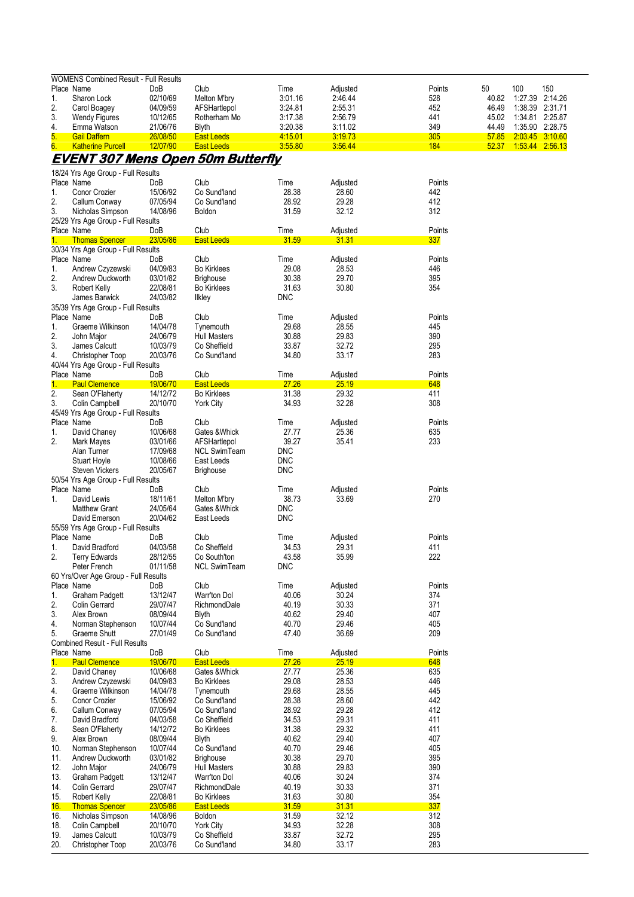|                  | <b>WOMENS Combined Result - Full Results</b>                 |                      |                                          |                     |                     |               |             |                 |                |
|------------------|--------------------------------------------------------------|----------------------|------------------------------------------|---------------------|---------------------|---------------|-------------|-----------------|----------------|
| Place Name<br>1. |                                                              | DoB<br>02/10/69      | Club                                     | Time<br>3:01.16     | Adjusted<br>2:46.44 | Points<br>528 | 50<br>40.82 | 100<br>1:27.39  | 150<br>2:14.26 |
| 2.               | Sharon Lock<br>Carol Boagey                                  | 04/09/59             | Melton M'bry<br>AFSHartlepol             | 3:24.81             | 2:55.31             | 452           | 46.49       | 1:38.39 2:31.71 |                |
| 3.               | <b>Wendy Figures</b>                                         | 10/12/65             | Rotherham Mo                             | 3:17.38             | 2:56.79             | 441           | 45.02       | 1:34.81 2:25.87 |                |
| 4.               | Emma Watson                                                  | 21/06/76             | <b>Blyth</b>                             | 3:20.38             | 3:11.02             | 349           | 44.49       | 1:35.90 2:28.75 |                |
| 5.               | <b>Gail Daffern</b>                                          | 26/08/50             | <b>East Leeds</b>                        | 4:15.01             | 3:19.73             | 305           | 57.85       | 2.03.45 3.10.60 |                |
| 6.               | <b>Katherine Purcell</b>                                     | 12/07/90             | <b>East Leeds</b>                        | 3.55.80             | 3:56.44             | 184           | 52.37       | 1:53.44 2:56.13 |                |
|                  |                                                              |                      | <b>EVENT 307 Mens Open 50m Butterfly</b> |                     |                     |               |             |                 |                |
|                  | 18/24 Yrs Age Group - Full Results                           |                      |                                          |                     |                     |               |             |                 |                |
| Place Name       |                                                              | DoB                  | Club                                     | Time                | Adjusted            | Points        |             |                 |                |
| 1.               | Conor Crozier                                                | 15/06/92             | Co Sund'land                             | 28.38               | 28.60               | 442           |             |                 |                |
| 2.               | Callum Conway                                                | 07/05/94             | Co Sund'land                             | 28.92               | 29.28               | 412           |             |                 |                |
| 3.               | Nicholas Simpson<br>25/29 Yrs Age Group - Full Results       | 14/08/96             | <b>Boldon</b>                            | 31.59               | 32.12               | 312           |             |                 |                |
| Place Name       |                                                              | DoB                  | Club                                     | Time                | Adjusted            | Points        |             |                 |                |
| 1.               | <b>Thomas Spencer</b>                                        | 23/05/86             | <b>East Leeds</b>                        | 31.59               | 31.31               | 337           |             |                 |                |
|                  | 30/34 Yrs Age Group - Full Results                           |                      |                                          |                     |                     |               |             |                 |                |
| Place Name       |                                                              | DoB                  | Club                                     | Time                | Adjusted            | Points        |             |                 |                |
| 1.               | Andrew Czyzewski                                             | 04/09/83<br>03/01/82 | <b>Bo Kirklees</b>                       | 29.08<br>30.38      | 28.53<br>29.70      | 446<br>395    |             |                 |                |
| 2.<br>3.         | Andrew Duckworth<br>Robert Kelly                             | 22/08/81             | <b>Brighouse</b><br><b>Bo Kirklees</b>   | 31.63               | 30.80               | 354           |             |                 |                |
|                  | James Barwick                                                | 24/03/82             | Ilkley                                   | <b>DNC</b>          |                     |               |             |                 |                |
|                  | 35/39 Yrs Age Group - Full Results                           |                      |                                          |                     |                     |               |             |                 |                |
| Place Name       |                                                              | DoB                  | Club                                     | Time                | Adjusted            | Points        |             |                 |                |
| 1.               | Graeme Wilkinson                                             | 14/04/78             | Tynemouth                                | 29.68               | 28.55               | 445           |             |                 |                |
| 2.               | John Major                                                   | 24/06/79             | <b>Hull Masters</b>                      | 30.88               | 29.83               | 390           |             |                 |                |
| 3.               | James Calcutt                                                | 10/03/79             | Co Sheffield                             | 33.87               | 32.72               | 295           |             |                 |                |
| 4.               | Christopher Toop<br>40/44 Yrs Age Group - Full Results       | 20/03/76             | Co Sund'land                             | 34.80               | 33.17               | 283           |             |                 |                |
| Place Name       |                                                              | DoB                  | Club                                     | Time                | Adjusted            | Points        |             |                 |                |
| 1.               | <b>Paul Clemence</b>                                         | 19/06/70             | <b>East Leeds</b>                        | 27.26               | 25.19               | 648           |             |                 |                |
| 2.               | Sean O'Flaherty                                              | 14/12/72             | <b>Bo Kirklees</b>                       | 31.38               | 29.32               | 411           |             |                 |                |
| 3.               | Colin Campbell                                               | 20/10/70             | <b>York City</b>                         | 34.93               | 32.28               | 308           |             |                 |                |
|                  | 45/49 Yrs Age Group - Full Results                           |                      |                                          |                     |                     |               |             |                 |                |
| Place Name       |                                                              | DoB<br>10/06/68      | Club<br>Gates & Whick                    | Time<br>27.77       | Adjusted<br>25.36   | Points<br>635 |             |                 |                |
| 1.<br>2.         | David Chaney<br>Mark Mayes                                   | 03/01/66             | AFSHartlepol                             | 39.27               | 35.41               | 233           |             |                 |                |
|                  | Alan Turner                                                  | 17/09/68             | <b>NCL SwimTeam</b>                      | <b>DNC</b>          |                     |               |             |                 |                |
|                  | <b>Stuart Hoyle</b>                                          | 10/08/66             | East Leeds                               | <b>DNC</b>          |                     |               |             |                 |                |
|                  | <b>Steven Vickers</b>                                        | 20/05/67             | <b>Brighouse</b>                         | <b>DNC</b>          |                     |               |             |                 |                |
|                  | 50/54 Yrs Age Group - Full Results                           |                      |                                          |                     |                     |               |             |                 |                |
| Place Name       |                                                              | DoB                  | Club                                     | Time                | Adjusted            | Points        |             |                 |                |
| 1.               | David Lewis<br><b>Matthew Grant</b>                          | 18/11/61<br>24/05/64 | Melton M'bry<br>Gates & Whick            | 38.73<br><b>DNC</b> | 33.69               | 270           |             |                 |                |
|                  | David Emerson                                                | 20/04/62             | East Leeds                               | <b>DNC</b>          |                     |               |             |                 |                |
|                  | 55/59 Yrs Age Group - Full Results                           |                      |                                          |                     |                     |               |             |                 |                |
| Place Name       |                                                              | DoB                  | Club                                     | Time                | Adjusted            | Points        |             |                 |                |
| 1.               | David Bradford                                               | 04/03/58             | Co Sheffield                             | 34.53               | 29.31               | 411           |             |                 |                |
| 2.               | <b>Terry Edwards</b>                                         | 28/12/55             | Co South'ton                             | 43.58               | 35.99               | 222           |             |                 |                |
|                  | Peter French                                                 | 01/11/58             | <b>NCL SwimTeam</b>                      | <b>DNC</b>          |                     |               |             |                 |                |
| Place Name       | 60 Yrs/Over Age Group - Full Results                         | DoB                  | Club                                     | Time                | Adjusted            | Points        |             |                 |                |
| 1.               | <b>Graham Padgett</b>                                        | 13/12/47             | <b>Warr'ton Dol</b>                      | 40.06               | 30.24               | 374           |             |                 |                |
| 2.               | Colin Gerrard                                                | 29/07/47             | RichmondDale                             | 40.19               | 30.33               | 371           |             |                 |                |
| 3.               | Alex Brown                                                   | 08/09/44             | Blyth                                    | 40.62               | 29.40               | 407           |             |                 |                |
| 4.               | Norman Stephenson                                            | 10/07/44             | Co Sund'land                             | 40.70               | 29.46               | 405           |             |                 |                |
| 5.               | <b>Graeme Shutt</b><br><b>Combined Result - Full Results</b> | 27/01/49             | Co Sund'land                             | 47.40               | 36.69               | 209           |             |                 |                |
| Place Name       |                                                              | DoB                  | Club                                     | Time                | Adjusted            | Points        |             |                 |                |
| 1.               | <b>Paul Clemence</b>                                         | 19/06/70             | <b>East Leeds</b>                        | 27.26               | 25.19               | 648           |             |                 |                |
| 2.               | David Chaney                                                 | 10/06/68             | Gates & Whick                            | 27.77               | 25.36               | 635           |             |                 |                |
| 3.               | Andrew Czyzewski                                             | 04/09/83             | <b>Bo Kirklees</b>                       | 29.08               | 28.53               | 446           |             |                 |                |
| 4.               | Graeme Wilkinson                                             | 14/04/78             | Tynemouth                                | 29.68               | 28.55               | 445           |             |                 |                |
| 5.               | <b>Conor Crozier</b>                                         | 15/06/92             | Co Sund'land                             | 28.38               | 28.60               | 442           |             |                 |                |
| 6.<br>7.         | Callum Conway<br>David Bradford                              | 07/05/94<br>04/03/58 | Co Sund'land<br>Co Sheffield             | 28.92<br>34.53      | 29.28<br>29.31      | 412<br>411    |             |                 |                |
| 8.               | Sean O'Flaherty                                              | 14/12/72             | <b>Bo Kirklees</b>                       | 31.38               | 29.32               | 411           |             |                 |                |
| 9.               | Alex Brown                                                   | 08/09/44             | <b>Blyth</b>                             | 40.62               | 29.40               | 407           |             |                 |                |
| 10.              | Norman Stephenson                                            | 10/07/44             | Co Sund'land                             | 40.70               | 29.46               | 405           |             |                 |                |
| 11.              | Andrew Duckworth                                             | 03/01/82             | <b>Brighouse</b>                         | 30.38               | 29.70               | 395           |             |                 |                |
| 12.              | John Major                                                   | 24/06/79             | <b>Hull Masters</b>                      | 30.88               | 29.83               | 390           |             |                 |                |
| 13.<br>14.       | <b>Graham Padgett</b><br>Colin Gerrard                       | 13/12/47<br>29/07/47 | Warr'ton Dol<br>RichmondDale             | 40.06<br>40.19      | 30.24<br>30.33      | 374<br>371    |             |                 |                |
| 15.              | Robert Kelly                                                 | 22/08/81             | <b>Bo Kirklees</b>                       | 31.63               | 30.80               | 354           |             |                 |                |
| <u> 16.</u>      | <b>Thomas Spencer</b>                                        | 23/05/86             | <b>East Leeds</b>                        | 31.59               | 31.31               | 337           |             |                 |                |
| 16.              | Nicholas Simpson                                             | 14/08/96             | Boldon                                   | 31.59               | 32.12               | 312           |             |                 |                |
| 18.              | Colin Campbell                                               | 20/10/70             | <b>York City</b>                         | 34.93               | 32.28               | 308           |             |                 |                |
| 19.              | James Calcutt                                                | 10/03/79             | Co Sheffield                             | 33.87               | 32.72               | 295           |             |                 |                |
| 20.              | Christopher Toop                                             | 20/03/76             | Co Sund'land                             | 34.80               | 33.17               | 283           |             |                 |                |